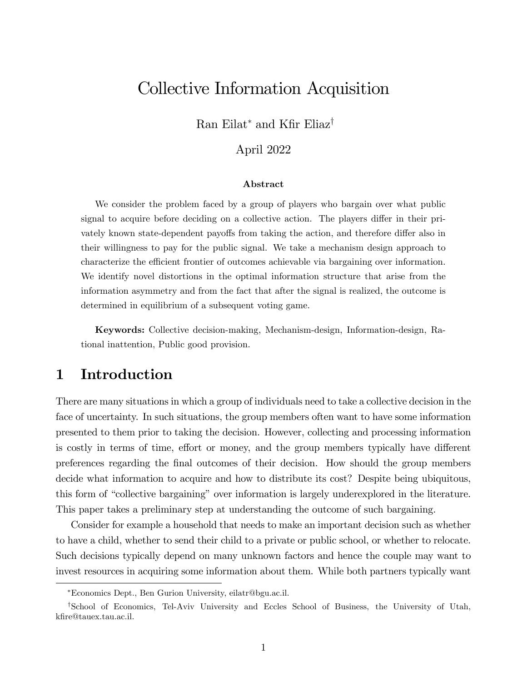# Collective Information Acquisition

Ran Eilat<sup>\*</sup> and Kfir Eliaz<sup>†</sup>

### April 2022

#### Abstract

We consider the problem faced by a group of players who bargain over what public signal to acquire before deciding on a collective action. The players differ in their privately known state-dependent payoffs from taking the action, and therefore differ also in their willingness to pay for the public signal. We take a mechanism design approach to characterize the efficient frontier of outcomes achievable via bargaining over information. We identify novel distortions in the optimal information structure that arise from the information asymmetry and from the fact that after the signal is realized, the outcome is determined in equilibrium of a subsequent voting game.

Keywords: Collective decision-making, Mechanism-design, Information-design, Rational inattention, Public good provision.

## 1 Introduction

There are many situations in which a group of individuals need to take a collective decision in the face of uncertainty. In such situations, the group members often want to have some information presented to them prior to taking the decision. However, collecting and processing information is costly in terms of time, effort or money, and the group members typically have different preferences regarding the Önal outcomes of their decision. How should the group members decide what information to acquire and how to distribute its cost? Despite being ubiquitous, this form of "collective bargaining" over information is largely underexplored in the literature. This paper takes a preliminary step at understanding the outcome of such bargaining.

Consider for example a household that needs to make an important decision such as whether to have a child, whether to send their child to a private or public school, or whether to relocate. Such decisions typically depend on many unknown factors and hence the couple may want to invest resources in acquiring some information about them. While both partners typically want

Economics Dept., Ben Gurion University, eilatr@bgu.ac.il.

<sup>&</sup>lt;sup>†</sup>School of Economics, Tel-Aviv University and Eccles School of Business, the University of Utah, kfire@tauex.tau.ac.il.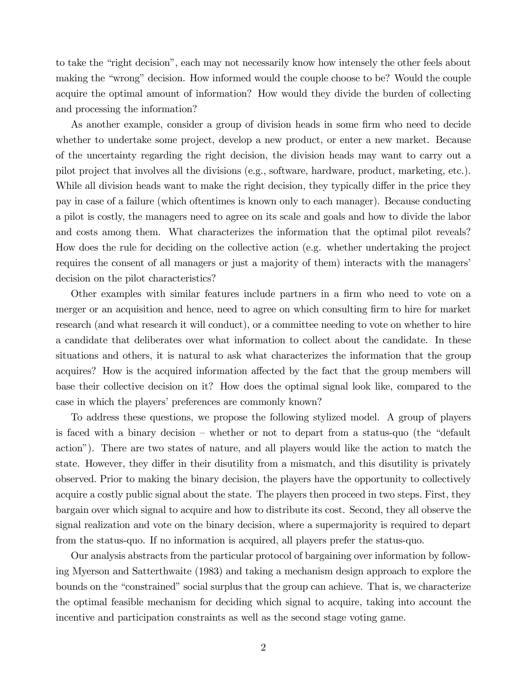to take the "right decision", each may not necessarily know how intensely the other feels about making the "wrong" decision. How informed would the couple choose to be? Would the couple acquire the optimal amount of information? How would they divide the burden of collecting and processing the information?

As another example, consider a group of division heads in some firm who need to decide whether to undertake some project, develop a new product, or enter a new market. Because of the uncertainty regarding the right decision, the division heads may want to carry out a pilot project that involves all the divisions (e.g., software, hardware, product, marketing, etc.). While all division heads want to make the right decision, they typically differ in the price they pay in case of a failure (which oftentimes is known only to each manager). Because conducting a pilot is costly, the managers need to agree on its scale and goals and how to divide the labor and costs among them. What characterizes the information that the optimal pilot reveals? How does the rule for deciding on the collective action (e.g. whether undertaking the project requires the consent of all managers or just a majority of them) interacts with the managers decision on the pilot characteristics?

Other examples with similar features include partners in a firm who need to vote on a merger or an acquisition and hence, need to agree on which consulting firm to hire for market research (and what research it will conduct), or a committee needing to vote on whether to hire a candidate that deliberates over what information to collect about the candidate. In these situations and others, it is natural to ask what characterizes the information that the group acquires? How is the acquired information affected by the fact that the group members will base their collective decision on it? How does the optimal signal look like, compared to the case in which the players' preferences are commonly known?

To address these questions, we propose the following stylized model. A group of players is faced with a binary decision – whether or not to depart from a status-quo (the "default" actionî). There are two states of nature, and all players would like the action to match the state. However, they differ in their disutility from a mismatch, and this disutility is privately observed. Prior to making the binary decision, the players have the opportunity to collectively acquire a costly public signal about the state. The players then proceed in two steps. First, they bargain over which signal to acquire and how to distribute its cost. Second, they all observe the signal realization and vote on the binary decision, where a supermajority is required to depart from the status-quo. If no information is acquired, all players prefer the status-quo.

Our analysis abstracts from the particular protocol of bargaining over information by following Myerson and Satterthwaite (1983) and taking a mechanism design approach to explore the bounds on the "constrained" social surplus that the group can achieve. That is, we characterize the optimal feasible mechanism for deciding which signal to acquire, taking into account the incentive and participation constraints as well as the second stage voting game.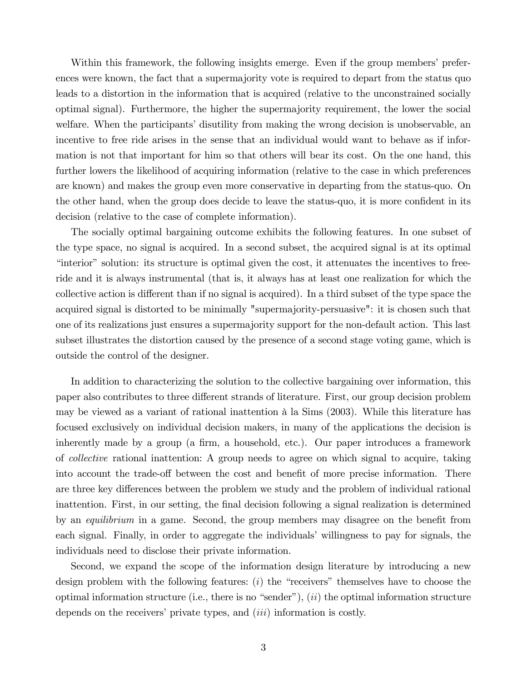Within this framework, the following insights emerge. Even if the group members' preferences were known, the fact that a supermajority vote is required to depart from the status quo leads to a distortion in the information that is acquired (relative to the unconstrained socially optimal signal). Furthermore, the higher the supermajority requirement, the lower the social welfare. When the participants' disutility from making the wrong decision is unobservable, an incentive to free ride arises in the sense that an individual would want to behave as if information is not that important for him so that others will bear its cost. On the one hand, this further lowers the likelihood of acquiring information (relative to the case in which preferences are known) and makes the group even more conservative in departing from the status-quo. On the other hand, when the group does decide to leave the status-quo, it is more confident in its decision (relative to the case of complete information).

The socially optimal bargaining outcome exhibits the following features. In one subset of the type space, no signal is acquired. In a second subset, the acquired signal is at its optimal ìinteriorî solution: its structure is optimal given the cost, it attenuates the incentives to freeride and it is always instrumental (that is, it always has at least one realization for which the collective action is different than if no signal is acquired). In a third subset of the type space the acquired signal is distorted to be minimally "supermajority-persuasive": it is chosen such that one of its realizations just ensures a supermajority support for the non-default action. This last subset illustrates the distortion caused by the presence of a second stage voting game, which is outside the control of the designer.

In addition to characterizing the solution to the collective bargaining over information, this paper also contributes to three different strands of literature. First, our group decision problem may be viewed as a variant of rational inattention à la Sims (2003). While this literature has focused exclusively on individual decision makers, in many of the applications the decision is inherently made by a group (a firm, a household, etc.). Our paper introduces a framework of collective rational inattention: A group needs to agree on which signal to acquire, taking into account the trade-off between the cost and benefit of more precise information. There are three key differences between the problem we study and the problem of individual rational inattention. First, in our setting, the final decision following a signal realization is determined by an *equilibrium* in a game. Second, the group members may disagree on the benefit from each signal. Finally, in order to aggregate the individuals' willingness to pay for signals, the individuals need to disclose their private information.

Second, we expand the scope of the information design literature by introducing a new design problem with the following features:  $(i)$  the "receivers" themselves have to choose the optimal information structure (i.e., there is no "sender"),  $(ii)$  the optimal information structure depends on the receivers' private types, and  $(iii)$  information is costly.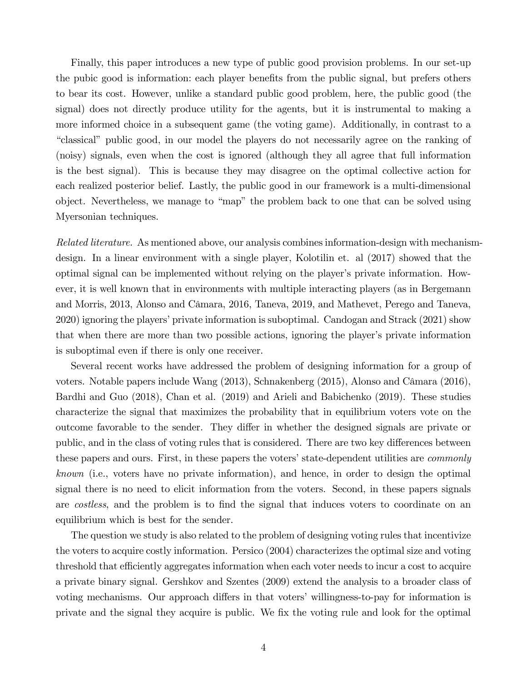Finally, this paper introduces a new type of public good provision problems. In our set-up the pubic good is information: each player benefits from the public signal, but prefers others to bear its cost. However, unlike a standard public good problem, here, the public good (the signal) does not directly produce utility for the agents, but it is instrumental to making a more informed choice in a subsequent game (the voting game). Additionally, in contrast to a ìclassicalî public good, in our model the players do not necessarily agree on the ranking of (noisy) signals, even when the cost is ignored (although they all agree that full information is the best signal). This is because they may disagree on the optimal collective action for each realized posterior belief. Lastly, the public good in our framework is a multi-dimensional object. Nevertheless, we manage to "map" the problem back to one that can be solved using Myersonian techniques.

Related literature. As mentioned above, our analysis combines information-design with mechanismdesign. In a linear environment with a single player, Kolotilin et. al (2017) showed that the optimal signal can be implemented without relying on the player's private information. However, it is well known that in environments with multiple interacting players (as in Bergemann and Morris, 2013, Alonso and Câmara, 2016, Taneva, 2019, and Mathevet, Perego and Taneva, 2020) ignoring the players' private information is suboptimal. Candogan and Strack (2021) show that when there are more than two possible actions, ignoring the player's private information is suboptimal even if there is only one receiver.

Several recent works have addressed the problem of designing information for a group of voters. Notable papers include Wang (2013), Schnakenberg (2015), Alonso and Câmara (2016), Bardhi and Guo (2018), Chan et al. (2019) and Arieli and Babichenko (2019). These studies characterize the signal that maximizes the probability that in equilibrium voters vote on the outcome favorable to the sender. They differ in whether the designed signals are private or public, and in the class of voting rules that is considered. There are two key differences between these papers and ours. First, in these papers the voters' state-dependent utilities are *commonly* known (i.e., voters have no private information), and hence, in order to design the optimal signal there is no need to elicit information from the voters. Second, in these papers signals are *costless*, and the problem is to find the signal that induces voters to coordinate on an equilibrium which is best for the sender.

The question we study is also related to the problem of designing voting rules that incentivize the voters to acquire costly information. Persico (2004) characterizes the optimal size and voting threshold that efficiently aggregates information when each voter needs to incur a cost to acquire a private binary signal. Gershkov and Szentes (2009) extend the analysis to a broader class of voting mechanisms. Our approach differs in that voters' willingness-to-pay for information is private and the signal they acquire is public. We fix the voting rule and look for the optimal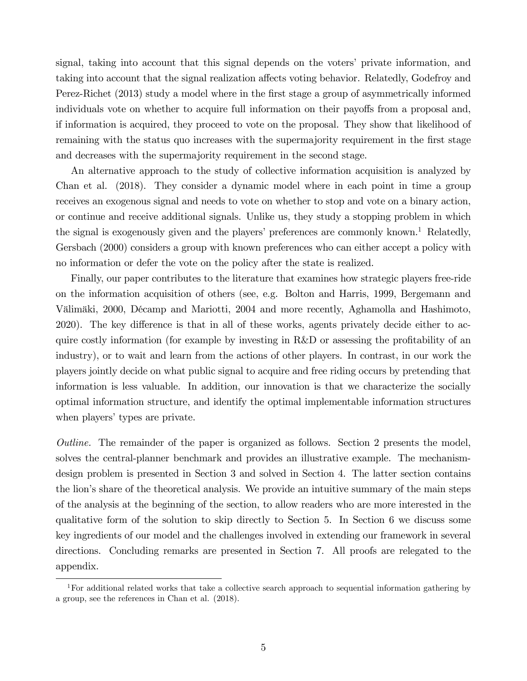signal, taking into account that this signal depends on the voters' private information, and taking into account that the signal realization affects voting behavior. Relatedly, Godefroy and Perez-Richet (2013) study a model where in the first stage a group of asymmetrically informed individuals vote on whether to acquire full information on their payoffs from a proposal and, if information is acquired, they proceed to vote on the proposal. They show that likelihood of remaining with the status quo increases with the supermajority requirement in the first stage and decreases with the supermajority requirement in the second stage.

An alternative approach to the study of collective information acquisition is analyzed by Chan et al. (2018). They consider a dynamic model where in each point in time a group receives an exogenous signal and needs to vote on whether to stop and vote on a binary action, or continue and receive additional signals. Unlike us, they study a stopping problem in which the signal is exogenously given and the players' preferences are commonly known.<sup>1</sup> Relatedly, Gersbach (2000) considers a group with known preferences who can either accept a policy with no information or defer the vote on the policy after the state is realized.

Finally, our paper contributes to the literature that examines how strategic players free-ride on the information acquisition of others (see, e.g. Bolton and Harris, 1999, Bergemann and Välimäki, 2000, Décamp and Mariotti, 2004 and more recently, Aghamolla and Hashimoto, 2020). The key difference is that in all of these works, agents privately decide either to acquire costly information (for example by investing in  $R&D$  or assessing the profitability of an industry), or to wait and learn from the actions of other players. In contrast, in our work the players jointly decide on what public signal to acquire and free riding occurs by pretending that information is less valuable. In addition, our innovation is that we characterize the socially optimal information structure, and identify the optimal implementable information structures when players' types are private.

Outline. The remainder of the paper is organized as follows. Section 2 presents the model, solves the central-planner benchmark and provides an illustrative example. The mechanismdesign problem is presented in Section 3 and solved in Section 4. The latter section contains the lion's share of the theoretical analysis. We provide an intuitive summary of the main steps of the analysis at the beginning of the section, to allow readers who are more interested in the qualitative form of the solution to skip directly to Section 5. In Section 6 we discuss some key ingredients of our model and the challenges involved in extending our framework in several directions. Concluding remarks are presented in Section 7. All proofs are relegated to the appendix.

<sup>1</sup>For additional related works that take a collective search approach to sequential information gathering by a group, see the references in Chan et al. (2018).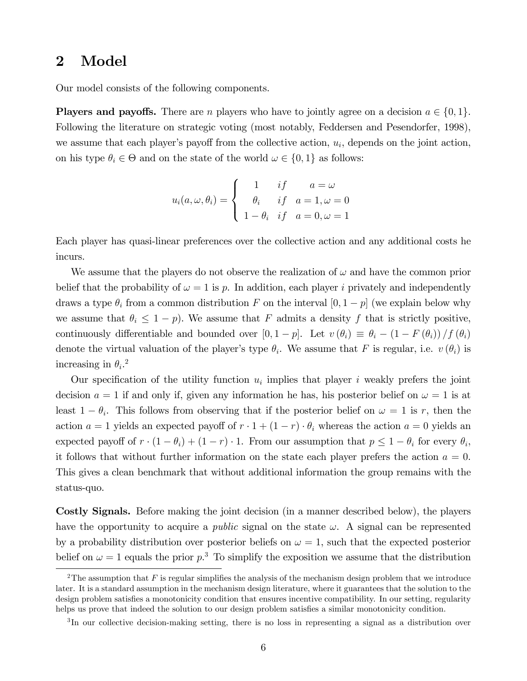### 2 Model

Our model consists of the following components.

**Players and payoffs.** There are *n* players who have to jointly agree on a decision  $a \in \{0, 1\}$ . Following the literature on strategic voting (most notably, Feddersen and Pesendorfer, 1998), we assume that each player's payoff from the collective action,  $u_i$ , depends on the joint action, on his type  $\theta_i \in \Theta$  and on the state of the world  $\omega \in \{0, 1\}$  as follows:

$$
u_i(a,\omega,\theta_i) = \begin{cases} 1 & if \quad a = \omega \\ \theta_i & if \quad a = 1, \omega = 0 \\ 1 - \theta_i & if \quad a = 0, \omega = 1 \end{cases}
$$

Each player has quasi-linear preferences over the collective action and any additional costs he incurs.

We assume that the players do not observe the realization of  $\omega$  and have the common prior belief that the probability of  $\omega = 1$  is p. In addition, each player i privately and independently draws a type  $\theta_i$  from a common distribution F on the interval  $[0, 1 - p]$  (we explain below why we assume that  $\theta_i \leq 1 - p$ . We assume that F admits a density f that is strictly positive, continuously differentiable and bounded over  $[0, 1 - p]$ . Let  $v(\theta_i) \equiv \theta_i - (1 - F(\theta_i))/f(\theta_i)$ denote the virtual valuation of the player's type  $\theta_i$ . We assume that F is regular, i.e.  $v(\theta_i)$  is increasing in  $\theta_i$ .<sup>2</sup>

Our specification of the utility function  $u_i$  implies that player i weakly prefers the joint decision  $a = 1$  if and only if, given any information he has, his posterior belief on  $\omega = 1$  is at least  $1 - \theta_i$ . This follows from observing that if the posterior belief on  $\omega = 1$  is r, then the action  $a = 1$  yields an expected payoff of  $r \cdot 1 + (1 - r) \cdot \theta_i$  whereas the action  $a = 0$  yields an expected payoff of  $r \cdot (1 - \theta_i) + (1 - r) \cdot 1$ . From our assumption that  $p \leq 1 - \theta_i$  for every  $\theta_i$ , it follows that without further information on the state each player prefers the action  $a = 0$ . This gives a clean benchmark that without additional information the group remains with the status-quo.

Costly Signals. Before making the joint decision (in a manner described below), the players have the opportunity to acquire a *public* signal on the state  $\omega$ . A signal can be represented by a probability distribution over posterior beliefs on  $\omega = 1$ , such that the expected posterior belief on  $\omega = 1$  equals the prior  $p<sup>3</sup>$ . To simplify the exposition we assume that the distribution

<sup>&</sup>lt;sup>2</sup>The assumption that F is regular simplifies the analysis of the mechanism design problem that we introduce later. It is a standard assumption in the mechanism design literature, where it guarantees that the solution to the design problem satisfies a monotonicity condition that ensures incentive compatibility. In our setting, regularity helps us prove that indeed the solution to our design problem satisfies a similar monotonicity condition.

<sup>&</sup>lt;sup>3</sup>In our collective decision-making setting, there is no loss in representing a signal as a distribution over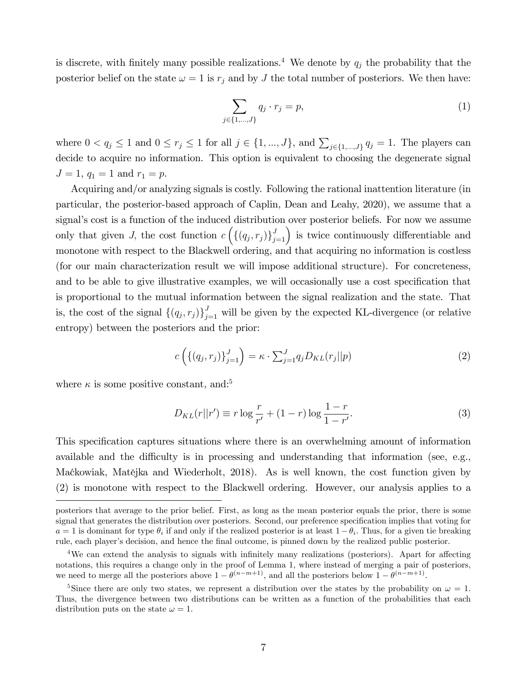is discrete, with finitely many possible realizations.<sup>4</sup> We denote by  $q_j$  the probability that the posterior belief on the state  $\omega = 1$  is  $r_j$  and by J the total number of posteriors. We then have:

$$
\sum_{j \in \{1, ..., J\}} q_j \cdot r_j = p,\tag{1}
$$

where  $0 < q_j \leq 1$  and  $0 \leq r_j \leq 1$  for all  $j \in \{1, ..., J\}$ , and  $\sum_{j \in \{1, ..., J\}} q_j = 1$ . The players can decide to acquire no information. This option is equivalent to choosing the degenerate signal  $J = 1, q_1 = 1$  and  $r_1 = p$ .

Acquiring and/or analyzing signals is costly. Following the rational inattention literature (in particular, the posterior-based approach of Caplin, Dean and Leahy, 2020), we assume that a signal's cost is a function of the induced distribution over posterior beliefs. For now we assume only that given J, the cost function  $c\left(\{(q_j,r_j)\}_{j=1}^J\right)$  is twice continuously differentiable and monotone with respect to the Blackwell ordering, and that acquiring no information is costless (for our main characterization result we will impose additional structure). For concreteness, and to be able to give illustrative examples, we will occasionally use a cost specification that is proportional to the mutual information between the signal realization and the state. That is, the cost of the signal  $\{(q_j, r_j)\}_{j=1}^J$  will be given by the expected KL-divergence (or relative entropy) between the posteriors and the prior:

$$
c\left(\left\{(q_j,r_j)\right\}_{j=1}^J\right) = \kappa \cdot \sum_{j=1}^J q_j D_{KL}(r_j||p) \tag{2}
$$

where  $\kappa$  is some positive constant, and:<sup>5</sup>

$$
D_{KL}(r||r') \equiv r \log \frac{r}{r'} + (1-r) \log \frac{1-r}{1-r'}.
$$
 (3)

This specification captures situations where there is an overwhelming amount of information available and the difficulty is in processing and understanding that information (see, e.g., Maćkowiak, Matějka and Wiederholt, 2018). As is well known, the cost function given by (2) is monotone with respect to the Blackwell ordering. However, our analysis applies to a

posteriors that average to the prior belief. First, as long as the mean posterior equals the prior, there is some signal that generates the distribution over posteriors. Second, our preference specification implies that voting for  $a = 1$  is dominant for type  $\theta_i$  if and only if the realized posterior is at least  $1 - \theta_i$ . Thus, for a given tie breaking rule, each player's decision, and hence the final outcome, is pinned down by the realized public posterior.

 $4$ We can extend the analysis to signals with infinitely many realizations (posteriors). Apart for affecting notations, this requires a change only in the proof of Lemma 1, where instead of merging a pair of posteriors, we need to merge all the posteriors above  $1 - \theta^{(n-m+1)}$ , and all the posteriors below  $1 - \theta^{(n-m+1)}$ .

<sup>&</sup>lt;sup>5</sup>Since there are only two states, we represent a distribution over the states by the probability on  $\omega = 1$ . Thus, the divergence between two distributions can be written as a function of the probabilities that each distribution puts on the state  $\omega = 1$ .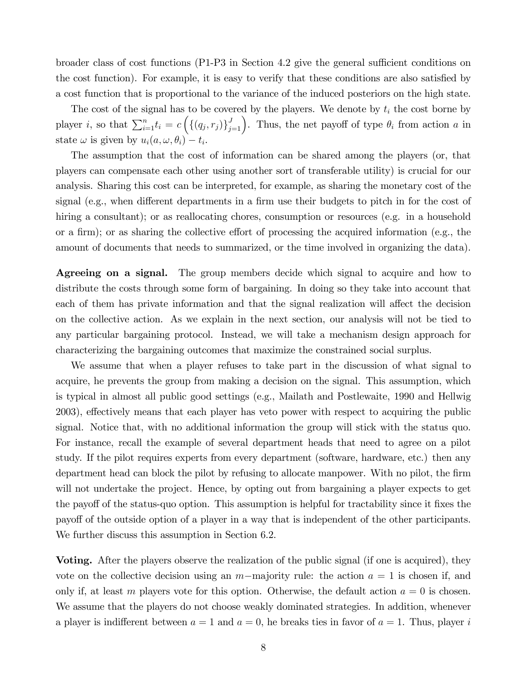broader class of cost functions  $(P1-P3)$  in Section 4.2 give the general sufficient conditions on the cost function). For example, it is easy to verify that these conditions are also satisfied by a cost function that is proportional to the variance of the induced posteriors on the high state.

The cost of the signal has to be covered by the players. We denote by  $t_i$  the cost borne by player *i*, so that  $\sum_{i=1}^{n} t_i = c \left( \{ (q_j, r_j) \}_{j=1}^J \right)$ . Thus, the net payoff of type  $\theta_i$  from action *a* in state  $\omega$  is given by  $u_i(a, \omega, \theta_i) - t_i$ .

The assumption that the cost of information can be shared among the players (or, that players can compensate each other using another sort of transferable utility) is crucial for our analysis. Sharing this cost can be interpreted, for example, as sharing the monetary cost of the signal (e.g., when different departments in a firm use their budgets to pitch in for the cost of hiring a consultant); or as reallocating chores, consumption or resources (e.g. in a household or a firm); or as sharing the collective effort of processing the acquired information (e.g., the amount of documents that needs to summarized, or the time involved in organizing the data).

Agreeing on a signal. The group members decide which signal to acquire and how to distribute the costs through some form of bargaining. In doing so they take into account that each of them has private information and that the signal realization will affect the decision on the collective action. As we explain in the next section, our analysis will not be tied to any particular bargaining protocol. Instead, we will take a mechanism design approach for characterizing the bargaining outcomes that maximize the constrained social surplus.

We assume that when a player refuses to take part in the discussion of what signal to acquire, he prevents the group from making a decision on the signal. This assumption, which is typical in almost all public good settings (e.g., Mailath and Postlewaite, 1990 and Hellwig 2003), effectively means that each player has veto power with respect to acquiring the public signal. Notice that, with no additional information the group will stick with the status quo. For instance, recall the example of several department heads that need to agree on a pilot study. If the pilot requires experts from every department (software, hardware, etc.) then any department head can block the pilot by refusing to allocate manpower. With no pilot, the firm will not undertake the project. Hence, by opting out from bargaining a player expects to get the payoff of the status-quo option. This assumption is helpful for tractability since it fixes the payoff of the outside option of a player in a way that is independent of the other participants. We further discuss this assumption in Section 6.2.

Voting. After the players observe the realization of the public signal (if one is acquired), they vote on the collective decision using an  $m$ -majority rule: the action  $a = 1$  is chosen if, and only if, at least m players vote for this option. Otherwise, the default action  $a = 0$  is chosen. We assume that the players do not choose weakly dominated strategies. In addition, whenever a player is indifferent between  $a = 1$  and  $a = 0$ , he breaks ties in favor of  $a = 1$ . Thus, player i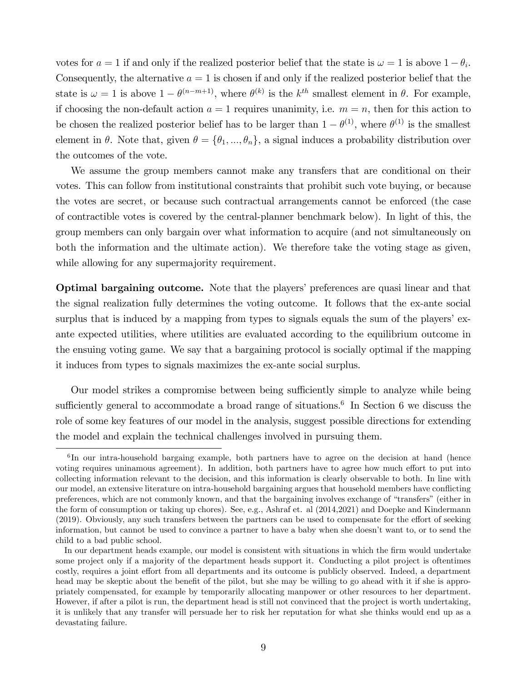votes for  $a = 1$  if and only if the realized posterior belief that the state is  $\omega = 1$  is above  $1 - \theta_i$ . Consequently, the alternative  $a = 1$  is chosen if and only if the realized posterior belief that the state is  $\omega = 1$  is above  $1 - \theta^{(n-m+1)}$ , where  $\theta^{(k)}$  is the  $k^{th}$  smallest element in  $\theta$ . For example, if choosing the non-default action  $a = 1$  requires unanimity, i.e.  $m = n$ , then for this action to be chosen the realized posterior belief has to be larger than  $1 - \theta^{(1)}$ , where  $\theta^{(1)}$  is the smallest element in  $\theta$ . Note that, given  $\theta = {\theta_1, ..., \theta_n}$ , a signal induces a probability distribution over the outcomes of the vote.

We assume the group members cannot make any transfers that are conditional on their votes. This can follow from institutional constraints that prohibit such vote buying, or because the votes are secret, or because such contractual arrangements cannot be enforced (the case of contractible votes is covered by the central-planner benchmark below). In light of this, the group members can only bargain over what information to acquire (and not simultaneously on both the information and the ultimate action). We therefore take the voting stage as given, while allowing for any supermajority requirement.

**Optimal bargaining outcome.** Note that the players' preferences are quasi linear and that the signal realization fully determines the voting outcome. It follows that the ex-ante social surplus that is induced by a mapping from types to signals equals the sum of the players' exante expected utilities, where utilities are evaluated according to the equilibrium outcome in the ensuing voting game. We say that a bargaining protocol is socially optimal if the mapping it induces from types to signals maximizes the ex-ante social surplus.

Our model strikes a compromise between being sufficiently simple to analyze while being sufficiently general to accommodate a broad range of situations.<sup>6</sup> In Section 6 we discuss the role of some key features of our model in the analysis, suggest possible directions for extending the model and explain the technical challenges involved in pursuing them.

<sup>&</sup>lt;sup>6</sup>In our intra-household bargaing example, both partners have to agree on the decision at hand (hence voting requires uninamous agreement). In addition, both partners have to agree how much effort to put into collecting information relevant to the decision, and this information is clearly observable to both. In line with our model, an extensive literature on intra-household bargaining argues that household members have conflicting preferences, which are not commonly known, and that the bargaining involves exchange of "transfers" (either in the form of consumption or taking up chores). See, e.g., Ashraf et. al (2014,2021) and Doepke and Kindermann  $(2019)$ . Obviously, any such transfers between the partners can be used to compensate for the effort of seeking information, but cannot be used to convince a partner to have a baby when she doesnít want to, or to send the child to a bad public school.

In our department heads example, our model is consistent with situations in which the firm would undertake some project only if a majority of the department heads support it. Conducting a pilot project is oftentimes costly, requires a joint effort from all departments and its outcome is publicly observed. Indeed, a department head may be skeptic about the benefit of the pilot, but she may be willing to go ahead with it if she is appropriately compensated, for example by temporarily allocating manpower or other resources to her department. However, if after a pilot is run, the department head is still not convinced that the project is worth undertaking, it is unlikely that any transfer will persuade her to risk her reputation for what she thinks would end up as a devastating failure.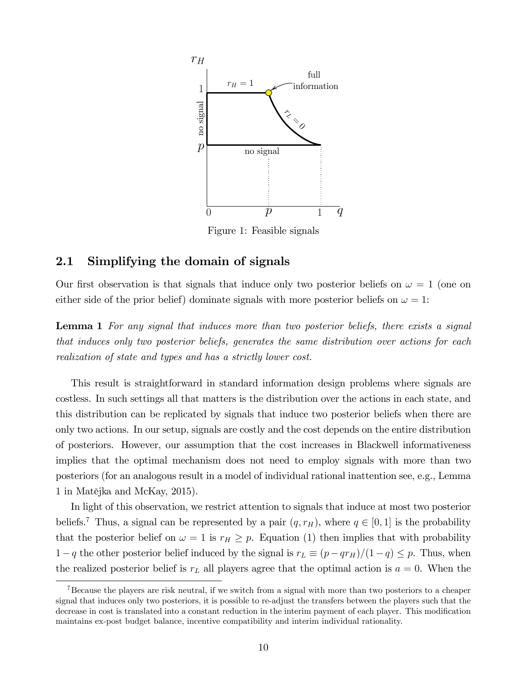

Figure 1: Feasible signals

### 2.1 Simplifying the domain of signals

Our first observation is that signals that induce only two posterior beliefs on  $\omega = 1$  (one on either side of the prior belief) dominate signals with more posterior beliefs on  $\omega = 1$ :

Lemma 1 For any signal that induces more than two posterior beliefs, there exists a signal that induces only two posterior beliefs, generates the same distribution over actions for each realization of state and types and has a strictly lower cost.

This result is straightforward in standard information design problems where signals are costless. In such settings all that matters is the distribution over the actions in each state, and this distribution can be replicated by signals that induce two posterior beliefs when there are only two actions. In our setup, signals are costly and the cost depends on the entire distribution of posteriors. However, our assumption that the cost increases in Blackwell informativeness implies that the optimal mechanism does not need to employ signals with more than two posteriors (for an analogous result in a model of individual rational inattention see, e.g., Lemma  $1$  in Matějka and McKay, 2015).

In light of this observation, we restrict attention to signals that induce at most two posterior beliefs.<sup>7</sup> Thus, a signal can be represented by a pair  $(q, r_H)$ , where  $q \in [0, 1]$  is the probability that the posterior belief on  $\omega = 1$  is  $r_H \geq p$ . Equation (1) then implies that with probability  $1-q$  the other posterior belief induced by the signal is  $r<sub>L</sub> \equiv (p-qr<sub>H</sub>)/(1-q) \leq p$ . Thus, when the realized posterior belief is  $r<sub>L</sub>$  all players agree that the optimal action is  $a = 0$ . When the

<sup>&</sup>lt;sup>7</sup>Because the players are risk neutral, if we switch from a signal with more than two posteriors to a cheaper signal that induces only two posteriors, it is possible to re-adjust the transfers between the players such that the decrease in cost is translated into a constant reduction in the interim payment of each player. This modification maintains ex-post budget balance, incentive compatibility and interim individual rationality.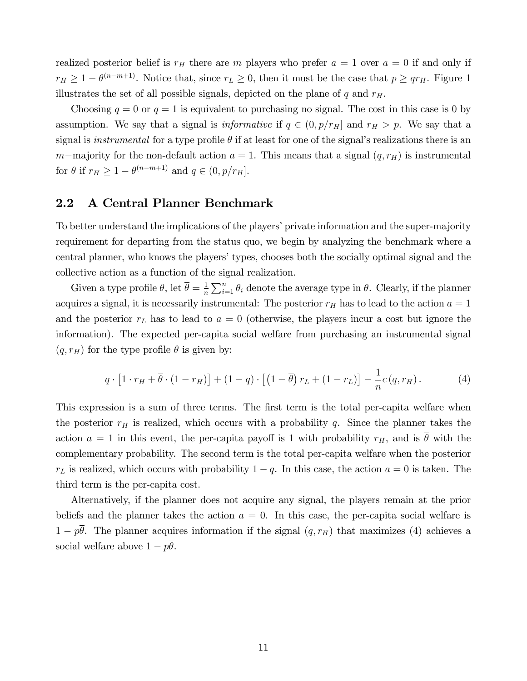realized posterior belief is  $r_H$  there are m players who prefer  $a = 1$  over  $a = 0$  if and only if  $r_H \geq 1 - \theta^{(n-m+1)}$ . Notice that, since  $r_L \geq 0$ , then it must be the case that  $p \geq qr_H$ . Figure 1 illustrates the set of all possible signals, depicted on the plane of  $q$  and  $r_H$ .

Choosing  $q = 0$  or  $q = 1$  is equivalent to purchasing no signal. The cost in this case is 0 by assumption. We say that a signal is *informative* if  $q \in (0, p/r_H]$  and  $r_H > p$ . We say that a signal is *instrumental* for a type profile  $\theta$  if at least for one of the signal's realizations there is an m-majority for the non-default action  $a = 1$ . This means that a signal  $(q, r_H)$  is instrumental for  $\theta$  if  $r_H \geq 1 - \theta^{(n-m+1)}$  and  $q \in (0, p/r_H]$ .

#### 2.2 A Central Planner Benchmark

To better understand the implications of the players' private information and the super-majority requirement for departing from the status quo, we begin by analyzing the benchmark where a central planner, who knows the players' types, chooses both the socially optimal signal and the collective action as a function of the signal realization.

Given a type profile  $\theta$ , let  $\overline{\theta} = \frac{1}{n}$  $\frac{1}{n} \sum_{i=1}^{n} \theta_i$  denote the average type in  $\theta$ . Clearly, if the planner acquires a signal, it is necessarily instrumental: The posterior  $r_H$  has to lead to the action  $a = 1$ and the posterior  $r<sub>L</sub>$  has to lead to  $a = 0$  (otherwise, the players incur a cost but ignore the information). The expected per-capita social welfare from purchasing an instrumental signal  $(q, r_H)$  for the type profile  $\theta$  is given by:

$$
q \cdot \left[1 \cdot r_H + \overline{\theta} \cdot (1 - r_H)\right] + (1 - q) \cdot \left[\left(1 - \overline{\theta}\right) r_L + (1 - r_L)\right] - \frac{1}{n} c(q, r_H). \tag{4}
$$

This expression is a sum of three terms. The first term is the total per-capita welfare when the posterior  $r_H$  is realized, which occurs with a probability q. Since the planner takes the action  $a = 1$  in this event, the per-capita payoff is 1 with probability  $r_H$ , and is  $\overline{\theta}$  with the complementary probability. The second term is the total per-capita welfare when the posterior  $r<sub>L</sub>$  is realized, which occurs with probability  $1 - q$ . In this case, the action  $a = 0$  is taken. The third term is the per-capita cost.

Alternatively, if the planner does not acquire any signal, the players remain at the prior beliefs and the planner takes the action  $a = 0$ . In this case, the per-capita social welfare is  $1 - p\overline{\theta}$ . The planner acquires information if the signal  $(q, r_H)$  that maximizes (4) achieves a social welfare above  $1 - p\theta$ .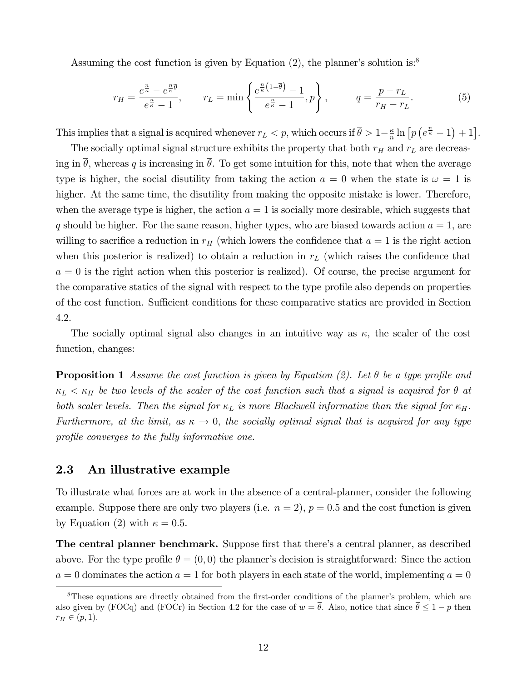Assuming the cost function is given by Equation  $(2)$ , the planner's solution is:<sup>8</sup>

$$
r_H = \frac{e^{\frac{n}{\kappa}} - e^{\frac{n}{\kappa}\overline{\theta}}}{e^{\frac{n}{\kappa}} - 1}, \qquad r_L = \min\left\{\frac{e^{\frac{n}{\kappa}\left(1 - \overline{\theta}\right)} - 1}{e^{\frac{n}{\kappa}} - 1}, p\right\}, \qquad q = \frac{p - r_L}{r_H - r_L}.\tag{5}
$$

This implies that a signal is acquired whenever  $r_L < p$ , which occurs if  $\bar{\theta} > 1 - \frac{\kappa}{n}$  $\frac{\kappa}{n}\ln\left[p\left(e^{\frac{n}{\kappa}}-1\right)+1\right].$ 

The socially optimal signal structure exhibits the property that both  $r_H$  and  $r_L$  are decreasing in  $\bar{\theta}$ , whereas q is increasing in  $\bar{\theta}$ . To get some intuition for this, note that when the average type is higher, the social disutility from taking the action  $a = 0$  when the state is  $\omega = 1$  is higher. At the same time, the disutility from making the opposite mistake is lower. Therefore, when the average type is higher, the action  $a = 1$  is socially more desirable, which suggests that q should be higher. For the same reason, higher types, who are biased towards action  $a = 1$ , are willing to sacrifice a reduction in  $r_H$  (which lowers the confidence that  $a = 1$  is the right action when this posterior is realized) to obtain a reduction in  $r<sub>L</sub>$  (which raises the confidence that  $a = 0$  is the right action when this posterior is realized). Of course, the precise argument for the comparative statics of the signal with respect to the type profile also depends on properties of the cost function. Sufficient conditions for these comparative statics are provided in Section 4.2.

The socially optimal signal also changes in an intuitive way as  $\kappa$ , the scaler of the cost function, changes:

**Proposition 1** Assume the cost function is given by Equation (2). Let  $\theta$  be a type profile and  $\kappa_L < \kappa_H$  be two levels of the scaler of the cost function such that a signal is acquired for  $\theta$  at both scaler levels. Then the signal for  $\kappa_L$  is more Blackwell informative than the signal for  $\kappa_H$ . Furthermore, at the limit, as  $\kappa \to 0$ , the socially optimal signal that is acquired for any type profile converges to the fully informative one.

### 2.3 An illustrative example

To illustrate what forces are at work in the absence of a central-planner, consider the following example. Suppose there are only two players (i.e.  $n = 2$ ),  $p = 0.5$  and the cost function is given by Equation (2) with  $\kappa = 0.5$ .

The central planner benchmark. Suppose first that there's a central planner, as described above. For the type profile  $\theta = (0,0)$  the planner's decision is straightforward: Since the action  $a = 0$  dominates the action  $a = 1$  for both players in each state of the world, implementing  $a = 0$ 

<sup>&</sup>lt;sup>8</sup>These equations are directly obtained from the first-order conditions of the planner's problem, which are also given by (FOCq) and (FOCr) in Section 4.2 for the case of  $w = \overline{\theta}$ . Also, notice that since  $\overline{\theta} \leq 1 - p$  then  $r_H \in (p, 1).$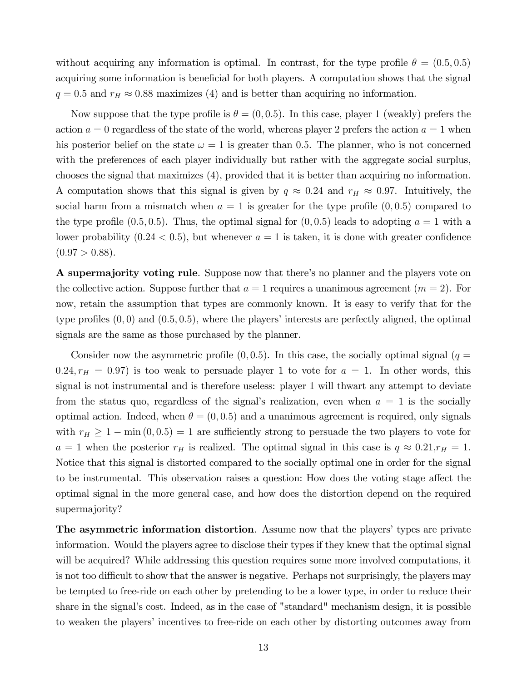without acquiring any information is optimal. In contrast, for the type profile  $\theta = (0.5, 0.5)$ acquiring some information is beneficial for both players. A computation shows that the signal  $q = 0.5$  and  $r_H \approx 0.88$  maximizes (4) and is better than acquiring no information.

Now suppose that the type profile is  $\theta = (0, 0.5)$ . In this case, player 1 (weakly) prefers the action  $a = 0$  regardless of the state of the world, whereas player 2 prefers the action  $a = 1$  when his posterior belief on the state  $\omega = 1$  is greater than 0.5. The planner, who is not concerned with the preferences of each player individually but rather with the aggregate social surplus, chooses the signal that maximizes (4), provided that it is better than acquiring no information. A computation shows that this signal is given by  $q \approx 0.24$  and  $r_H \approx 0.97$ . Intuitively, the social harm from a mismatch when  $a = 1$  is greater for the type profile  $(0, 0.5)$  compared to the type profile  $(0.5, 0.5)$ . Thus, the optimal signal for  $(0, 0.5)$  leads to adopting  $a = 1$  with a lower probability  $(0.24 < 0.5)$ , but whenever  $a = 1$  is taken, it is done with greater confidence  $(0.97 > 0.88).$ 

A supermajority voting rule. Suppose now that there's no planner and the players vote on the collective action. Suppose further that  $a = 1$  requires a unanimous agreement  $(m = 2)$ . For now, retain the assumption that types are commonly known. It is easy to verify that for the type profiles  $(0,0)$  and  $(0.5,0.5)$ , where the players' interests are perfectly aligned, the optimal signals are the same as those purchased by the planner.

Consider now the asymmetric profile  $(0, 0.5)$ . In this case, the socially optimal signal  $(q =$ 0.24,  $r_H = 0.97$ ) is too weak to persuade player 1 to vote for  $a = 1$ . In other words, this signal is not instrumental and is therefore useless: player 1 will thwart any attempt to deviate from the status quo, regardless of the signal's realization, even when  $a = 1$  is the socially optimal action. Indeed, when  $\theta = (0, 0.5)$  and a unanimous agreement is required, only signals with  $r_H \ge 1 - \min(0, 0.5) = 1$  are sufficiently strong to persuade the two players to vote for  $a = 1$  when the posterior  $r_H$  is realized. The optimal signal in this case is  $q \approx 0.21$ ,  $r_H = 1$ . Notice that this signal is distorted compared to the socially optimal one in order for the signal to be instrumental. This observation raises a question: How does the voting stage affect the optimal signal in the more general case, and how does the distortion depend on the required supermajority?

The asymmetric information distortion. Assume now that the players' types are private information. Would the players agree to disclose their types if they knew that the optimal signal will be acquired? While addressing this question requires some more involved computations, it is not too difficult to show that the answer is negative. Perhaps not surprisingly, the players may be tempted to free-ride on each other by pretending to be a lower type, in order to reduce their share in the signal's cost. Indeed, as in the case of "standard" mechanism design, it is possible to weaken the players' incentives to free-ride on each other by distorting outcomes away from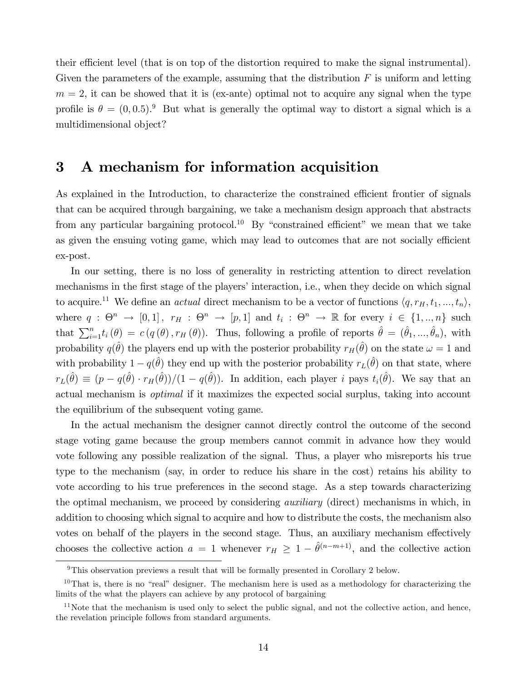their efficient level (that is on top of the distortion required to make the signal instrumental). Given the parameters of the example, assuming that the distribution  $F$  is uniform and letting  $m = 2$ , it can be showed that it is (ex-ante) optimal not to acquire any signal when the type profile is  $\theta = (0, 0.5)^9$  But what is generally the optimal way to distort a signal which is a multidimensional object?

### 3 A mechanism for information acquisition

As explained in the Introduction, to characterize the constrained efficient frontier of signals that can be acquired through bargaining, we take a mechanism design approach that abstracts from any particular bargaining protocol.<sup>10</sup> By "constrained efficient" we mean that we take as given the ensuing voting game, which may lead to outcomes that are not socially efficient ex-post.

In our setting, there is no loss of generality in restricting attention to direct revelation mechanisms in the first stage of the players' interaction, i.e., when they decide on which signal to acquire.<sup>11</sup> We define an *actual* direct mechanism to be a vector of functions  $\langle q, r_H, t_1, ..., t_n \rangle$ , where  $q: \Theta^n \to [0,1]$ ,  $r_H: \Theta^n \to [p,1]$  and  $t_i: \Theta^n \to \mathbb{R}$  for every  $i \in \{1,..,n\}$  such that  $\sum_{i=1}^{n} t_i(\theta) = c(q(\theta), r_H(\theta))$ . Thus, following a profile of reports  $\hat{\theta} = (\hat{\theta}_1, ..., \hat{\theta}_n)$ , with probability  $q(\hat{\theta})$  the players end up with the posterior probability  $r_H(\hat{\theta})$  on the state  $\omega = 1$  and with probability  $1 - q(\hat{\theta})$  they end up with the posterior probability  $r_L(\hat{\theta})$  on that state, where  $r_L(\hat{\theta}) \equiv (p - q(\hat{\theta}) \cdot r_H(\hat{\theta})) / (1 - q(\hat{\theta}))$ . In addition, each player i pays  $t_i(\hat{\theta})$ . We say that an actual mechanism is optimal if it maximizes the expected social surplus, taking into account the equilibrium of the subsequent voting game.

In the actual mechanism the designer cannot directly control the outcome of the second stage voting game because the group members cannot commit in advance how they would vote following any possible realization of the signal. Thus, a player who misreports his true type to the mechanism (say, in order to reduce his share in the cost) retains his ability to vote according to his true preferences in the second stage. As a step towards characterizing the optimal mechanism, we proceed by considering *auxiliary* (direct) mechanisms in which, in addition to choosing which signal to acquire and how to distribute the costs, the mechanism also votes on behalf of the players in the second stage. Thus, an auxiliary mechanism effectively chooses the collective action  $a = 1$  whenever  $r_H \geq 1 - \hat{\theta}^{(n-m+1)}$ , and the collective action

 $9$ This observation previews a result that will be formally presented in Corollary 2 below.

 $10$ That is, there is no "real" designer. The mechanism here is used as a methodology for characterizing the limits of the what the players can achieve by any protocol of bargaining

 $11$ Note that the mechanism is used only to select the public signal, and not the collective action, and hence, the revelation principle follows from standard arguments.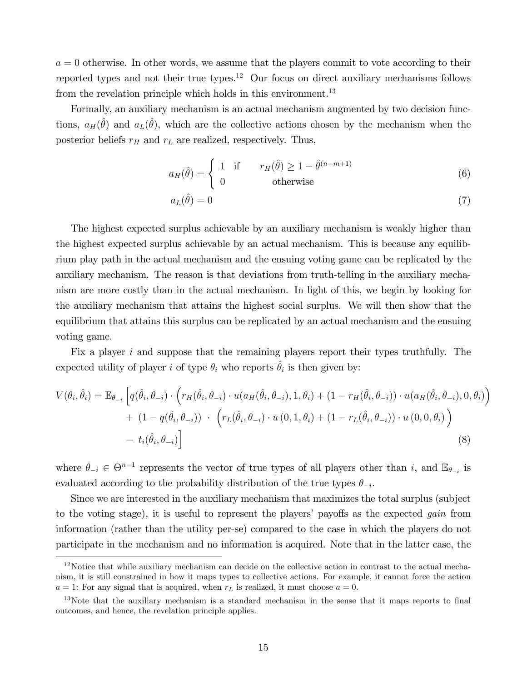$a = 0$  otherwise. In other words, we assume that the players commit to vote according to their reported types and not their true types.<sup>12</sup> Our focus on direct auxiliary mechanisms follows from the revelation principle which holds in this environment.<sup>13</sup>

Formally, an auxiliary mechanism is an actual mechanism augmented by two decision functions,  $a_H(\hat{\theta})$  and  $a_L(\hat{\theta})$ , which are the collective actions chosen by the mechanism when the posterior beliefs  $r_H$  and  $r_L$  are realized, respectively. Thus,

$$
a_H(\hat{\theta}) = \begin{cases} 1 & \text{if } r_H(\hat{\theta}) \ge 1 - \hat{\theta}^{(n-m+1)} \\ 0 & \text{otherwise} \end{cases}
$$
(6)

$$
a_L(\hat{\theta}) = 0 \tag{7}
$$

The highest expected surplus achievable by an auxiliary mechanism is weakly higher than the highest expected surplus achievable by an actual mechanism. This is because any equilibrium play path in the actual mechanism and the ensuing voting game can be replicated by the auxiliary mechanism. The reason is that deviations from truth-telling in the auxiliary mechanism are more costly than in the actual mechanism. In light of this, we begin by looking for the auxiliary mechanism that attains the highest social surplus. We will then show that the equilibrium that attains this surplus can be replicated by an actual mechanism and the ensuing voting game.

Fix a player i and suppose that the remaining players report their types truthfully. The expected utility of player i of type  $\theta_i$  who reports  $\hat{\theta}_i$  is then given by:

$$
V(\theta_{i}, \hat{\theta}_{i}) = \mathbb{E}_{\theta_{-i}} \left[ q(\hat{\theta}_{i}, \theta_{-i}) \cdot \left( r_{H}(\hat{\theta}_{i}, \theta_{-i}) \cdot u(a_{H}(\hat{\theta}_{i}, \theta_{-i}), 1, \theta_{i}) + (1 - r_{H}(\hat{\theta}_{i}, \theta_{-i})) \cdot u(a_{H}(\hat{\theta}_{i}, \theta_{-i}), 0, \theta_{i}) \right) \right] + (1 - q(\hat{\theta}_{i}, \theta_{-i})) \cdot \left( r_{L}(\hat{\theta}_{i}, \theta_{-i}) \cdot u(0, 1, \theta_{i}) + (1 - r_{L}(\hat{\theta}_{i}, \theta_{-i})) \cdot u(0, 0, \theta_{i}) \right) - t_{i}(\hat{\theta}_{i}, \theta_{-i}) \right]
$$
(8)

where  $\theta_{-i} \in \Theta^{n-1}$  represents the vector of true types of all players other than i, and  $\mathbb{E}_{\theta_{-i}}$  is evaluated according to the probability distribution of the true types  $\theta_{-i}$ .

Since we are interested in the auxiliary mechanism that maximizes the total surplus (subject to the voting stage), it is useful to represent the players' payoffs as the expected *gain* from information (rather than the utility per-se) compared to the case in which the players do not participate in the mechanism and no information is acquired. Note that in the latter case, the

<sup>&</sup>lt;sup>12</sup>Notice that while auxiliary mechanism can decide on the collective action in contrast to the actual mechanism, it is still constrained in how it maps types to collective actions. For example, it cannot force the action  $a = 1$ : For any signal that is acquired, when  $r<sub>L</sub>$  is realized, it must choose  $a = 0$ .

 $13$ Note that the auxiliary mechanism is a standard mechanism in the sense that it maps reports to final outcomes, and hence, the revelation principle applies.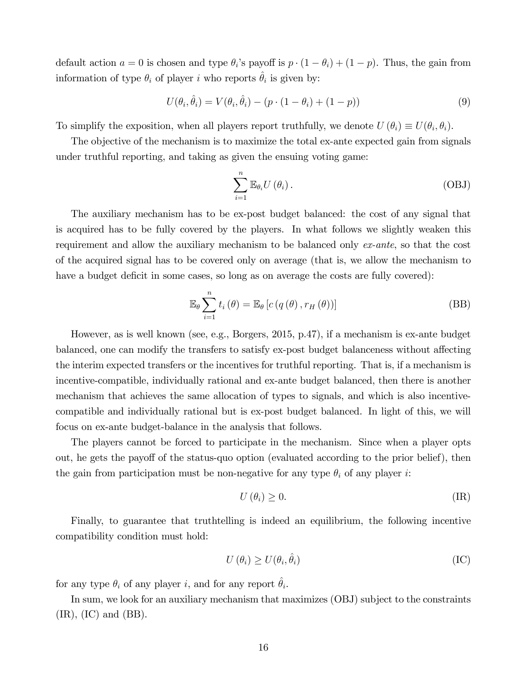default action  $a = 0$  is chosen and type  $\theta_i$ 's payoff is  $p \cdot (1 - \theta_i) + (1 - p)$ . Thus, the gain from information of type  $\theta_i$  of player i who reports  $\hat{\theta}_i$  is given by:

$$
U(\theta_i, \hat{\theta}_i) = V(\theta_i, \hat{\theta}_i) - (p \cdot (1 - \theta_i) + (1 - p))
$$
\n(9)

To simplify the exposition, when all players report truthfully, we denote  $U(\theta_i) \equiv U(\theta_i, \theta_i)$ .

The objective of the mechanism is to maximize the total ex-ante expected gain from signals under truthful reporting, and taking as given the ensuing voting game:

$$
\sum_{i=1}^{n} \mathbb{E}_{\theta_i} U(\theta_i).
$$
 (OBJ)

The auxiliary mechanism has to be ex-post budget balanced: the cost of any signal that is acquired has to be fully covered by the players. In what follows we slightly weaken this requirement and allow the auxiliary mechanism to be balanced only ex-ante, so that the cost of the acquired signal has to be covered only on average (that is, we allow the mechanism to have a budget deficit in some cases, so long as on average the costs are fully covered):

$$
\mathbb{E}_{\theta} \sum_{i=1}^{n} t_{i}(\theta) = \mathbb{E}_{\theta} \left[ c(q(\theta), r_{H}(\theta)) \right]
$$
 (BB)

However, as is well known (see, e.g., Borgers, 2015, p.47), if a mechanism is ex-ante budget balanced, one can modify the transfers to satisfy ex-post budget balanceness without affecting the interim expected transfers or the incentives for truthful reporting. That is, if a mechanism is incentive-compatible, individually rational and ex-ante budget balanced, then there is another mechanism that achieves the same allocation of types to signals, and which is also incentivecompatible and individually rational but is ex-post budget balanced. In light of this, we will focus on ex-ante budget-balance in the analysis that follows.

The players cannot be forced to participate in the mechanism. Since when a player opts out, he gets the payoff of the status-quo option (evaluated according to the prior belief), then the gain from participation must be non-negative for any type  $\theta_i$  of any player i:

$$
U(\theta_i) \ge 0. \tag{IR}
$$

Finally, to guarantee that truthtelling is indeed an equilibrium, the following incentive compatibility condition must hold:

$$
U(\theta_i) \ge U(\theta_i, \hat{\theta}_i) \tag{IC}
$$

for any type  $\theta_i$  of any player i, and for any report  $\hat{\theta}_i$ .

In sum, we look for an auxiliary mechanism that maximizes (OBJ) subject to the constraints  $(IR)$ ,  $(IC)$  and  $(BB)$ .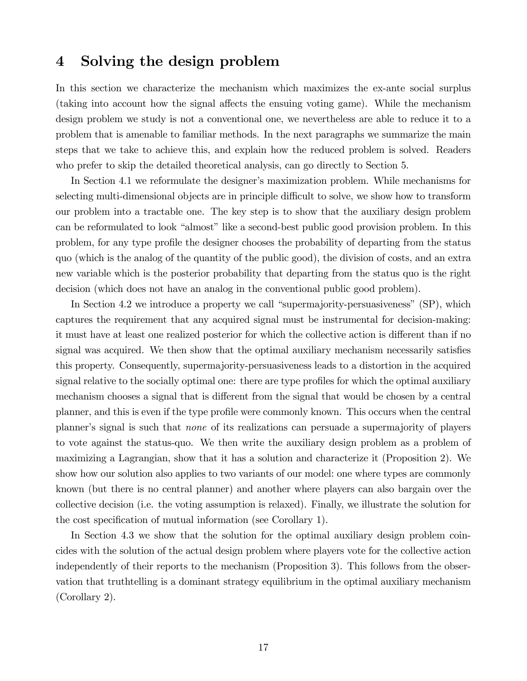### 4 Solving the design problem

In this section we characterize the mechanism which maximizes the ex-ante social surplus (taking into account how the signal affects the ensuing voting game). While the mechanism design problem we study is not a conventional one, we nevertheless are able to reduce it to a problem that is amenable to familiar methods. In the next paragraphs we summarize the main steps that we take to achieve this, and explain how the reduced problem is solved. Readers who prefer to skip the detailed theoretical analysis, can go directly to Section 5.

In Section 4.1 we reformulate the designer's maximization problem. While mechanisms for selecting multi-dimensional objects are in principle difficult to solve, we show how to transform our problem into a tractable one. The key step is to show that the auxiliary design problem can be reformulated to look "almost" like a second-best public good provision problem. In this problem, for any type profile the designer chooses the probability of departing from the status quo (which is the analog of the quantity of the public good), the division of costs, and an extra new variable which is the posterior probability that departing from the status quo is the right decision (which does not have an analog in the conventional public good problem).

In Section 4.2 we introduce a property we call "supermajority-persuasiveness"  $(SP)$ , which captures the requirement that any acquired signal must be instrumental for decision-making: it must have at least one realized posterior for which the collective action is different than if no signal was acquired. We then show that the optimal auxiliary mechanism necessarily satisfies this property. Consequently, supermajority-persuasiveness leads to a distortion in the acquired signal relative to the socially optimal one: there are type profiles for which the optimal auxiliary mechanism chooses a signal that is different from the signal that would be chosen by a central planner, and this is even if the type profile were commonly known. This occurs when the central planner's signal is such that *none* of its realizations can persuade a supermajority of players to vote against the status-quo. We then write the auxiliary design problem as a problem of maximizing a Lagrangian, show that it has a solution and characterize it (Proposition 2). We show how our solution also applies to two variants of our model: one where types are commonly known (but there is no central planner) and another where players can also bargain over the collective decision (i.e. the voting assumption is relaxed). Finally, we illustrate the solution for the cost specification of mutual information (see Corollary 1).

In Section 4.3 we show that the solution for the optimal auxiliary design problem coincides with the solution of the actual design problem where players vote for the collective action independently of their reports to the mechanism (Proposition 3). This follows from the observation that truthtelling is a dominant strategy equilibrium in the optimal auxiliary mechanism (Corollary 2).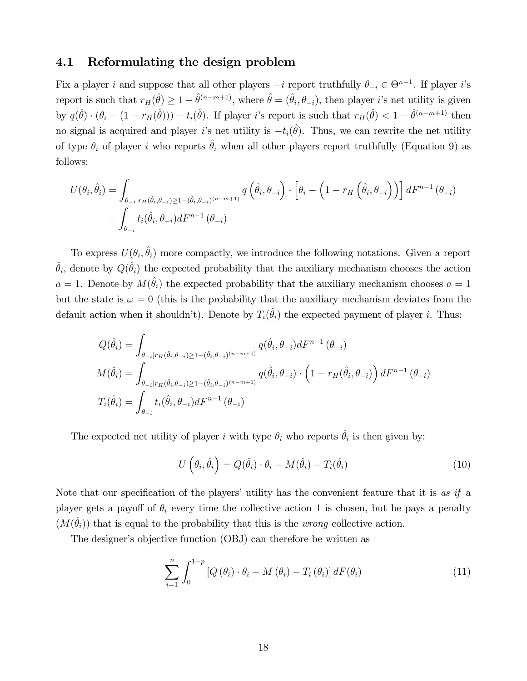### 4.1 Reformulating the design problem

Fix a player i and suppose that all other players  $-i$  report truthfully  $\theta_{-i} \in \Theta^{n-1}$ . If player i's report is such that  $r_H(\hat{\theta}) \geq 1 - \hat{\theta}^{(n-m+1)}$ , where  $\hat{\theta} = (\hat{\theta}_i, \theta_{-i})$ , then player *i*'s net utility is given by  $q(\hat{\theta}) \cdot (\theta_i - (1 - r_H(\hat{\theta}))) - t_i(\hat{\theta})$ . If player is report is such that  $r_H(\hat{\theta}) < 1 - \hat{\theta}^{(n-m+1)}$  then no signal is acquired and player *i*'s net utility is  $-t_i(\hat{\theta})$ . Thus, we can rewrite the net utility of type  $\theta_i$  of player i who reports  $\hat{\theta}_i$  when all other players report truthfully (Equation 9) as follows:

$$
U(\theta_i, \hat{\theta}_i) = \int_{\theta_{-i}|r_H(\hat{\theta}_i, \theta_{-i}) \ge 1 - (\hat{\theta}_i, \theta_{-i})^{(n-m+1)}} q\left(\hat{\theta}_i, \theta_{-i}\right) \cdot \left[\theta_i - \left(1 - r_H\left(\hat{\theta}_i, \theta_{-i}\right)\right)\right] dF^{n-1}\left(\theta_{-i}\right)
$$

$$
- \int_{\theta_{-i}} t_i(\hat{\theta}_i, \theta_{-i}) dF^{n-1}\left(\theta_{-i}\right)
$$

To express  $U(\theta_i, \hat{\theta}_i)$  more compactly, we introduce the following notations. Given a report  $\hat{\theta}_i$ , denote by  $Q(\hat{\theta}_i)$  the expected probability that the auxiliary mechanism chooses the action  $a = 1$ . Denote by  $M(\hat{\theta}_i)$  the expected probability that the auxiliary mechanism chooses  $a = 1$ but the state is  $\omega = 0$  (this is the probability that the auxiliary mechanism deviates from the default action when it shouldn't). Denote by  $T_i(\hat{\theta}_i)$  the expected payment of player i. Thus:

$$
Q(\hat{\theta}_i) = \int_{\theta_{-i}|r_H(\hat{\theta}_i, \theta_{-i}) \ge 1 - (\hat{\theta}_i, \theta_{-i})^{(n-m+1)}} q(\hat{\theta}_i, \theta_{-i}) dF^{n-1}(\theta_{-i})
$$

$$
M(\hat{\theta}_i) = \int_{\theta_{-i}|r_H(\hat{\theta}_i, \theta_{-i}) \ge 1 - (\hat{\theta}_i, \theta_{-i})^{(n-m+1)}} q(\hat{\theta}_i, \theta_{-i}) \cdot \left(1 - r_H(\hat{\theta}_i, \theta_{-i})\right) dF^{n-1}(\theta_{-i})
$$

$$
T_i(\hat{\theta}_i) = \int_{\theta_{-i}} t_i(\hat{\theta}_i, \theta_{-i}) dF^{n-1}(\theta_{-i})
$$

The expected net utility of player i with type  $\theta_i$  who reports  $\hat{\theta}_i$  is then given by:

$$
U\left(\theta_i, \hat{\theta}_i\right) = Q(\hat{\theta}_i) \cdot \theta_i - M(\hat{\theta}_i) - T_i(\hat{\theta}_i)
$$
\n(10)

Note that our specification of the players' utility has the convenient feature that it is as if a player gets a payoff of  $\theta_i$  every time the collective action 1 is chosen, but he pays a penalty  $(M(\hat{\theta}_i))$  that is equal to the probability that this is the *wrong* collective action.

The designer's objective function (OBJ) can therefore be written as

$$
\sum_{i=1}^{n} \int_{0}^{1-p} \left[ Q\left(\theta_{i}\right) \cdot \theta_{i} - M\left(\theta_{i}\right) - T_{i}\left(\theta_{i}\right) \right] dF(\theta_{i}) \tag{11}
$$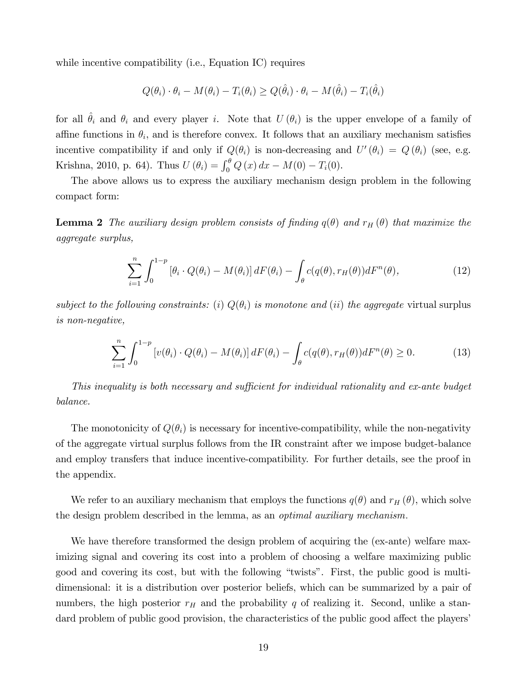while incentive compatibility (i.e., Equation IC) requires

$$
Q(\theta_i) \cdot \theta_i - M(\theta_i) - T_i(\theta_i) \ge Q(\hat{\theta}_i) \cdot \theta_i - M(\hat{\theta}_i) - T_i(\hat{\theta}_i)
$$

for all  $\hat{\theta}_i$  and  $\theta_i$  and every player i. Note that  $U (\theta_i)$  is the upper envelope of a family of affine functions in  $\theta_i$ , and is therefore convex. It follows that an auxiliary mechanism satisfies incentive compatibility if and only if  $Q(\theta_i)$  is non-decreasing and  $U'(\theta_i) = Q(\theta_i)$  (see, e.g. Krishna, 2010, p. 64). Thus  $U(\theta_i) = \int_0^{\theta} Q(x) dx - M(0) - T_i(0)$ .

The above allows us to express the auxiliary mechanism design problem in the following compact form:

**Lemma 2** The auxiliary design problem consists of finding  $q(\theta)$  and  $r_H(\theta)$  that maximize the aggregate surplus,

$$
\sum_{i=1}^{n} \int_{0}^{1-p} \left[\theta_i \cdot Q(\theta_i) - M(\theta_i)\right] dF(\theta_i) - \int_{\theta} c(q(\theta), r_H(\theta)) dF^n(\theta),\tag{12}
$$

subject to the following constraints: (i)  $Q(\theta_i)$  is monotone and (ii) the aggregate virtual surplus is non-negative,

$$
\sum_{i=1}^{n} \int_{0}^{1-p} \left[ v(\theta_i) \cdot Q(\theta_i) - M(\theta_i) \right] dF(\theta_i) - \int_{\theta} c(q(\theta), r_H(\theta)) dF^n(\theta) \ge 0.
$$
 (13)

This inequality is both necessary and sufficient for individual rationality and ex-ante budget balance.

The monotonicity of  $Q(\theta_i)$  is necessary for incentive-compatibility, while the non-negativity of the aggregate virtual surplus follows from the IR constraint after we impose budget-balance and employ transfers that induce incentive-compatibility. For further details, see the proof in the appendix.

We refer to an auxiliary mechanism that employs the functions  $q(\theta)$  and  $r_H(\theta)$ , which solve the design problem described in the lemma, as an *optimal auxiliary mechanism*.

We have therefore transformed the design problem of acquiring the (ex-ante) welfare maximizing signal and covering its cost into a problem of choosing a welfare maximizing public good and covering its cost, but with the following "twists". First, the public good is multidimensional: it is a distribution over posterior beliefs, which can be summarized by a pair of numbers, the high posterior  $r_H$  and the probability q of realizing it. Second, unlike a standard problem of public good provision, the characteristics of the public good affect the players'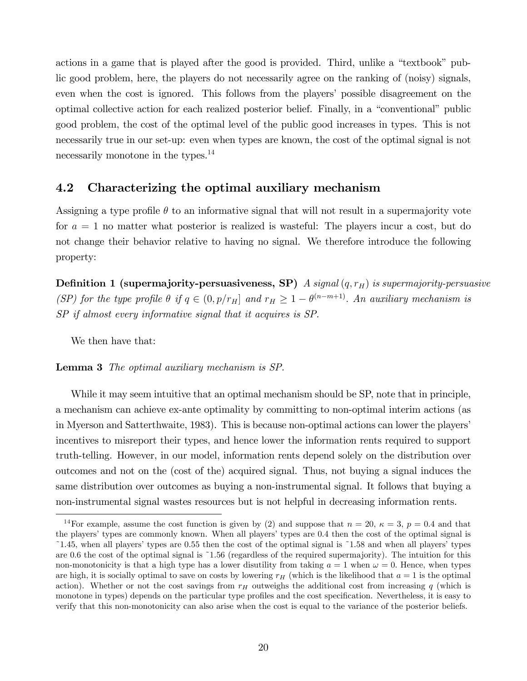actions in a game that is played after the good is provided. Third, unlike a "textbook" public good problem, here, the players do not necessarily agree on the ranking of (noisy) signals, even when the cost is ignored. This follows from the players' possible disagreement on the optimal collective action for each realized posterior belief. Finally, in a "conventional" public good problem, the cost of the optimal level of the public good increases in types. This is not necessarily true in our set-up: even when types are known, the cost of the optimal signal is not necessarily monotone in the types.<sup>14</sup>

### 4.2 Characterizing the optimal auxiliary mechanism

Assigning a type profile  $\theta$  to an informative signal that will not result in a supermajority vote for  $a = 1$  no matter what posterior is realized is wasteful: The players incur a cost, but do not change their behavior relative to having no signal. We therefore introduce the following property:

**Definition 1 (supermajority-persuasiveness, SP)** A signal  $(q, r_H)$  is supermajority-persuasive (SP) for the type profile  $\theta$  if  $q \in (0, p/r_H]$  and  $r_H \geq 1 - \theta^{(n-m+1)}$ . An auxiliary mechanism is SP if almost every informative signal that it acquires is SP.

We then have that:

#### Lemma 3 The optimal auxiliary mechanism is SP.

While it may seem intuitive that an optimal mechanism should be SP, note that in principle, a mechanism can achieve ex-ante optimality by committing to non-optimal interim actions (as in Myerson and Satterthwaite, 1983). This is because non-optimal actions can lower the players' incentives to misreport their types, and hence lower the information rents required to support truth-telling. However, in our model, information rents depend solely on the distribution over outcomes and not on the (cost of the) acquired signal. Thus, not buying a signal induces the same distribution over outcomes as buying a non-instrumental signal. It follows that buying a non-instrumental signal wastes resources but is not helpful in decreasing information rents.

<sup>&</sup>lt;sup>14</sup>For example, assume the cost function is given by (2) and suppose that  $n = 20$ ,  $\kappa = 3$ ,  $p = 0.4$  and that the players' types are commonly known. When all players' types are 0.4 then the cost of the optimal signal is  $^{\circ}1.45$ , when all players' types are 0.55 then the cost of the optimal signal is  $^{\circ}1.58$  and when all players' types are 0.6 the cost of the optimal signal is  $1.56$  (regardless of the required supermajority). The intuition for this non-monotonicity is that a high type has a lower disutility from taking  $a = 1$  when  $\omega = 0$ . Hence, when types are high, it is socially optimal to save on costs by lowering  $r_H$  (which is the likelihood that  $a = 1$  is the optimal action). Whether or not the cost savings from  $r_H$  outweighs the additional cost from increasing q (which is monotone in types) depends on the particular type profiles and the cost specification. Nevertheless, it is easy to verify that this non-monotonicity can also arise when the cost is equal to the variance of the posterior beliefs.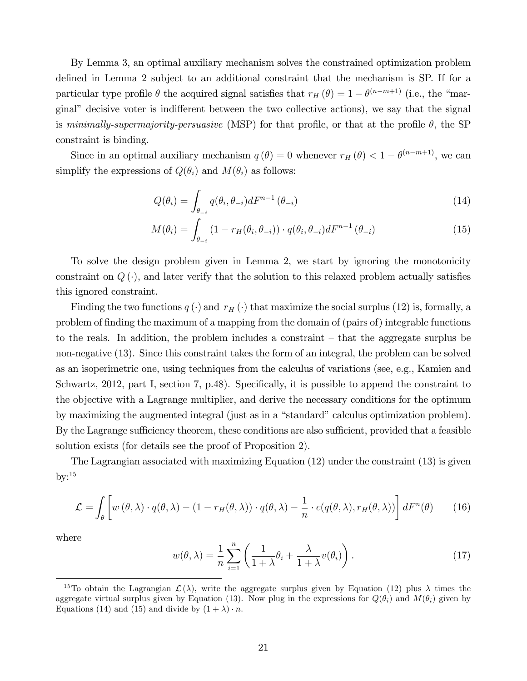By Lemma 3, an optimal auxiliary mechanism solves the constrained optimization problem defined in Lemma 2 subject to an additional constraint that the mechanism is SP. If for a particular type profile  $\theta$  the acquired signal satisfies that  $r_H(\theta) = 1 - \theta^{(n-m+1)}$  (i.e., the "marginal" decisive voter is indifferent between the two collective actions), we say that the signal is minimally-supermajority-persuasive (MSP) for that profile, or that at the profile  $\theta$ , the SP constraint is binding.

Since in an optimal auxiliary mechanism  $q(\theta) = 0$  whenever  $r_H(\theta) < 1 - \theta^{(n-m+1)}$ , we can simplify the expressions of  $Q(\theta_i)$  and  $M(\theta_i)$  as follows:

$$
Q(\theta_i) = \int_{\theta_{-i}} q(\theta_i, \theta_{-i}) dF^{n-1}(\theta_{-i})
$$
\n(14)

$$
M(\theta_i) = \int_{\theta_{-i}} \left(1 - r_H(\theta_i, \theta_{-i})\right) \cdot q(\theta_i, \theta_{-i}) dF^{n-1}(\theta_{-i})
$$
\n(15)

To solve the design problem given in Lemma 2, we start by ignoring the monotonicity constraint on  $Q(\cdot)$ , and later verify that the solution to this relaxed problem actually satisfies this ignored constraint.

Finding the two functions  $q(\cdot)$  and  $r_H(\cdot)$  that maximize the social surplus (12) is, formally, a problem of Önding the maximum of a mapping from the domain of (pairs of) integrable functions to the reals. In addition, the problem includes a constraint  $-$  that the aggregate surplus be non-negative (13). Since this constraint takes the form of an integral, the problem can be solved as an isoperimetric one, using techniques from the calculus of variations (see, e.g., Kamien and Schwartz, 2012, part I, section 7, p.48). Specifically, it is possible to append the constraint to the objective with a Lagrange multiplier, and derive the necessary conditions for the optimum by maximizing the augmented integral (just as in a "standard" calculus optimization problem). By the Lagrange sufficiency theorem, these conditions are also sufficient, provided that a feasible solution exists (for details see the proof of Proposition 2).

The Lagrangian associated with maximizing Equation (12) under the constraint (13) is given  $bv:$ <sup>15</sup>

$$
\mathcal{L} = \int_{\theta} \left[ w(\theta, \lambda) \cdot q(\theta, \lambda) - (1 - r_H(\theta, \lambda)) \cdot q(\theta, \lambda) - \frac{1}{n} \cdot c(q(\theta, \lambda), r_H(\theta, \lambda)) \right] dF^{n}(\theta)
$$
(16)

where

$$
w(\theta,\lambda) = \frac{1}{n} \sum_{i=1}^{n} \left( \frac{1}{1+\lambda} \theta_i + \frac{\lambda}{1+\lambda} v(\theta_i) \right).
$$
 (17)

<sup>&</sup>lt;sup>15</sup>To obtain the Lagrangian  $\mathcal{L}(\lambda)$ , write the aggregate surplus given by Equation (12) plus  $\lambda$  times the aggregate virtual surplus given by Equation (13). Now plug in the expressions for  $Q(\theta_i)$  and  $M(\theta_i)$  given by Equations (14) and (15) and divide by  $(1 + \lambda) \cdot n$ .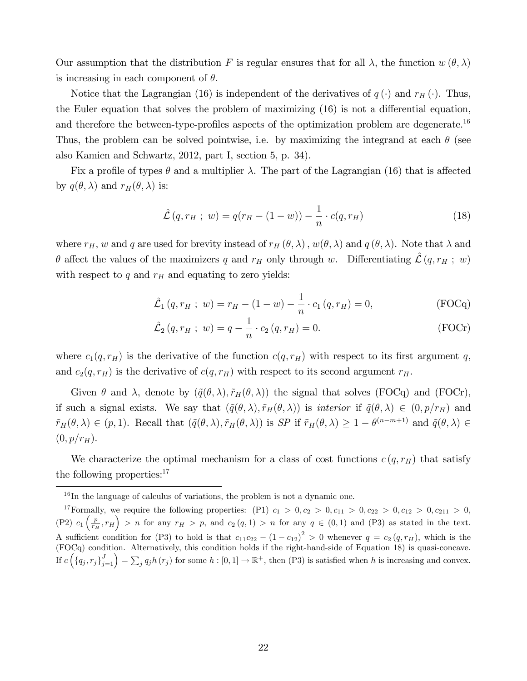Our assumption that the distribution F is regular ensures that for all  $\lambda$ , the function  $w(\theta, \lambda)$ is increasing in each component of  $\theta$ .

Notice that the Lagrangian (16) is independent of the derivatives of  $q(\cdot)$  and  $r_H(\cdot)$ . Thus, the Euler equation that solves the problem of maximizing  $(16)$  is not a differential equation, and therefore the between-type-profiles aspects of the optimization problem are degenerate.<sup>16</sup> Thus, the problem can be solved pointwise, i.e. by maximizing the integrand at each  $\theta$  (see also Kamien and Schwartz, 2012, part I, section 5, p. 34).

Fix a profile of types  $\theta$  and a multiplier  $\lambda$ . The part of the Lagrangian (16) that is affected by  $q(\theta, \lambda)$  and  $r_H(\theta, \lambda)$  is:

$$
\hat{\mathcal{L}}(q, r_H ; w) = q(r_H - (1 - w)) - \frac{1}{n} \cdot c(q, r_H)
$$
\n(18)

where  $r_H$ , w and q are used for brevity instead of  $r_H(\theta, \lambda)$ ,  $w(\theta, \lambda)$  and  $q(\theta, \lambda)$ . Note that  $\lambda$  and  $\theta$  affect the values of the maximizers q and  $r_H$  only through w. Differentiating  $\mathcal{L} (q, r_H ; w)$ with respect to  $q$  and  $r_H$  and equating to zero yields:

$$
\hat{\mathcal{L}}_1(q, r_H ; w) = r_H - (1 - w) - \frac{1}{n} \cdot c_1(q, r_H) = 0,
$$
 (FOCq)

$$
\hat{\mathcal{L}}_2(q, r_H ; w) = q - \frac{1}{n} \cdot c_2(q, r_H) = 0.
$$
 (FOCr)

where  $c_1(q, r_H)$  is the derivative of the function  $c(q, r_H)$  with respect to its first argument q, and  $c_2(q, r_H)$  is the derivative of  $c(q, r_H)$  with respect to its second argument  $r_H$ .

Given  $\theta$  and  $\lambda$ , denote by  $(\tilde{q}(\theta,\lambda), \tilde{r}_H(\theta,\lambda))$  the signal that solves (FOCq) and (FOCr), if such a signal exists. We say that  $({\tilde q}(\theta,\lambda),{\tilde r}_H(\theta,\lambda))$  is *interior* if  ${\tilde q}(\theta,\lambda) \in (0,p/r_H)$  and  $\tilde{r}_H(\theta,\lambda) \in (p,1)$ . Recall that  $(\tilde{q}(\theta,\lambda), \tilde{r}_H(\theta,\lambda))$  is SP if  $\tilde{r}_H(\theta,\lambda) \geq 1 - \theta^{(n-m+1)}$  and  $\tilde{q}(\theta,\lambda) \in$  $(0, p/r_H)$ .

We characterize the optimal mechanism for a class of cost functions  $c(q, r_H)$  that satisfy the following properties:<sup>17</sup>

<sup>16</sup> In the language of calculus of variations, the problem is not a dynamic one.

<sup>&</sup>lt;sup>17</sup>Formally, we require the following properties: (P1)  $c_1 > 0, c_2 > 0, c_{11} > 0, c_{22} > 0, c_{12} > 0, c_{211} > 0,$  $(P2)$   $c_1\left(\frac{p}{r_H}, r_H\right) > n$  for any  $r_H > p$ , and  $c_2(q, 1) > n$  for any  $q \in (0, 1)$  and  $(P3)$  as stated in the text. A sufficient condition for (P3) to hold is that  $c_{11}c_{22} - (1 - c_{12})^2 > 0$  whenever  $q = c_2(q, r_H)$ , which is the (FOCq) condition. Alternatively, this condition holds if the right-hand-side of Equation 18) is quasi-concave. If  $c\left(\left\{q_j, r_j\right\}_{j=1}^J\right) = \sum_j q_j h\left(r_j\right)$  for some  $h : [0,1] \to \mathbb{R}^+$ , then  $(P3)$  is satisfied when h is increasing and convex.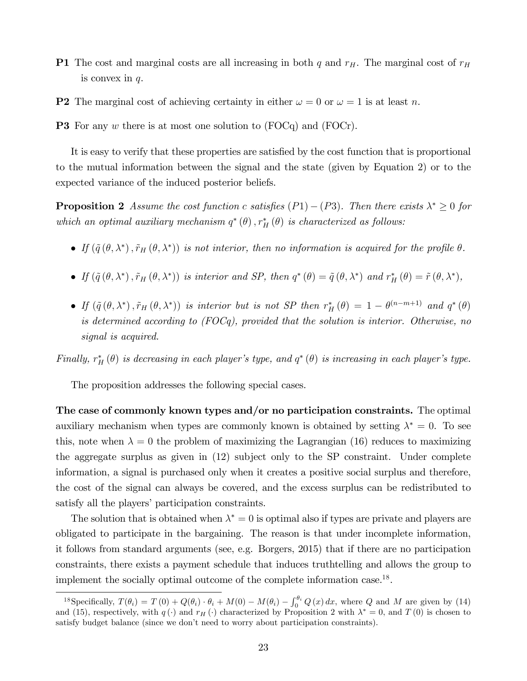- **P1** The cost and marginal costs are all increasing in both  $q$  and  $r_H$ . The marginal cost of  $r_H$ is convex in  $q$ .
- **P2** The marginal cost of achieving certainty in either  $\omega = 0$  or  $\omega = 1$  is at least n.

**P3** For any w there is at most one solution to (FOCq) and (FOCr).

It is easy to verify that these properties are satisfied by the cost function that is proportional to the mutual information between the signal and the state (given by Equation 2) or to the expected variance of the induced posterior beliefs.

**Proposition 2** Assume the cost function c satisfies  $(P1) - (P3)$ . Then there exists  $\lambda^* \geq 0$  for which an optimal auxiliary mechanism  $q^*(\theta)$ ,  $r_H^*(\theta)$  is characterized as follows:

- If  $(\tilde{q}(\theta, \lambda^*), \tilde{r}_H(\theta, \lambda^*))$  is not interior, then no information is acquired for the profile  $\theta$ .
- If  $(\tilde{q}(\theta, \lambda^*), \tilde{r}_H(\theta, \lambda^*))$  is interior and SP, then  $q^*(\theta) = \tilde{q}(\theta, \lambda^*)$  and  $r_H^*(\theta) = \tilde{r}(\theta, \lambda^*),$
- If  $(\tilde{q}(\theta,\lambda^*), \tilde{r}_H(\theta,\lambda^*))$  is interior but is not SP then  $r_H^*(\theta) = 1 \theta^{(n-m+1)}$  and  $q^*(\theta)$ is determined according to (FOCq), provided that the solution is interior. Otherwise, no signal is acquired.

Finally,  $r_H^*(\theta)$  is decreasing in each player's type, and  $q^*(\theta)$  is increasing in each player's type.

The proposition addresses the following special cases.

The case of commonly known types and/or no participation constraints. The optimal auxiliary mechanism when types are commonly known is obtained by setting  $\lambda^* = 0$ . To see this, note when  $\lambda = 0$  the problem of maximizing the Lagrangian (16) reduces to maximizing the aggregate surplus as given in (12) subject only to the SP constraint. Under complete information, a signal is purchased only when it creates a positive social surplus and therefore, the cost of the signal can always be covered, and the excess surplus can be redistributed to satisfy all the players' participation constraints.

The solution that is obtained when  $\lambda^* = 0$  is optimal also if types are private and players are obligated to participate in the bargaining. The reason is that under incomplete information, it follows from standard arguments (see, e.g. Borgers, 2015) that if there are no participation constraints, there exists a payment schedule that induces truthtelling and allows the group to implement the socially optimal outcome of the complete information case.<sup>18</sup>.

<sup>&</sup>lt;sup>18</sup>Specifically,  $T(\theta_i) = T(0) + Q(\theta_i) \cdot \theta_i + M(0) - M(\theta_i) - \int_0^{\theta_i} Q(x) dx$ , where Q and M are given by (14) and (15), respectively, with  $q(\cdot)$  and  $r_H(\cdot)$  characterized by Proposition 2 with  $\lambda^* = 0$ , and  $T(0)$  is chosen to satisfy budget balance (since we don't need to worry about participation constraints).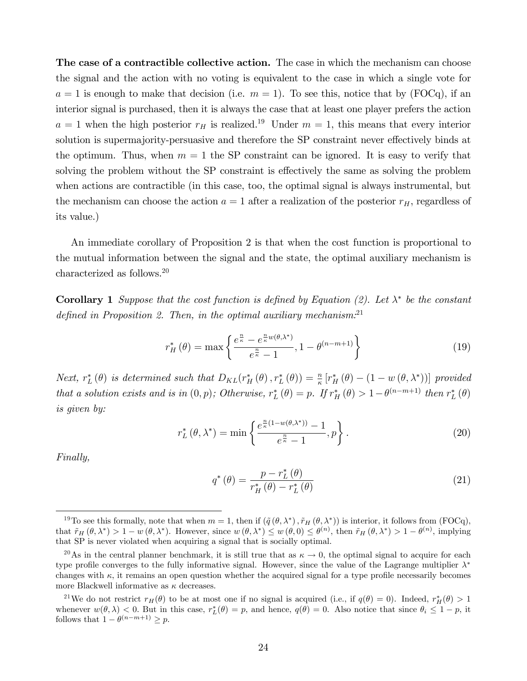The case of a contractible collective action. The case in which the mechanism can choose the signal and the action with no voting is equivalent to the case in which a single vote for  $a = 1$  is enough to make that decision (i.e.  $m = 1$ ). To see this, notice that by (FOCq), if an interior signal is purchased, then it is always the case that at least one player prefers the action  $a = 1$  when the high posterior  $r_H$  is realized.<sup>19</sup> Under  $m = 1$ , this means that every interior solution is supermajority-persuasive and therefore the SP constraint never effectively binds at the optimum. Thus, when  $m = 1$  the SP constraint can be ignored. It is easy to verify that solving the problem without the SP constraint is effectively the same as solving the problem when actions are contractible (in this case, too, the optimal signal is always instrumental, but the mechanism can choose the action  $a = 1$  after a realization of the posterior  $r_H$ , regardless of its value.)

An immediate corollary of Proposition 2 is that when the cost function is proportional to the mutual information between the signal and the state, the optimal auxiliary mechanism is characterized as follows.<sup>20</sup>

**Corollary 1** Suppose that the cost function is defined by Equation (2). Let  $\lambda^*$  be the constant defined in Proposition 2. Then, in the optimal auxiliary mechanism. $^{21}$ 

$$
r_H^*\left(\theta\right) = \max\left\{\frac{e^{\frac{n}{\kappa}} - e^{\frac{n}{\kappa}w(\theta,\lambda^*)}}{e^{\frac{n}{\kappa}} - 1}, 1 - \theta^{(n-m+1)}\right\}
$$
(19)

Next,  $r_L^*(\theta)$  is determined such that  $D_{KL}(r_H^*(\theta), r_L^*(\theta)) = \frac{n}{\kappa} [r_H^*(\theta) - (1 - w(\theta, \lambda^*))]$  provided that a solution exists and is in  $(0, p)$ ; Otherwise,  $r_L^* (\theta) = p$ . If  $r_H^* (\theta) > 1 - \theta^{(n-m+1)}$  then  $r_L^* (\theta)$ is given by:

$$
r_L^*\left(\theta,\lambda^*\right) = \min\left\{\frac{e^{\frac{n}{\kappa}(1-w(\theta,\lambda^*))}-1}{e^{\frac{n}{\kappa}}-1},p\right\}.
$$
\n(20)

Finally,

$$
q^*(\theta) = \frac{p - r_L^*(\theta)}{r_H^*(\theta) - r_L^*(\theta)}
$$
\n(21)

<sup>&</sup>lt;sup>19</sup>To see this formally, note that when  $m = 1$ , then if  $(\tilde{q}(\theta, \lambda^*), \tilde{r}_H(\theta, \lambda^*))$  is interior, it follows from (FOCq), that  $\tilde{r}_H(\theta, \lambda^*) > 1 - w(\theta, \lambda^*)$ . However, since  $w(\theta, \lambda^*) \leq w(\theta, 0) \leq \theta^{(n)}$ , then  $\tilde{r}_H(\theta, \lambda^*) > 1 - \theta^{(n)}$ , implying that SP is never violated when acquiring a signal that is socially optimal.

<sup>&</sup>lt;sup>20</sup>As in the central planner benchmark, it is still true that as  $\kappa \to 0$ , the optimal signal to acquire for each type profile converges to the fully informative signal. However, since the value of the Lagrange multiplier  $\lambda^*$ changes with  $\kappa$ , it remains an open question whether the acquired signal for a type profile necessarily becomes more Blackwell informative as  $\kappa$  decreases.

<sup>&</sup>lt;sup>21</sup>We do not restrict  $r_H(\theta)$  to be at most one if no signal is acquired (i.e., if  $q(\theta) = 0$ ). Indeed,  $r_H^*(\theta) > 1$ whenever  $w(\theta, \lambda) < 0$ . But in this case,  $r_L^*(\theta) = p$ , and hence,  $q(\theta) = 0$ . Also notice that since  $\theta_i \leq 1 - p$ , it follows that  $1 - \theta^{(n-m+1)} \geq p$ .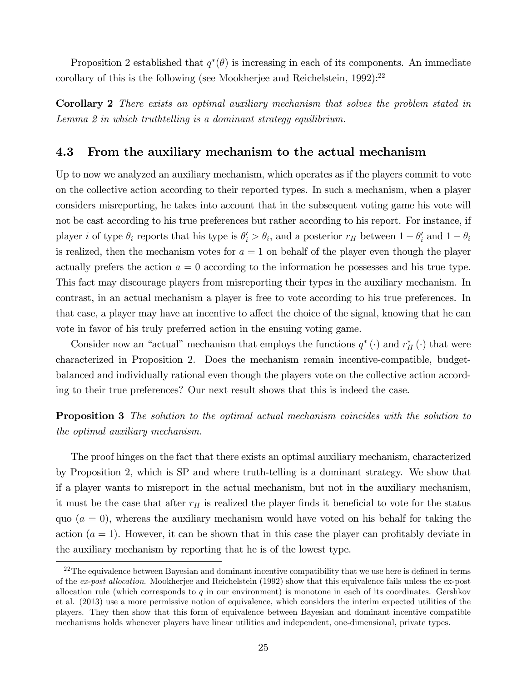Proposition 2 established that  $q^*(\theta)$  is increasing in each of its components. An immediate corollary of this is the following (see Mookherjee and Reichelstein,  $1992$ ):<sup>22</sup>

Corollary 2 There exists an optimal auxiliary mechanism that solves the problem stated in Lemma 2 in which truthtelling is a dominant strategy equilibrium.

#### 4.3 From the auxiliary mechanism to the actual mechanism

Up to now we analyzed an auxiliary mechanism, which operates as if the players commit to vote on the collective action according to their reported types. In such a mechanism, when a player considers misreporting, he takes into account that in the subsequent voting game his vote will not be cast according to his true preferences but rather according to his report. For instance, if player *i* of type  $\theta_i$  reports that his type is  $\theta'_i > \theta_i$ , and a posterior  $r_H$  between  $1 - \theta'_i$  and  $1 - \theta_i$ is realized, then the mechanism votes for  $a = 1$  on behalf of the player even though the player actually prefers the action  $a = 0$  according to the information he possesses and his true type. This fact may discourage players from misreporting their types in the auxiliary mechanism. In contrast, in an actual mechanism a player is free to vote according to his true preferences. In that case, a player may have an incentive to affect the choice of the signal, knowing that he can vote in favor of his truly preferred action in the ensuing voting game.

Consider now an "actual" mechanism that employs the functions  $q^*$  ( $\cdot$ ) and  $r_H^*$  ( $\cdot$ ) that were characterized in Proposition 2. Does the mechanism remain incentive-compatible, budgetbalanced and individually rational even though the players vote on the collective action according to their true preferences? Our next result shows that this is indeed the case.

**Proposition 3** The solution to the optimal actual mechanism coincides with the solution to the optimal auxiliary mechanism.

The proof hinges on the fact that there exists an optimal auxiliary mechanism, characterized by Proposition 2, which is SP and where truth-telling is a dominant strategy. We show that if a player wants to misreport in the actual mechanism, but not in the auxiliary mechanism, it must be the case that after  $r_H$  is realized the player finds it beneficial to vote for the status quo  $(a = 0)$ , whereas the auxiliary mechanism would have voted on his behalf for taking the action  $(a = 1)$ . However, it can be shown that in this case the player can profitably deviate in the auxiliary mechanism by reporting that he is of the lowest type.

 $22$ The equivalence between Bayesian and dominant incentive compatibility that we use here is defined in terms of the ex-post allocation. Mookherjee and Reichelstein (1992) show that this equivalence fails unless the ex-post allocation rule (which corresponds to q in our environment) is monotone in each of its coordinates. Gershkov et al. (2013) use a more permissive notion of equivalence, which considers the interim expected utilities of the players. They then show that this form of equivalence between Bayesian and dominant incentive compatible mechanisms holds whenever players have linear utilities and independent, one-dimensional, private types.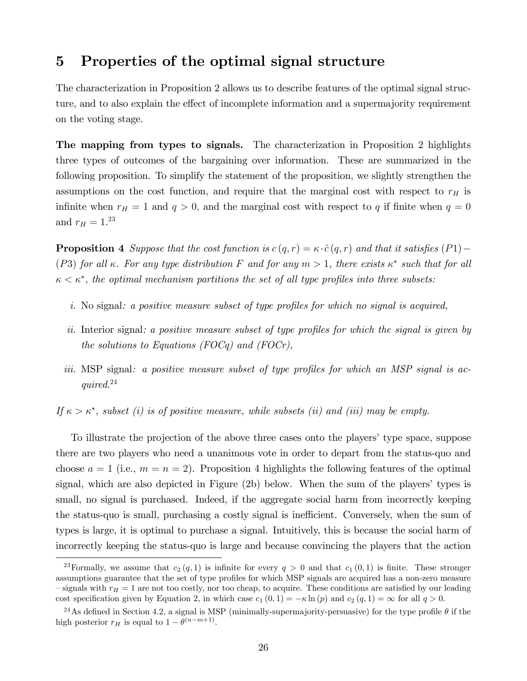### 5 Properties of the optimal signal structure

The characterization in Proposition 2 allows us to describe features of the optimal signal structure, and to also explain the effect of incomplete information and a supermajority requirement on the voting stage.

The mapping from types to signals. The characterization in Proposition 2 highlights three types of outcomes of the bargaining over information. These are summarized in the following proposition. To simplify the statement of the proposition, we slightly strengthen the assumptions on the cost function, and require that the marginal cost with respect to  $r_H$  is infinite when  $r_H = 1$  and  $q > 0$ , and the marginal cost with respect to q if finite when  $q = 0$ and  $r_H = 1.^{23}$ 

**Proposition 4** Suppose that the cost function is  $c(q, r) = \kappa \cdot \hat{c}(q, r)$  and that it satisfies (P1) – (P3) for all  $\kappa$ . For any type distribution F and for any  $m > 1$ , there exists  $\kappa^*$  such that for all  $\kappa < \kappa^*$ , the optimal mechanism partitions the set of all type profiles into three subsets:

- i. No signal: a positive measure subset of type profiles for which no signal is acquired,
- ii. Interior signal: a positive measure subset of type profiles for which the signal is given by the solutions to Equations (FOCq) and (FOCr),
- iii. MSP signal: a positive measure subset of type profiles for which an MSP signal is acquired.<sup>24</sup>

If  $\kappa > \kappa^*$ , subset (i) is of positive measure, while subsets (ii) and (iii) may be empty.

To illustrate the projection of the above three cases onto the players' type space, suppose there are two players who need a unanimous vote in order to depart from the status-quo and choose  $a = 1$  (i.e.,  $m = n = 2$ ). Proposition 4 highlights the following features of the optimal signal, which are also depicted in Figure (2b) below. When the sum of the players' types is small, no signal is purchased. Indeed, if the aggregate social harm from incorrectly keeping the status-quo is small, purchasing a costly signal is inefficient. Conversely, when the sum of types is large, it is optimal to purchase a signal. Intuitively, this is because the social harm of incorrectly keeping the status-quo is large and because convincing the players that the action

<sup>&</sup>lt;sup>23</sup>Formally, we assume that  $c_2(q, 1)$  is infinite for every  $q > 0$  and that  $c_1(0, 1)$  is finite. These stronger assumptions guarantee that the set of type profiles for which MSP signals are acquired has a non-zero measure  $\sim$  signals with  $r_H = 1$  are not too costly, nor too cheap, to acquire. These conditions are satisfied by our leading cost specification given by Equation 2, in which case  $c_1 (0, 1) = -\kappa \ln (p)$  and  $c_2 (q, 1) = \infty$  for all  $q > 0$ .

<sup>&</sup>lt;sup>24</sup>As defined in Section 4.2, a signal is MSP (minimally-supermajority-persuasive) for the type profile  $\theta$  if the high posterior  $r_H$  is equal to  $1 - \theta^{(n-m+1)}$ .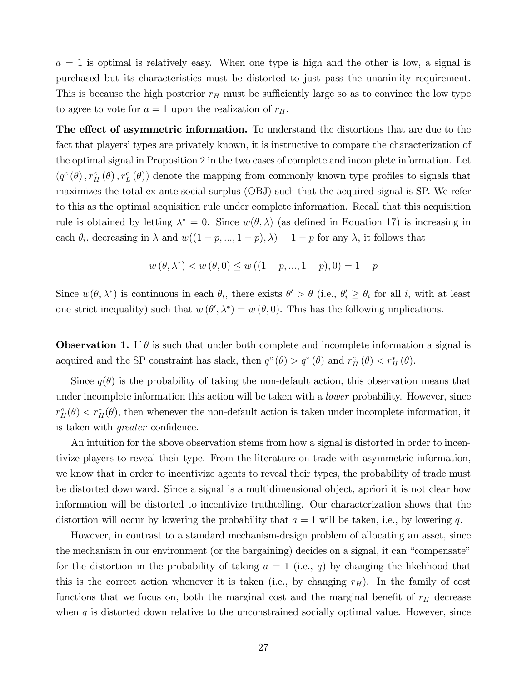$a = 1$  is optimal is relatively easy. When one type is high and the other is low, a signal is purchased but its characteristics must be distorted to just pass the unanimity requirement. This is because the high posterior  $r_H$  must be sufficiently large so as to convince the low type to agree to vote for  $a = 1$  upon the realization of  $r_H$ .

The effect of asymmetric information. To understand the distortions that are due to the fact that players' types are privately known, it is instructive to compare the characterization of the optimal signal in Proposition 2 in the two cases of complete and incomplete information. Let  $(q^c(\theta), r_H^c(\theta), r_L^c(\theta))$  denote the mapping from commonly known type profiles to signals that maximizes the total ex-ante social surplus (OBJ) such that the acquired signal is SP. We refer to this as the optimal acquisition rule under complete information. Recall that this acquisition rule is obtained by letting  $\lambda^* = 0$ . Since  $w(\theta, \lambda)$  (as defined in Equation 17) is increasing in each  $\theta_i$ , decreasing in  $\lambda$  and  $w((1-p,...,1-p),\lambda) = 1-p$  for any  $\lambda$ , it follows that

$$
w(\theta, \lambda^*) < w(\theta, 0) \le w((1 - p, ..., 1 - p), 0) = 1 - p
$$

Since  $w(\theta, \lambda^*)$  is continuous in each  $\theta_i$ , there exists  $\theta' > \theta$  (i.e.,  $\theta'_i \ge \theta_i$  for all i, with at least one strict inequality) such that  $w(\theta', \lambda^*) = w(\theta, 0)$ . This has the following implications.

**Observation 1.** If  $\theta$  is such that under both complete and incomplete information a signal is acquired and the SP constraint has slack, then  $q^c(\theta) > q^*(\theta)$  and  $r_H^c(\theta) < r_H^*(\theta)$ .

Since  $q(\theta)$  is the probability of taking the non-default action, this observation means that under incomplete information this action will be taken with a *lower* probability. However, since  $r_H^c(\theta) < r_H^*(\theta)$ , then whenever the non-default action is taken under incomplete information, it is taken with *greater* confidence.

An intuition for the above observation stems from how a signal is distorted in order to incentivize players to reveal their type. From the literature on trade with asymmetric information, we know that in order to incentivize agents to reveal their types, the probability of trade must be distorted downward. Since a signal is a multidimensional object, apriori it is not clear how information will be distorted to incentivize truthtelling. Our characterization shows that the distortion will occur by lowering the probability that  $a = 1$  will be taken, i.e., by lowering q.

However, in contrast to a standard mechanism-design problem of allocating an asset, since the mechanism in our environment (or the bargaining) decides on a signal, it can "compensate" for the distortion in the probability of taking  $a = 1$  (i.e., q) by changing the likelihood that this is the correct action whenever it is taken (i.e., by changing  $r_H$ ). In the family of cost functions that we focus on, both the marginal cost and the marginal benefit of  $r_H$  decrease when  $q$  is distorted down relative to the unconstrained socially optimal value. However, since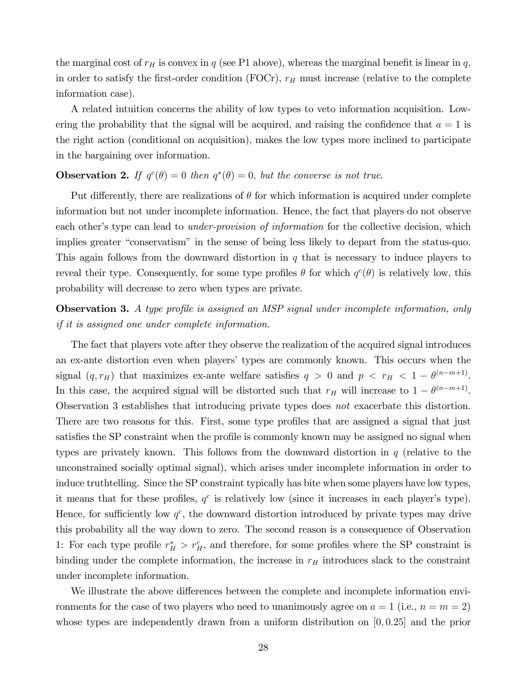the marginal cost of  $r_H$  is convex in q (see P1 above), whereas the marginal benefit is linear in q, in order to satisfy the first-order condition (FOCr),  $r_H$  must increase (relative to the complete information case).

A related intuition concerns the ability of low types to veto information acquisition. Lowering the probability that the signal will be acquired, and raising the confidence that  $a = 1$  is the right action (conditional on acquisition), makes the low types more inclined to participate in the bargaining over information.

### **Observation 2.** If  $q^c(\theta) = 0$  then  $q^*(\theta) = 0$ , but the converse is not true.

Put differently, there are realizations of  $\theta$  for which information is acquired under complete information but not under incomplete information. Hence, the fact that players do not observe each other's type can lead to *under-provision of information* for the collective decision, which implies greater "conservatism" in the sense of being less likely to depart from the status-quo. This again follows from the downward distortion in q that is necessary to induce players to reveal their type. Consequently, for some type profiles  $\theta$  for which  $q^c(\theta)$  is relatively low, this probability will decrease to zero when types are private.

**Observation 3.** A type profile is assigned an MSP signal under incomplete information, only if it is assigned one under complete information.

The fact that players vote after they observe the realization of the acquired signal introduces an ex-ante distortion even when playersí types are commonly known. This occurs when the signal  $(q, r_H)$  that maximizes ex-ante welfare satisfies  $q > 0$  and  $p < r_H < 1 - \theta^{(n-m+1)}$ . In this case, the acquired signal will be distorted such that  $r_H$  will increase to  $1 - \theta^{(n-m+1)}$ . Observation 3 establishes that introducing private types does not exacerbate this distortion. There are two reasons for this. First, some type profiles that are assigned a signal that just satisfies the SP constraint when the profile is commonly known may be assigned no signal when types are privately known. This follows from the downward distortion in q (relative to the unconstrained socially optimal signal), which arises under incomplete information in order to induce truthtelling. Since the SP constraint typically has bite when some players have low types, it means that for these profiles,  $q<sup>c</sup>$  is relatively low (since it increases in each player's type). Hence, for sufficiently low  $q^c$ , the downward distortion introduced by private types may drive this probability all the way down to zero. The second reason is a consequence of Observation 1: For each type profile  $r_H^* > r_H^c$ , and therefore, for some profiles where the SP constraint is binding under the complete information, the increase in  $r_H$  introduces slack to the constraint under incomplete information.

We illustrate the above differences between the complete and incomplete information environments for the case of two players who need to unanimously agree on  $a = 1$  (i.e.,  $n = m = 2$ ) whose types are independently drawn from a uniform distribution on  $[0, 0.25]$  and the prior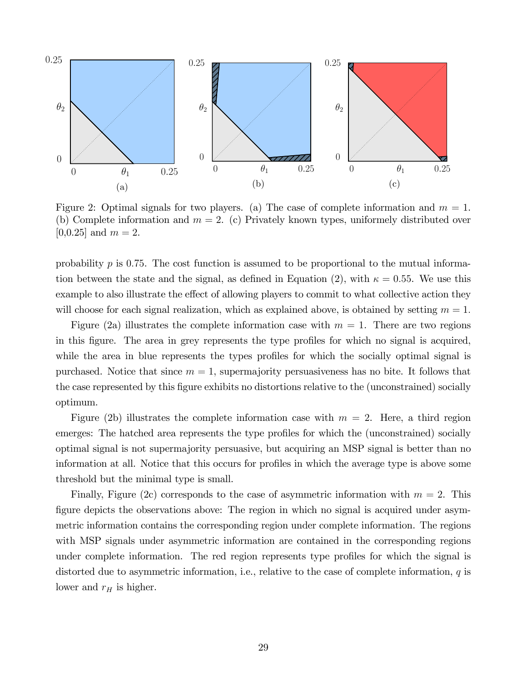

Figure 2: Optimal signals for two players. (a) The case of complete information and  $m = 1$ . (b) Complete information and  $m = 2$ . (c) Privately known types, uniformely distributed over [0,0.25] and  $m = 2$ .

probability  $p$  is 0.75. The cost function is assumed to be proportional to the mutual information between the state and the signal, as defined in Equation (2), with  $\kappa = 0.55$ . We use this example to also illustrate the effect of allowing players to commit to what collective action they will choose for each signal realization, which as explained above, is obtained by setting  $m = 1$ .

Figure (2a) illustrates the complete information case with  $m = 1$ . There are two regions in this figure. The area in grey represents the type profiles for which no signal is acquired, while the area in blue represents the types profiles for which the socially optimal signal is purchased. Notice that since  $m = 1$ , supermajority persuasiveness has no bite. It follows that the case represented by this figure exhibits no distortions relative to the (unconstrained) socially optimum.

Figure (2b) illustrates the complete information case with  $m = 2$ . Here, a third region emerges: The hatched area represents the type profiles for which the (unconstrained) socially optimal signal is not supermajority persuasive, but acquiring an MSP signal is better than no information at all. Notice that this occurs for profiles in which the average type is above some threshold but the minimal type is small.

Finally, Figure (2c) corresponds to the case of asymmetric information with  $m = 2$ . This figure depicts the observations above: The region in which no signal is acquired under asymmetric information contains the corresponding region under complete information. The regions with MSP signals under asymmetric information are contained in the corresponding regions under complete information. The red region represents type profiles for which the signal is distorted due to asymmetric information, i.e., relative to the case of complete information,  $q$  is lower and  $r_H$  is higher.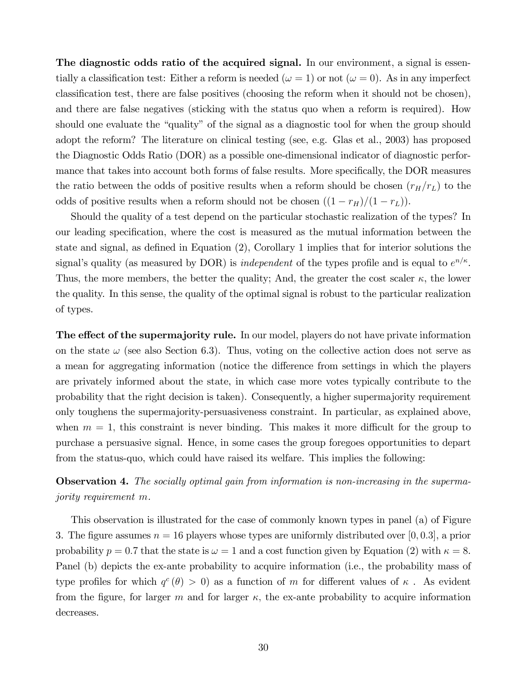The diagnostic odds ratio of the acquired signal. In our environment, a signal is essentially a classification test: Either a reform is needed ( $\omega = 1$ ) or not ( $\omega = 0$ ). As in any imperfect classification test, there are false positives (choosing the reform when it should not be chosen), and there are false negatives (sticking with the status quo when a reform is required). How should one evaluate the "quality" of the signal as a diagnostic tool for when the group should adopt the reform? The literature on clinical testing (see, e.g. Glas et al., 2003) has proposed the Diagnostic Odds Ratio (DOR) as a possible one-dimensional indicator of diagnostic performance that takes into account both forms of false results. More specifically, the DOR measures the ratio between the odds of positive results when a reform should be chosen  $(r_H/r_L)$  to the odds of positive results when a reform should not be chosen  $((1 - r_H)/(1 - r_L)).$ 

Should the quality of a test depend on the particular stochastic realization of the types? In our leading speciÖcation, where the cost is measured as the mutual information between the state and signal, as defined in Equation  $(2)$ , Corollary 1 implies that for interior solutions the signal's quality (as measured by DOR) is *independent* of the types profile and is equal to  $e^{n/\kappa}$ . Thus, the more members, the better the quality; And, the greater the cost scaler  $\kappa$ , the lower the quality. In this sense, the quality of the optimal signal is robust to the particular realization of types.

**The effect of the supermajority rule.** In our model, players do not have private information on the state  $\omega$  (see also Section 6.3). Thus, voting on the collective action does not serve as a mean for aggregating information (notice the difference from settings in which the players are privately informed about the state, in which case more votes typically contribute to the probability that the right decision is taken). Consequently, a higher supermajority requirement only toughens the supermajority-persuasiveness constraint. In particular, as explained above, when  $m = 1$ , this constraint is never binding. This makes it more difficult for the group to purchase a persuasive signal. Hence, in some cases the group foregoes opportunities to depart from the status-quo, which could have raised its welfare. This implies the following:

**Observation 4.** The socially optimal gain from information is non-increasing in the supermajority requirement m.

This observation is illustrated for the case of commonly known types in panel (a) of Figure 3. The figure assumes  $n = 16$  players whose types are uniformly distributed over [0, 0.3], a prior probability  $p = 0.7$  that the state is  $\omega = 1$  and a cost function given by Equation (2) with  $\kappa = 8$ . Panel (b) depicts the ex-ante probability to acquire information (i.e., the probability mass of type profiles for which  $q^c(\theta) > 0$  as a function of m for different values of  $\kappa$ . As evident from the figure, for larger m and for larger  $\kappa$ , the ex-ante probability to acquire information decreases.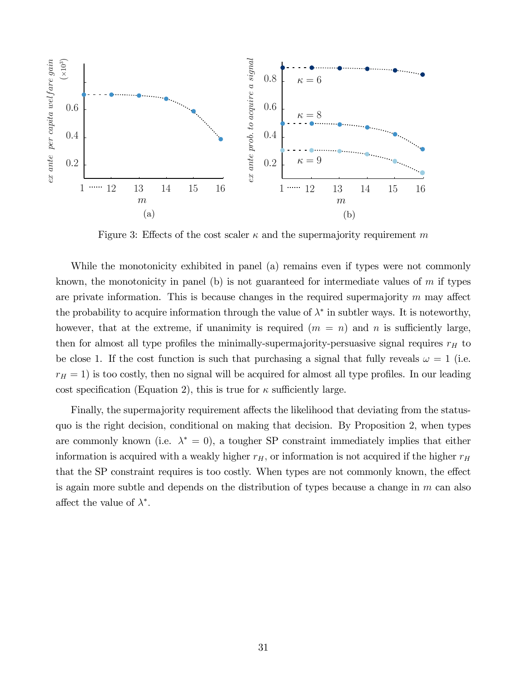

Figure 3: Effects of the cost scaler  $\kappa$  and the supermajority requirement m

While the monotonicity exhibited in panel (a) remains even if types were not commonly known, the monotonicity in panel (b) is not guaranteed for intermediate values of  $m$  if types are private information. This is because changes in the required supermajority  $m$  may affect the probability to acquire information through the value of  $\lambda^*$  in subtler ways. It is noteworthy, however, that at the extreme, if unanimity is required  $(m = n)$  and n is sufficiently large, then for almost all type profiles the minimally-supermajority-persuasive signal requires  $r_H$  to be close 1. If the cost function is such that purchasing a signal that fully reveals  $\omega = 1$  (i.e.  $r_H = 1$ ) is too costly, then no signal will be acquired for almost all type profiles. In our leading cost specification (Equation 2), this is true for  $\kappa$  sufficiently large.

Finally, the supermajority requirement affects the likelihood that deviating from the statusquo is the right decision, conditional on making that decision. By Proposition 2, when types are commonly known (i.e.  $\lambda^* = 0$ ), a tougher SP constraint immediately implies that either information is acquired with a weakly higher  $r_H$ , or information is not acquired if the higher  $r_H$ that the SP constraint requires is too costly. When types are not commonly known, the effect is again more subtle and depends on the distribution of types because a change in  $m$  can also affect the value of  $\lambda^*$ .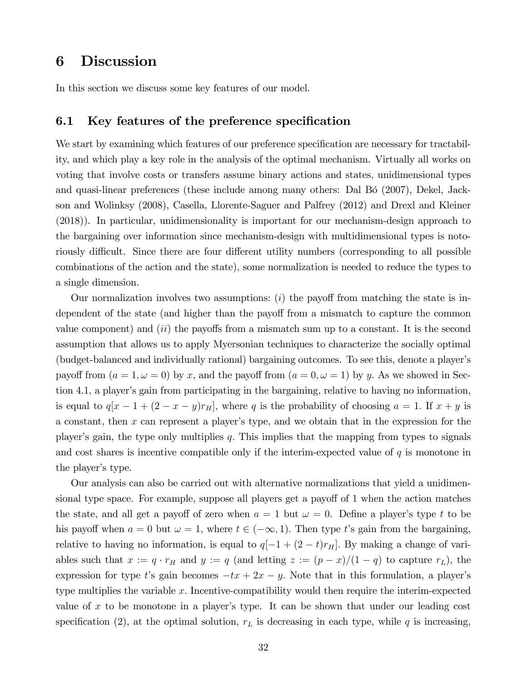## 6 Discussion

In this section we discuss some key features of our model.

### 6.1 Key features of the preference specification

We start by examining which features of our preference specification are necessary for tractability, and which play a key role in the analysis of the optimal mechanism. Virtually all works on voting that involve costs or transfers assume binary actions and states, unidimensional types and quasi-linear preferences (these include among many others: Dal Bó (2007), Dekel, Jackson and Wolinksy (2008), Casella, Llorente-Saguer and Palfrey (2012) and Drexl and Kleiner (2018)). In particular, unidimensionality is important for our mechanism-design approach to the bargaining over information since mechanism-design with multidimensional types is notoriously difficult. Since there are four different utility numbers (corresponding to all possible combinations of the action and the state), some normalization is needed to reduce the types to a single dimension.

Our normalization involves two assumptions:  $(i)$  the payoff from matching the state is independent of the state (and higher than the payoff from a mismatch to capture the common value component) and  $(ii)$  the payoffs from a mismatch sum up to a constant. It is the second assumption that allows us to apply Myersonian techniques to characterize the socially optimal (budget-balanced and individually rational) bargaining outcomes. To see this, denote a playerís payoff from  $(a = 1, \omega = 0)$  by x, and the payoff from  $(a = 0, \omega = 1)$  by y. As we showed in Section 4.1, a player's gain from participating in the bargaining, relative to having no information, is equal to  $q[x - 1 + (2 - x - y)r_H]$ , where q is the probability of choosing  $a = 1$ . If  $x + y$  is a constant, then x can represent a playerís type, and we obtain that in the expression for the player's gain, the type only multiplies  $q$ . This implies that the mapping from types to signals and cost shares is incentive compatible only if the interim-expected value of  $q$  is monotone in the player's type.

Our analysis can also be carried out with alternative normalizations that yield a unidimensional type space. For example, suppose all players get a payoff of  $1$  when the action matches the state, and all get a payoff of zero when  $a = 1$  but  $\omega = 0$ . Define a player's type t to be his payoff when  $a = 0$  but  $\omega = 1$ , where  $t \in (-\infty, 1)$ . Then type t's gain from the bargaining, relative to having no information, is equal to  $q[-1 + (2 - t)r_H]$ . By making a change of variables such that  $x := q \cdot r_H$  and  $y := q$  (and letting  $z := (p - x)/(1 - q)$  to capture  $r_L$ ), the expression for type t's gain becomes  $-tx + 2x - y$ . Note that in this formulation, a player's type multiplies the variable  $x$ . Incentive-compatibility would then require the interim-expected value of x to be monotone in a player's type. It can be shown that under our leading cost specification (2), at the optimal solution,  $r<sub>L</sub>$  is decreasing in each type, while q is increasing,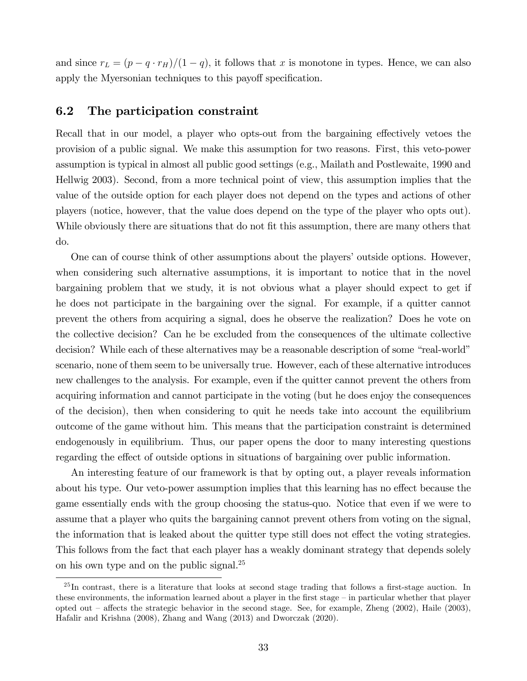and since  $r_L = (p - q \cdot r_H)/(1 - q)$ , it follows that x is monotone in types. Hence, we can also apply the Myersonian techniques to this payoff specification.

### 6.2 The participation constraint

Recall that in our model, a player who opts-out from the bargaining effectively vetoes the provision of a public signal. We make this assumption for two reasons. First, this veto-power assumption is typical in almost all public good settings (e.g., Mailath and Postlewaite, 1990 and Hellwig 2003). Second, from a more technical point of view, this assumption implies that the value of the outside option for each player does not depend on the types and actions of other players (notice, however, that the value does depend on the type of the player who opts out). While obviously there are situations that do not fit this assumption, there are many others that do.

One can of course think of other assumptions about the players' outside options. However, when considering such alternative assumptions, it is important to notice that in the novel bargaining problem that we study, it is not obvious what a player should expect to get if he does not participate in the bargaining over the signal. For example, if a quitter cannot prevent the others from acquiring a signal, does he observe the realization? Does he vote on the collective decision? Can he be excluded from the consequences of the ultimate collective decision? While each of these alternatives may be a reasonable description of some "real-world" scenario, none of them seem to be universally true. However, each of these alternative introduces new challenges to the analysis. For example, even if the quitter cannot prevent the others from acquiring information and cannot participate in the voting (but he does enjoy the consequences of the decision), then when considering to quit he needs take into account the equilibrium outcome of the game without him. This means that the participation constraint is determined endogenously in equilibrium. Thus, our paper opens the door to many interesting questions regarding the effect of outside options in situations of bargaining over public information.

An interesting feature of our framework is that by opting out, a player reveals information about his type. Our veto-power assumption implies that this learning has no effect because the game essentially ends with the group choosing the status-quo. Notice that even if we were to assume that a player who quits the bargaining cannot prevent others from voting on the signal, the information that is leaked about the quitter type still does not effect the voting strategies. This follows from the fact that each player has a weakly dominant strategy that depends solely on his own type and on the public signal.<sup>25</sup>

 $^{25}$ In contrast, there is a literature that looks at second stage trading that follows a first-stage auction. In these environments, the information learned about a player in the first stage  $-\text{in}$  particular whether that player opted out  $\sim$  affects the strategic behavior in the second stage. See, for example, Zheng (2002), Haile (2003), Hafalir and Krishna (2008), Zhang and Wang (2013) and Dworczak (2020).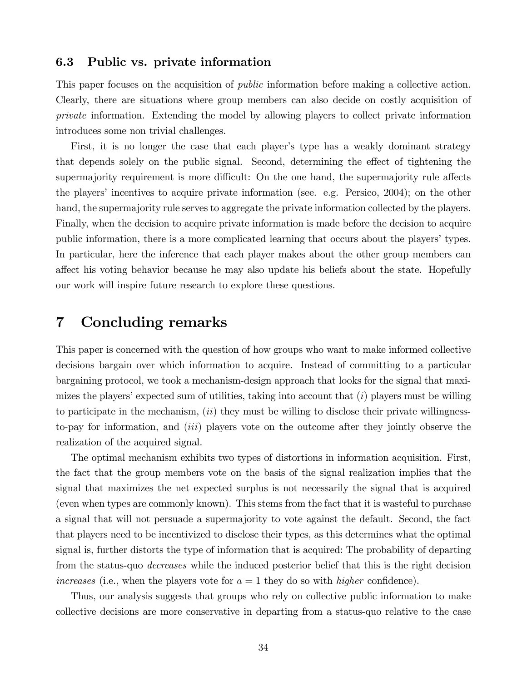### 6.3 Public vs. private information

This paper focuses on the acquisition of *public* information before making a collective action. Clearly, there are situations where group members can also decide on costly acquisition of private information. Extending the model by allowing players to collect private information introduces some non trivial challenges.

First, it is no longer the case that each player's type has a weakly dominant strategy that depends solely on the public signal. Second, determining the effect of tightening the supermajority requirement is more difficult: On the one hand, the supermajority rule affects the players' incentives to acquire private information (see. e.g. Persico,  $2004$ ); on the other hand, the supermajority rule serves to aggregate the private information collected by the players. Finally, when the decision to acquire private information is made before the decision to acquire public information, there is a more complicated learning that occurs about the players' types. In particular, here the inference that each player makes about the other group members can a§ect his voting behavior because he may also update his beliefs about the state. Hopefully our work will inspire future research to explore these questions.

### 7 Concluding remarks

This paper is concerned with the question of how groups who want to make informed collective decisions bargain over which information to acquire. Instead of committing to a particular bargaining protocol, we took a mechanism-design approach that looks for the signal that maximizes the players' expected sum of utilities, taking into account that  $(i)$  players must be willing to participate in the mechanism,  $(ii)$  they must be willing to disclose their private willingnessto-pay for information, and (iii) players vote on the outcome after they jointly observe the realization of the acquired signal.

The optimal mechanism exhibits two types of distortions in information acquisition. First, the fact that the group members vote on the basis of the signal realization implies that the signal that maximizes the net expected surplus is not necessarily the signal that is acquired (even when types are commonly known). This stems from the fact that it is wasteful to purchase a signal that will not persuade a supermajority to vote against the default. Second, the fact that players need to be incentivized to disclose their types, as this determines what the optimal signal is, further distorts the type of information that is acquired: The probability of departing from the status-quo *decreases* while the induced posterior belief that this is the right decision increases (i.e., when the players vote for  $a = 1$  they do so with *higher* confidence).

Thus, our analysis suggests that groups who rely on collective public information to make collective decisions are more conservative in departing from a status-quo relative to the case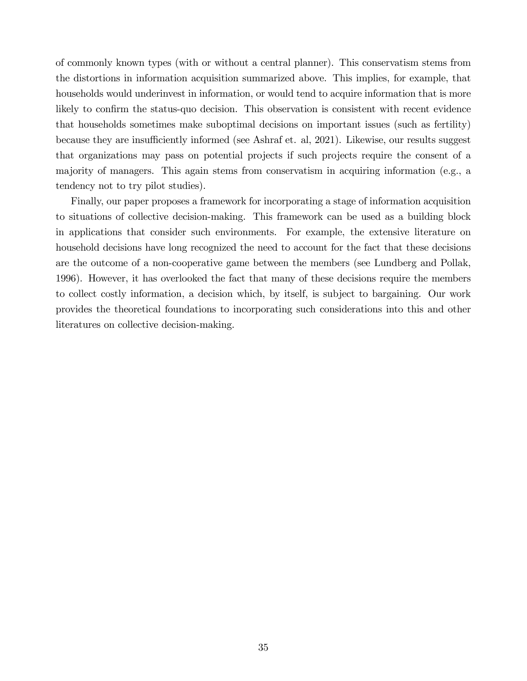of commonly known types (with or without a central planner). This conservatism stems from the distortions in information acquisition summarized above. This implies, for example, that households would underinvest in information, or would tend to acquire information that is more likely to confirm the status-quo decision. This observation is consistent with recent evidence that households sometimes make suboptimal decisions on important issues (such as fertility) because they are insufficiently informed (see Ashraf et. al, 2021). Likewise, our results suggest that organizations may pass on potential projects if such projects require the consent of a majority of managers. This again stems from conservatism in acquiring information (e.g., a tendency not to try pilot studies).

Finally, our paper proposes a framework for incorporating a stage of information acquisition to situations of collective decision-making. This framework can be used as a building block in applications that consider such environments. For example, the extensive literature on household decisions have long recognized the need to account for the fact that these decisions are the outcome of a non-cooperative game between the members (see Lundberg and Pollak, 1996). However, it has overlooked the fact that many of these decisions require the members to collect costly information, a decision which, by itself, is subject to bargaining. Our work provides the theoretical foundations to incorporating such considerations into this and other literatures on collective decision-making.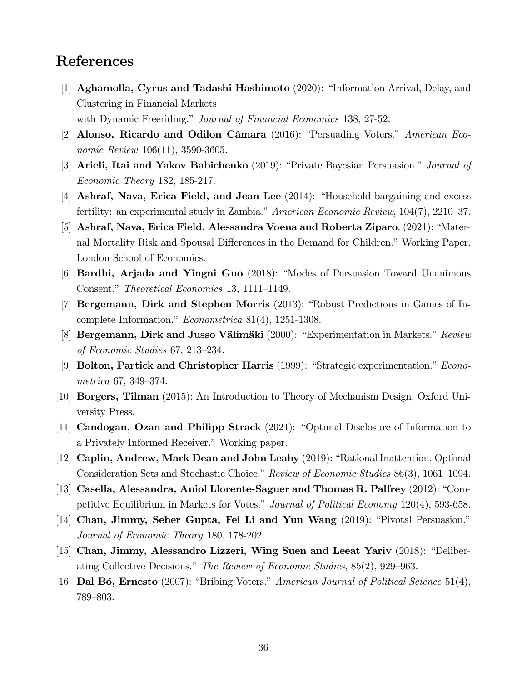### References

- [1] Aghamolla, Cyrus and Tadashi Hashimoto  $(2020)$ : "Information Arrival, Delay, and Clustering in Financial Markets with Dynamic Freeriding." Journal of Financial Economics 138, 27-52.
- [2] Alonso, Ricardo and Odilon Câmara (2016): "Persuading Voters." American Economic Review 106(11), 3590-3605.
- [3] Arieli, Itai and Yakov Babichenko  $(2019)$ : "Private Bayesian Persuasion." *Journal of* Economic Theory 182, 185-217.
- [4] Ashraf, Nava, Erica Field, and Jean Lee  $(2014)$ : "Household bargaining and excess fertility: an experimental study in Zambia." American Economic Review,  $104(7)$ ,  $2210-37$ .
- [5] Ashraf, Nava, Erica Field, Alessandra Voena and Roberta Ziparo.  $(2021)$ : "Maternal Mortality Risk and Spousal Differences in the Demand for Children." Working Paper, London School of Economics.
- [6] **Bardhi, Arjada and Yingni Guo** (2018): "Modes of Persuasion Toward Unanimous Consent." Theoretical Economics 13, 1111–1149.
- [7] Bergemann, Dirk and Stephen Morris (2013): "Robust Predictions in Games of Incomplete Information." *Econometrica* 81(4), 1251-1308.
- [8] Bergemann, Dirk and Jusso Välimäki (2000): "Experimentation in Markets." Review of Economic Studies  $67, 213-234$ .
- [9] **Bolton, Partick and Christopher Harris** (1999): "Strategic experimentation."  $Econo$ metrica  $67, 349-374.$
- [10] Borgers, Tilman (2015): An Introduction to Theory of Mechanism Design, Oxford University Press.
- [11] Candogan, Ozan and Philipp Strack  $(2021)$ : "Optimal Disclosure of Information to a Privately Informed Receiver." Working paper.
- [12] Caplin, Andrew, Mark Dean and John Leahy (2019): "Rational Inattention, Optimal Consideration Sets and Stochastic Choice." Review of Economic Studies 86(3), 1061–1094.
- [13] Casella, Alessandra, Aniol Llorente-Saguer and Thomas R. Palfrey (2012): "Competitive Equilibrium in Markets for Votes." Journal of Political Economy 120(4), 593-658.
- [14] Chan, Jimmy, Seher Gupta, Fei Li and Yun Wang (2019): "Pivotal Persuasion." Journal of Economic Theory 180, 178-202.
- $[15]$  Chan, Jimmy, Alessandro Lizzeri, Wing Suen and Leeat Yariv (2018): "Deliberating Collective Decisions." The Review of Economic Studies,  $85(2)$ , 929–963.
- [16] Dal Bó, Ernesto (2007): "Bribing Voters." American Journal of Political Science 51(4), 789-803.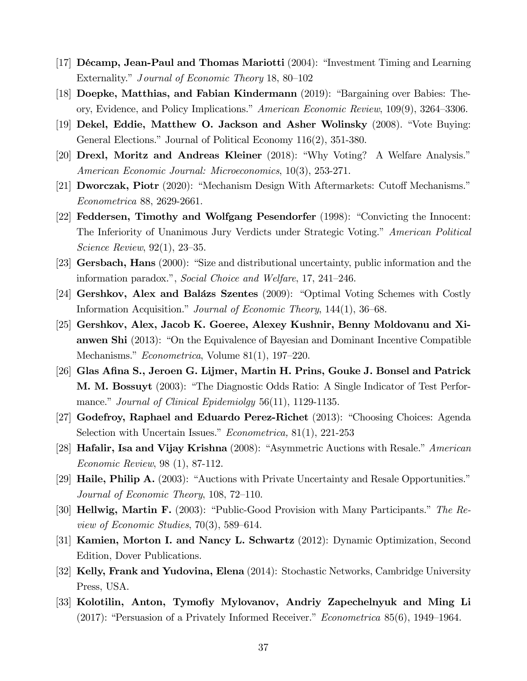- [17] Décamp, Jean-Paul and Thomas Mariotti  $(2004)$ : "Investment Timing and Learning Externality." Journal of Economic Theory 18, 80–102
- [18] Doepke, Matthias, and Fabian Kindermann  $(2019)$ : "Bargaining over Babies: Theory, Evidence, and Policy Implications.<sup>"</sup> American Economic Review,  $109(9)$ ,  $3264-3306$ .
- [19] Dekel, Eddie, Matthew O. Jackson and Asher Wolinsky  $(2008)$ . "Vote Buying: General Elections." Journal of Political Economy  $116(2)$ ,  $351-380$ .
- [20] Drexl, Moritz and Andreas Kleiner (2018): "Why Voting? A Welfare Analysis." American Economic Journal: Microeconomics, 10(3), 253-271.
- [21] **Dworczak, Piotr** (2020): "Mechanism Design With Aftermarkets: Cutoff Mechanisms." Econometrica 88, 2629-2661.
- [22] Feddersen, Timothy and Wolfgang Pesendorfer (1998): "Convicting the Innocent: The Inferiority of Unanimous Jury Verdicts under Strategic Voting." American Political Science Review,  $92(1)$ ,  $23-35$ .
- [23] Gersbach, Hans  $(2000)$ : "Size and distributional uncertainty, public information and the information paradox.", Social Choice and Welfare,  $17, 241-246$ .
- [24] Gershkov, Alex and Balázs Szentes (2009): "Optimal Voting Schemes with Costly Information Acquisition." Journal of Economic Theory,  $144(1)$ ,  $36-68$ .
- [25] Gershkov, Alex, Jacob K. Goeree, Alexey Kushnir, Benny Moldovanu and Xianwen Shi  $(2013)$ : "On the Equivalence of Bayesian and Dominant Incentive Compatible Mechanisms."  $Econometrica$ , Volume 81(1), 197–220.
- [26] Glas Afina S., Jeroen G. Lijmer, Martin H. Prins, Gouke J. Bonsel and Patrick **M. M. Bossuyt** (2003): "The Diagnostic Odds Ratio: A Single Indicator of Test Performance." Journal of Clinical Epidemiolay  $56(11)$ , 1129-1135.
- [27] Godefroy, Raphael and Eduardo Perez-Richet  $(2013)$ : "Choosing Choices: Agenda Selection with Uncertain Issues."  $Econometrica$ , 81(1), 221-253
- [28] **Hafalir, Isa and Vijay Krishna** (2008): "Asymmetric Auctions with Resale." *American* Economic Review, 98 (1), 87-112.
- [29] **Haile, Philip A.** (2003): "Auctions with Private Uncertainty and Resale Opportunities." Journal of Economic Theory,  $108$ ,  $72-110$ .
- [30] **Hellwig, Martin F.** (2003): "Public-Good Provision with Many Participants." The Review of Economic Studies,  $70(3)$ , 589–614.
- [31] Kamien, Morton I. and Nancy L. Schwartz (2012): Dynamic Optimization, Second Edition, Dover Publications.
- [32] Kelly, Frank and Yudovina, Elena (2014): Stochastic Networks, Cambridge University Press, USA.
- [33] Kolotilin, Anton, Tymofiy Mylovanov, Andriy Zapechelnyuk and Ming Li  $(2017)$ : "Persuasion of a Privately Informed Receiver." *Econometrica* 85 $(6)$ , 1949–1964.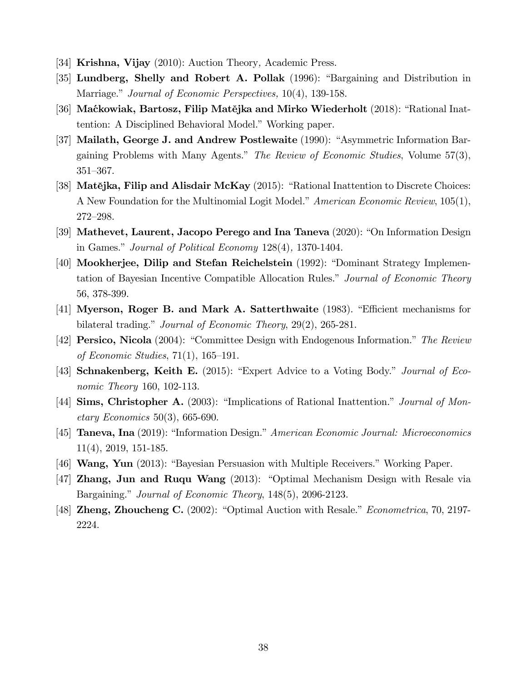- [34] **Krishna, Vijay** (2010): Auction Theory, Academic Press.
- [35] Lundberg, Shelly and Robert A. Pollak (1996): "Bargaining and Distribution in Marriage." Journal of Economic Perspectives, 10(4), 139-158.
- [36] Maćkowiak, Bartosz, Filip Matějka and Mirko Wiederholt (2018): "Rational Inattention: A Disciplined Behavioral Model." Working paper.
- [37] Mailath, George J. and Andrew Postlewaite  $(1990)$ : "Asymmetric Information Bargaining Problems with Many Agents." The Review of Economic Studies, Volume  $57(3)$ , 351-367.
- [38] Mat**ějka, Filip and Alisdair McKay** (2015): "Rational Inattention to Discrete Choices: A New Foundation for the Multinomial Logit Model." American Economic Review,  $105(1)$ , 272-298.
- [39] Mathevet, Laurent, Jacopo Perego and Ina Taneva  $(2020)$ : "On Information Design in Games." Journal of Political Economy  $128(4)$ , 1370-1404.
- [40] Mookherjee, Dilip and Stefan Reichelstein (1992): "Dominant Strategy Implementation of Bayesian Incentive Compatible Allocation Rules." Journal of Economic Theory 56, 378-399.
- [41] Myerson, Roger B. and Mark A. Satterthwaite (1983). "Efficient mechanisms for bilateral trading." Journal of Economic Theory,  $29(2)$ ,  $265-281$ .
- [42] **Persico, Nicola** (2004): "Committee Design with Endogenous Information." The Review of Economic Studies,  $71(1)$ ,  $165-191$ .
- [43] Schnakenberg, Keith E. (2015): "Expert Advice to a Voting Body." Journal of Economic Theory 160, 102-113.
- [44] Sims, Christopher A. (2003): "Implications of Rational Inattention." Journal of Mon- $\text{etary Economics } 50(3), 665-690.$
- [45] **Taneva, Ina** (2019): "Information Design." American Economic Journal: Microeconomics 11(4), 2019, 151-185.
- [46] **Wang, Yun** (2013): "Bayesian Persuasion with Multiple Receivers." Working Paper.
- $[47]$  Zhang, Jun and Ruqu Wang  $(2013)$ : "Optimal Mechanism Design with Resale via Bargaining." Journal of Economic Theory, 148(5), 2096-2123.
- [48] **Zheng, Zhoucheng C.** (2002): "Optimal Auction with Resale." *Econometrica*, 70, 2197-2224.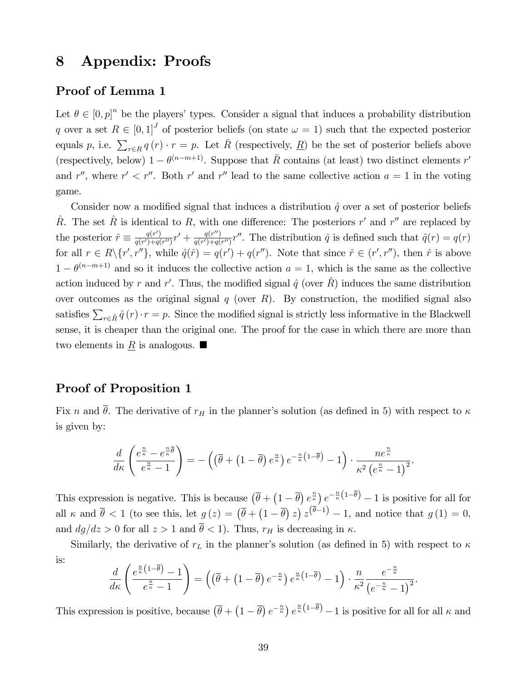### 8 Appendix: Proofs

### Proof of Lemma 1

Let  $\theta \in [0, p]^n$  be the players' types. Consider a signal that induces a probability distribution q over a set  $R \in [0,1]^J$  of posterior beliefs (on state  $\omega = 1$ ) such that the expected posterior equals p, i.e.  $\sum_{r \in R} q(r) \cdot r = p$ . Let  $\bar{R}$  (respectively,  $\underline{R}$ ) be the set of posterior beliefs above (respectively, below)  $1 - \theta^{(n-m+1)}$ . Suppose that  $\bar{R}$  contains (at least) two distinct elements r' and r'', where  $r' < r''$ . Both r' and r'' lead to the same collective action  $a = 1$  in the voting game.

Consider now a modified signal that induces a distribution  $\hat{q}$  over a set of posterior beliefs  $\hat{R}$ . The set  $\hat{R}$  is identical to R, with one difference: The posteriors r' and r'' are replaced by the posterior  $\hat{r} \equiv \frac{q(r')}{q(r')+q(r')}$  $\frac{q(r')}{q(r')+q(r'')}r'+\frac{q(r'')}{q(r')+q(r')}$  $\frac{q(r^{n})}{q(r') + q(r'')}r''$ . The distribution  $\hat{q}$  is defined such that  $\hat{q}(r) = q(r)$ for all  $r \in R \setminus \{r', r''\}$ , while  $\hat{q}(\hat{r}) = q(r') + q(r'')$ . Note that since  $\hat{r} \in (r', r'')$ , then  $\hat{r}$  is above  $1 - \theta^{(n-m+1)}$  and so it induces the collective action  $a = 1$ , which is the same as the collective action induced by r and r'. Thus, the modified signal  $\hat{q}$  (over  $\hat{R}$ ) induces the same distribution over outcomes as the original signal  $q$  (over  $R$ ). By construction, the modified signal also satisfies  $\sum_{r \in \hat{R}} \hat{q}(r) \cdot r = p$ . Since the modified signal is strictly less informative in the Blackwell sense, it is cheaper than the original one. The proof for the case in which there are more than two elements in  $\underline{R}$  is analogous.

### Proof of Proposition 1

Fix n and  $\bar{\theta}$ . The derivative of  $r_H$  in the planner's solution (as defined in 5) with respect to  $\kappa$ is given by:

$$
\frac{d}{d\kappa}\left(\frac{e^{\frac{n}{\kappa}}-e^{\frac{n}{\kappa}\overline{\theta}}}{e^{\frac{n}{\kappa}}-1}\right)=-\left(\left(\overline{\theta}+\left(1-\overline{\theta}\right)e^{\frac{n}{\kappa}}\right)e^{-\frac{n}{\kappa}\left(1-\overline{\theta}\right)}-1\right)\cdot\frac{ne^{\frac{n}{\kappa}}}{\kappa^2\left(e^{\frac{n}{\kappa}}-1\right)^2}.
$$

This expression is negative. This is because  $(\bar{\theta} + (1 - \bar{\theta}) e_{\substack{R \\ \sim}}^{\frac{n}{\epsilon}}) e^{-\frac{n}{\kappa}(1 - \bar{\theta})} - 1$  is positive for all for all  $\kappa$  and  $\bar{\theta}$  < 1 (to see this, let  $g(z) = (\bar{\theta} + (1 - \bar{\theta}) z) z^{(\bar{\theta}-1)} - 1$ , and notice that  $g(1) = 0$ , and  $dg/dz > 0$  for all  $z > 1$  and  $\overline{\theta} < 1$ . Thus,  $r_H$  is decreasing in  $\kappa$ .

Similarly, the derivative of  $r<sub>L</sub>$  in the planner's solution (as defined in 5) with respect to  $\kappa$ is:

$$
\frac{d}{d\kappa}\left(\frac{e^{\frac{n}{\kappa}\left(1-\overline{\theta}\right)}-1}{e^{\frac{n}{\kappa}}-1}\right)=\left(\left(\overline{\theta}+\left(1-\overline{\theta}\right)e^{-\frac{n}{\kappa}}\right)e^{\frac{n}{\kappa}\left(1-\overline{\theta}\right)}-1\right)\cdot\frac{n}{\kappa^2}\frac{e^{-\frac{n}{\kappa}}}{\left(e^{-\frac{n}{\kappa}}-1\right)^2}.
$$

This expression is positive, because  $(\bar{\theta} + (1 - \bar{\theta}) e^{-\frac{n}{\kappa}}) e^{\frac{n}{\kappa}(1 - \bar{\theta})} - 1$  is positive for all for all  $\kappa$  and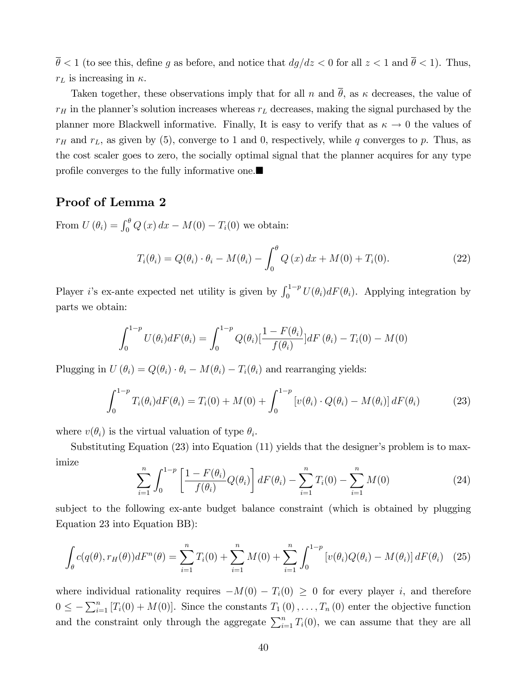$\bar{\theta}$  < 1 (to see this, define g as before, and notice that  $dg/dz < 0$  for all  $z < 1$  and  $\bar{\theta} < 1$ ). Thus,  $r_L$  is increasing in  $\kappa$ .

Taken together, these observations imply that for all n and  $\bar{\theta}$ , as  $\kappa$  decreases, the value of  $r_H$  in the planner's solution increases whereas  $r_L$  decreases, making the signal purchased by the planner more Blackwell informative. Finally, It is easy to verify that as  $\kappa \to 0$  the values of  $r_H$  and  $r_L$ , as given by (5), converge to 1 and 0, respectively, while q converges to p. Thus, as the cost scaler goes to zero, the socially optimal signal that the planner acquires for any type profile converges to the fully informative one.

### Proof of Lemma 2

From  $U(\theta_i) = \int_0^{\theta} Q(x) dx - M(0) - T_i(0)$  we obtain:

$$
T_i(\theta_i) = Q(\theta_i) \cdot \theta_i - M(\theta_i) - \int_0^\theta Q(x) dx + M(0) + T_i(0). \tag{22}
$$

Player *i*'s ex-ante expected net utility is given by  $\int_0^{1-p} U(\theta_i) dF(\theta_i)$ . Applying integration by parts we obtain:

$$
\int_0^{1-p} U(\theta_i) dF(\theta_i) = \int_0^{1-p} Q(\theta_i) [\frac{1 - F(\theta_i)}{f(\theta_i)}] dF(\theta_i) - T_i(0) - M(0)
$$

Plugging in  $U(\theta_i) = Q(\theta_i) \cdot \theta_i - M(\theta_i) - T_i(\theta_i)$  and rearranging yields:

$$
\int_0^{1-p} T_i(\theta_i) dF(\theta_i) = T_i(0) + M(0) + \int_0^{1-p} \left[ v(\theta_i) \cdot Q(\theta_i) - M(\theta_i) \right] dF(\theta_i)
$$
 (23)

where  $v(\theta_i)$  is the virtual valuation of type  $\theta_i$ .

Substituting Equation  $(23)$  into Equation  $(11)$  yields that the designer's problem is to maximize

$$
\sum_{i=1}^{n} \int_{0}^{1-p} \left[ \frac{1 - F(\theta_i)}{f(\theta_i)} Q(\theta_i) \right] dF(\theta_i) - \sum_{i=1}^{n} T_i(0) - \sum_{i=1}^{n} M(0) \tag{24}
$$

subject to the following ex-ante budget balance constraint (which is obtained by plugging Equation 23 into Equation BB):

$$
\int_{\theta} c(q(\theta), r_H(\theta)) dF^n(\theta) = \sum_{i=1}^n T_i(0) + \sum_{i=1}^n M(0) + \sum_{i=1}^n \int_0^{1-p} \left[ v(\theta_i) Q(\theta_i) - M(\theta_i) \right] dF(\theta_i) \tag{25}
$$

where individual rationality requires  $-M(0) - T_i(0) \geq 0$  for every player i, and therefore  $0 \leq -\sum_{i=1}^{n} [T_i(0) + M(0)].$  Since the constants  $T_1(0), \ldots, T_n(0)$  enter the objective function and the constraint only through the aggregate  $\sum_{i=1}^{n} T_i(0)$ , we can assume that they are all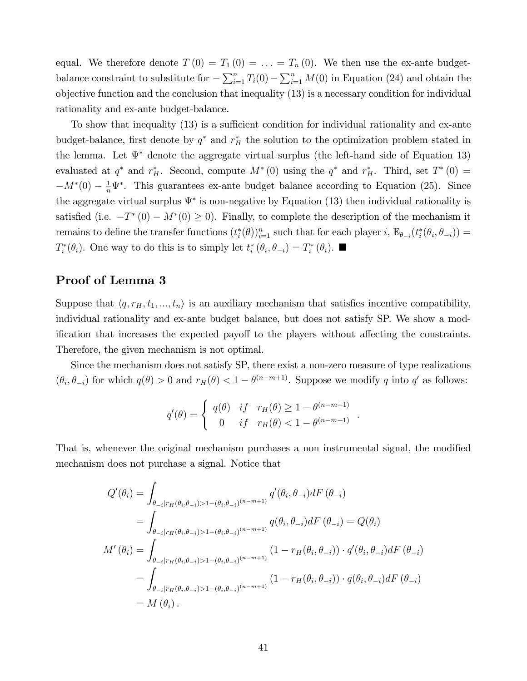equal. We therefore denote  $T(0) = T_1(0) = \ldots = T_n(0)$ . We then use the ex-ante budgetbalance constraint to substitute for  $-\sum_{i=1}^{n} T_i(0) - \sum_{i=1}^{n} M(0)$  in Equation (24) and obtain the objective function and the conclusion that inequality (13) is a necessary condition for individual rationality and ex-ante budget-balance.

To show that inequality  $(13)$  is a sufficient condition for individual rationality and ex-ante budget-balance, first denote by  $q^*$  and  $r_H^*$  the solution to the optimization problem stated in the lemma. Let  $\Psi^*$  denote the aggregate virtual surplus (the left-hand side of Equation 13) evaluated at  $q^*$  and  $r_H^*$ . Second, compute  $M^*(0)$  using the  $q^*$  and  $r_H^*$ . Third, set  $T^*(0)$  =  $-M^*(0) - \frac{1}{n} \Psi^*$ . This guarantees ex-ante budget balance according to Equation (25). Since the aggregate virtual surplus  $\Psi^*$  is non-negative by Equation (13) then individual rationality is satisfied (i.e.  $-T^*(0) - M^*(0) \ge 0$ ). Finally, to complete the description of the mechanism it remains to define the transfer functions  $(t_i^*(\theta))_{i=1}^n$  such that for each player  $i$ ,  $\mathbb{E}_{\theta_{-i}}(t_i^*(\theta_i, \theta_{-i}))$  $T_i^*(\theta_i)$ . One way to do this is to simply let  $t_i^*(\theta_i, \theta_{-i}) = T_i^*(\theta_i)$ .

### Proof of Lemma 3

Suppose that  $\langle q, r_H, t_1, ..., t_n \rangle$  is an auxiliary mechanism that satisfies incentive compatibility, individual rationality and ex-ante budget balance, but does not satisfy SP. We show a modification that increases the expected payoff to the players without affecting the constraints. Therefore, the given mechanism is not optimal.

Since the mechanism does not satisfy SP, there exist a non-zero measure of type realizations  $(\theta_i, \theta_{-i})$  for which  $q(\theta) > 0$  and  $r_H(\theta) < 1 - \theta^{(n-m+1)}$ . Suppose we modify q into q' as follows:

$$
q'(\theta) = \begin{cases} q(\theta) & \text{if } r_H(\theta) \ge 1 - \theta^{(n-m+1)} \\ 0 & \text{if } r_H(\theta) < 1 - \theta^{(n-m+1)} \end{cases}.
$$

That is, whenever the original mechanism purchases a non instrumental signal, the modified mechanism does not purchase a signal. Notice that

$$
Q'(\theta_i) = \int_{\theta_{-i}|r_H(\theta_i, \theta_{-i})>1-(\theta_i, \theta_{-i})^{(n-m+1)}} q'(\theta_i, \theta_{-i}) dF(\theta_{-i})
$$
  
\n
$$
= \int_{\theta_{-i}|r_H(\theta_i, \theta_{-i})>1-(\theta_i, \theta_{-i})^{(n-m+1)}} q(\theta_i, \theta_{-i}) dF(\theta_{-i}) = Q(\theta_i)
$$
  
\n
$$
M'(\theta_i) = \int_{\theta_{-i}|r_H(\theta_i, \theta_{-i})>1-(\theta_i, \theta_{-i})^{(n-m+1)}} (1 - r_H(\theta_i, \theta_{-i})) \cdot q'(\theta_i, \theta_{-i}) dF(\theta_{-i})
$$
  
\n
$$
= \int_{\theta_{-i}|r_H(\theta_i, \theta_{-i})>1-(\theta_i, \theta_{-i})^{(n-m+1)}} (1 - r_H(\theta_i, \theta_{-i})) \cdot q(\theta_i, \theta_{-i}) dF(\theta_{-i})
$$
  
\n
$$
= M(\theta_i).
$$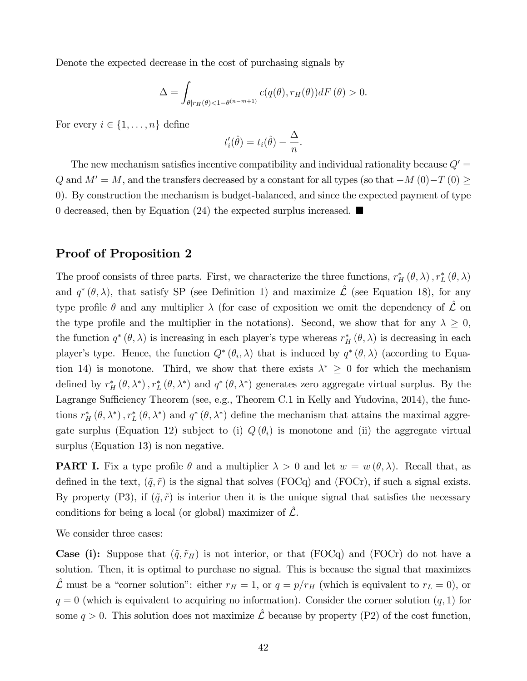Denote the expected decrease in the cost of purchasing signals by

$$
\Delta = \int_{\theta | r_H(\theta) < 1 - \theta^{(n-m+1)}} c(q(\theta), r_H(\theta)) dF(\theta) > 0.
$$

For every  $i \in \{1, \ldots, n\}$  define

$$
t_i'(\hat{\theta}) = t_i(\hat{\theta}) - \frac{\Delta}{n}.
$$

The new mechanism satisfies incentive compatibility and individual rationality because  $Q' =$ Q and  $M' = M$ , and the transfers decreased by a constant for all types (so that  $-M(0) - T(0) \ge$ 0). By construction the mechanism is budget-balanced, and since the expected payment of type 0 decreased, then by Equation (24) the expected surplus increased.  $\blacksquare$ 

### Proof of Proposition 2

The proof consists of three parts. First, we characterize the three functions,  $r_H^* (\theta, \lambda)$ ,  $r_L^* (\theta, \lambda)$ and  $q^*(\theta, \lambda)$ , that satisfy SP (see Definition 1) and maximize  $\hat{\mathcal{L}}$  (see Equation 18), for any type profile  $\theta$  and any multiplier  $\lambda$  (for ease of exposition we omit the dependency of  $\mathcal L$  on the type profile and the multiplier in the notations). Second, we show that for any  $\lambda \geq 0$ , the function  $q^*(\theta,\lambda)$  is increasing in each player's type whereas  $r_H^*(\theta,\lambda)$  is decreasing in each player's type. Hence, the function  $Q^*(\theta_i, \lambda)$  that is induced by  $q^*(\theta, \lambda)$  (according to Equation 14) is monotone. Third, we show that there exists  $\lambda^* \geq 0$  for which the mechanism defined by  $r_H^*(\theta, \lambda^*)$ ,  $r_L^*(\theta, \lambda^*)$  and  $q^*(\theta, \lambda^*)$  generates zero aggregate virtual surplus. By the Lagrange Sufficiency Theorem (see, e.g., Theorem C.1 in Kelly and Yudovina, 2014), the functions  $r_H^* (\theta, \lambda^*)$ ,  $r_L^* (\theta, \lambda^*)$  and  $q^* (\theta, \lambda^*)$  define the mechanism that attains the maximal aggregate surplus (Equation 12) subject to (i)  $Q(\theta_i)$  is monotone and (ii) the aggregate virtual surplus (Equation 13) is non negative.

**PART I.** Fix a type profile  $\theta$  and a multiplier  $\lambda > 0$  and let  $w = w(\theta, \lambda)$ . Recall that, as defined in the text,  $(\tilde{q}, \tilde{r})$  is the signal that solves (FOCq) and (FOCr), if such a signal exists. By property (P3), if  $(\tilde{q}, \tilde{r})$  is interior then it is the unique signal that satisfies the necessary conditions for being a local (or global) maximizer of  $\hat{\mathcal{L}}$ .

We consider three cases:

**Case (i):** Suppose that  $({\tilde{q}}, {\tilde{r}}_H)$  is not interior, or that (FOCq) and (FOCr) do not have a solution. Then, it is optimal to purchase no signal. This is because the signal that maximizes  $\hat{\mathcal{L}}$  must be a "corner solution": either  $r_H = 1$ , or  $q = p/r_H$  (which is equivalent to  $r_L = 0$ ), or  $q = 0$  (which is equivalent to acquiring no information). Consider the corner solution  $(q, 1)$  for some  $q > 0$ . This solution does not maximize  $\mathcal{\hat{L}}$  because by property (P2) of the cost function,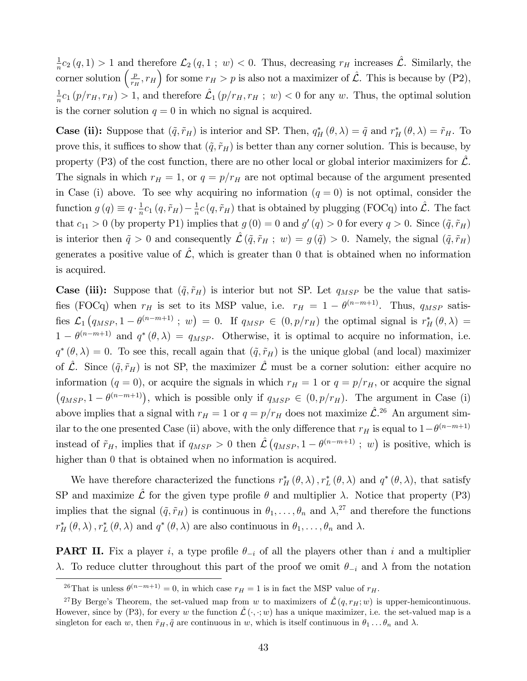1  $\frac{1}{n}c_2(q,1) > 1$  and therefore  $\mathcal{L}_2(q,1; w) < 0$ . Thus, decreasing  $r_H$  increases  $\mathcal{L}$ . Similarly, the corner solution  $\left(\frac{p}{r} \right)$  $\left(\frac{p}{r_H}, r_H\right)$  for some  $r_H > p$  is also not a maximizer of  $\hat{\mathcal{L}}$ . This is because by (P2), 1  $\frac{1}{n}c_1(p/r_H, r_H) > 1$ , and therefore  $\mathcal{L}_1(p/r_H, r_H ; w) < 0$  for any w. Thus, the optimal solution is the corner solution  $q = 0$  in which no signal is acquired.

**Case (ii):** Suppose that  $(\tilde{q}, \tilde{r}_H)$  is interior and SP. Then,  $q_H^*(\theta, \lambda) = \tilde{q}$  and  $r_H^*(\theta, \lambda) = \tilde{r}_H$ . To prove this, it suffices to show that  $({\tilde q}, {\tilde r}_H)$  is better than any corner solution. This is because, by property  $(P3)$  of the cost function, there are no other local or global interior maximizers for  $\mathcal{L}$ . The signals in which  $r_H = 1$ , or  $q = p/r_H$  are not optimal because of the argument presented in Case (i) above. To see why acquiring no information  $(q = 0)$  is not optimal, consider the function  $g(q) \equiv q \cdot \frac{1}{n}$  $\frac{1}{n}c_1(q, \tilde{r}_H) - \frac{1}{n}$  $\frac{1}{n}c(q, \tilde{r}_H)$  that is obtained by plugging (FOCq) into  $\hat{\mathcal{L}}$ . The fact that  $c_{11} > 0$  (by property P1) implies that  $g(0) = 0$  and  $g'(q) > 0$  for every  $q > 0$ . Since  $(\tilde{q}, \tilde{r}_H)$ is interior then  $\tilde{q} > 0$  and consequently  $\mathcal{L}(\tilde{q}, \tilde{r}_H ; w) = g (\tilde{q}) > 0$ . Namely, the signal  $(\tilde{q}, \tilde{r}_H)$ generates a positive value of  $\mathcal{L}$ , which is greater than 0 that is obtained when no information is acquired.

**Case (iii):** Suppose that  $(\tilde{q}, \tilde{r}_H)$  is interior but not SP. Let  $q_{MSP}$  be the value that satisfies (FOCq) when  $r_H$  is set to its MSP value, i.e.  $r_H = 1 - \theta^{(n-m+1)}$ . Thus,  $q_{MSP}$  satisfies  $\mathcal{L}_1(q_{MSP}, 1 - \theta^{(n-m+1)}; w) = 0$ . If  $q_{MSP} \in (0, p/r_H)$  the optimal signal is  $r_H^*(\theta, \lambda) =$  $1 - \theta^{(n-m+1)}$  and  $q^*(\theta, \lambda) = q_{MSP}$ . Otherwise, it is optimal to acquire no information, i.e.  $q^*(\theta,\lambda) = 0$ . To see this, recall again that  $(\tilde{q},\tilde{r}_H)$  is the unique global (and local) maximizer of  $\hat{\mathcal{L}}$ . Since  $(\tilde{q}, \tilde{r}_H)$  is not SP, the maximizer  $\hat{\mathcal{L}}$  must be a corner solution: either acquire no information  $(q = 0)$ , or acquire the signals in which  $r_H = 1$  or  $q = p/r_H$ , or acquire the signal  $(q_{MSP}, 1 - \theta^{(n-m+1)})$ , which is possible only if  $q_{MSP} \in (0, p/r_H)$ . The argument in Case (i) above implies that a signal with  $r_H = 1$  or  $q = p/r_H$  does not maximize  $\hat{\mathcal{L}}^{26}$  An argument similar to the one presented Case (ii) above, with the only difference that  $r_H$  is equal to  $1-\theta^{(n-m+1)}$ instead of  $\tilde{r}_H$ , implies that if  $q_{MSP} > 0$  then  $\mathcal{\hat{L}}(q_{MSP}, 1 - \theta^{(n-m+1)}; w)$  is positive, which is higher than 0 that is obtained when no information is acquired.

We have therefore characterized the functions  $r_H^*(\theta, \lambda)$ ,  $r_L^*(\theta, \lambda)$  and  $q^*(\theta, \lambda)$ , that satisfy SP and maximize  $\hat{\mathcal{L}}$  for the given type profile  $\theta$  and multiplier  $\lambda$ . Notice that property (P3) implies that the signal  $({\tilde q}, {\tilde r}_H)$  is continuous in  $\theta_1, \ldots, \theta_n$  and  $\lambda,^{27}$  and therefore the functions  $r_H^* (\theta, \lambda)$ ,  $r_L^* (\theta, \lambda)$  and  $q^* (\theta, \lambda)$  are also continuous in  $\theta_1, \ldots, \theta_n$  and  $\lambda$ .

**PART II.** Fix a player i, a type profile  $\theta_{-i}$  of all the players other than i and a multiplier  $\lambda$ . To reduce clutter throughout this part of the proof we omit  $\theta_{-i}$  and  $\lambda$  from the notation

<sup>&</sup>lt;sup>26</sup>That is unless  $\theta^{(n-m+1)} = 0$ , in which case  $r_H = 1$  is in fact the MSP value of  $r_H$ .

<sup>&</sup>lt;sup>27</sup>By Berge's Theorem, the set-valued map from w to maximizers of  $\mathcal{L}(q, r_H; w)$  is upper-hemicontinuous. However, since by (P3), for every w the function  $\mathcal{L}(\cdot, \cdot; w)$  has a unique maximizer, i.e. the set-valued map is a singleton for each w, then  $\tilde{r}_H$ ,  $\tilde{q}$  are continuous in w, which is itself continuous in  $\theta_1 \dots \theta_n$  and  $\lambda$ .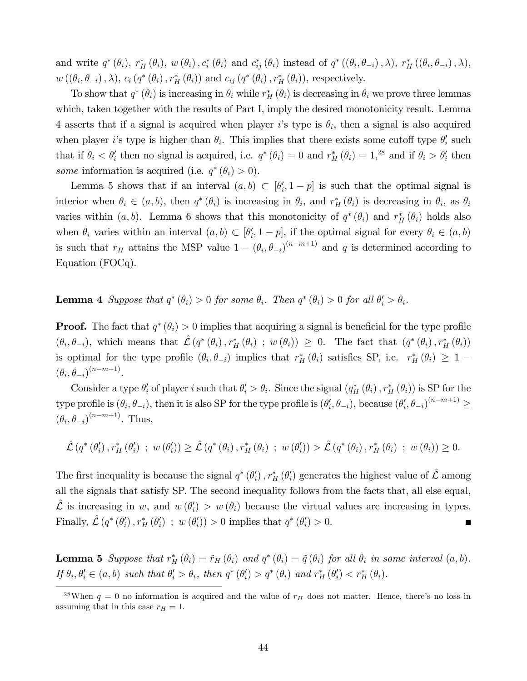and write  $q^*(\theta_i)$ ,  $r_H^*(\theta_i)$ ,  $w(\theta_i)$ ,  $c_i^*(\theta_i)$  and  $c_{ij}^*(\theta_i)$  instead of  $q^*( (\theta_i, \theta_{-i})$ ,  $\lambda)$ ,  $r_H^*((\theta_i, \theta_{-i})$ ,  $\lambda)$ ,  $w((\theta_i, \theta_{-i}), \lambda), c_i(q^*(\theta_i), r_H^*(\theta_i))$  and  $c_{ij}(q^*(\theta_i), r_H^*(\theta_i)),$  respectively.

To show that  $q^*(\theta_i)$  is increasing in  $\theta_i$  while  $r_H^*(\theta_i)$  is decreasing in  $\theta_i$  we prove three lemmas which, taken together with the results of Part I, imply the desired monotonicity result. Lemma 4 asserts that if a signal is acquired when player is type is  $\theta_i$ , then a signal is also acquired when player *i*'s type is higher than  $\theta_i$ . This implies that there exists some cutoff type  $\theta'_i$  such that if  $\theta_i < \theta'_i$  then no signal is acquired, i.e.  $q^*(\theta_i) = 0$  and  $r_H^*(\theta_i) = 1$ <sup>28</sup> and if  $\theta_i > \theta'_i$  then some information is acquired (i.e.  $q^*(\theta_i) > 0$ ).

Lemma 5 shows that if an interval  $(a, b) \subset [\theta'_i, 1-p]$  is such that the optimal signal is interior when  $\theta_i \in (a, b)$ , then  $q^*(\theta_i)$  is increasing in  $\theta_i$ , and  $r^*_H(\theta_i)$  is decreasing in  $\theta_i$ , as  $\theta_i$ varies within  $(a, b)$ . Lemma 6 shows that this monotonicity of  $q^*(\theta_i)$  and  $r^*_{H}(\theta_i)$  holds also when  $\theta_i$  varies within an interval  $(a, b) \subset [\theta'_i, 1-p]$ , if the optimal signal for every  $\theta_i \in (a, b)$ is such that  $r_H$  attains the MSP value  $1 - (\theta_i, \theta_{-i})^{(n-m+1)}$  and q is determined according to Equation (FOCq).

**Lemma 4** Suppose that  $q^*(\theta_i) > 0$  for some  $\theta_i$ . Then  $q^*(\theta_i) > 0$  for all  $\theta'_i > \theta_i$ .

**Proof.** The fact that  $q^*(\theta_i) > 0$  implies that acquiring a signal is beneficial for the type profile  $(\theta_i, \theta_{-i})$ , which means that  $\hat{\mathcal{L}}(q^*(\theta_i), r_H^*(\theta_i)) \geq 0$ . The fact that  $(q^*(\theta_i), r_H^*(\theta_i))$ is optimal for the type profile  $(\theta_i, \theta_{-i})$  implies that  $r_H^*(\theta_i)$  satisfies SP, i.e.  $r_H^*(\theta_i) \geq 1$  $(\theta_i, \theta_{-i})^{(n-m+1)}$ .

Consider a type  $\theta_i'$  of player i such that  $\theta_i' > \theta_i$ . Since the signal  $(q_H^*(\theta_i), r_H^*(\theta_i))$  is SP for the type profile is  $(\theta_i, \theta_{-i})$ , then it is also SP for the type profile is  $(\theta'_i, \theta_{-i})$ , because  $(\theta'_i, \theta_{-i})^{(n-m+1)} \ge$  $(\theta_i, \theta_{-i})^{(n-m+1)}$ . Thus,

$$
\hat{\mathcal{L}}(q^*(\theta'_i), r_H^*(\theta'_i) ; w(\theta'_i)) \geq \hat{\mathcal{L}}(q^*(\theta_i), r_H^*(\theta_i) ; w(\theta'_i)) > \hat{\mathcal{L}}(q^*(\theta_i), r_H^*(\theta_i) ; w(\theta_i)) \geq 0.
$$

The first inequality is because the signal  $q^*(\theta_i')$ ,  $r_H^*(\theta_i')$  generates the highest value of  $\hat{\mathcal{L}}$  among all the signals that satisfy SP. The second inequality follows from the facts that, all else equal,  $\hat{\mathcal{L}}$  is increasing in w, and  $w(\theta_i') > w(\theta_i)$  because the virtual values are increasing in types. Finally,  $\mathcal{L}(q^*(\theta_i'), r_H^*(\theta_i'))$  ;  $w(\theta_i')) > 0$  implies that  $q^*(\theta_i') > 0$ .  $\blacksquare$ 

**Lemma 5** Suppose that  $r_H^*(\theta_i) = \tilde{r}_H(\theta_i)$  and  $q^*(\theta_i) = \tilde{q}(\theta_i)$  for all  $\theta_i$  in some interval  $(a, b)$ . If  $\theta_i, \theta'_i \in (a, b)$  such that  $\theta'_i > \theta_i$ , then  $q^*(\theta'_i) > q^*(\theta_i)$  and  $r^*_H(\theta'_i) < r^*_H(\theta_i)$ .

<sup>&</sup>lt;sup>28</sup>When  $q = 0$  no information is acquired and the value of  $r_H$  does not matter. Hence, there's no loss in assuming that in this case  $r_H = 1$ .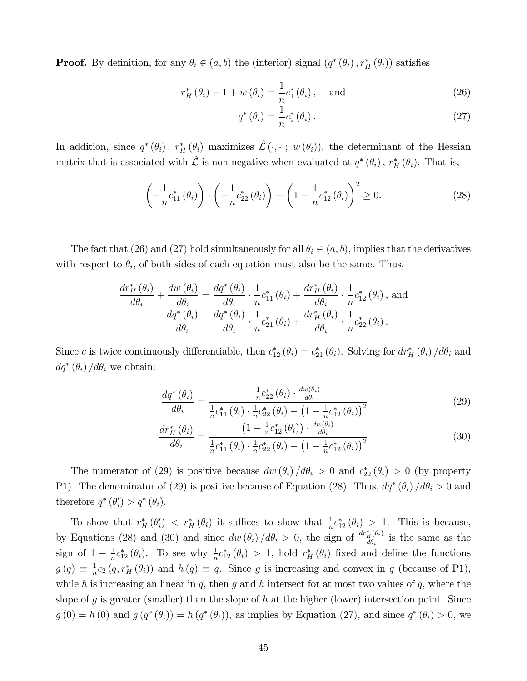**Proof.** By definition, for any  $\theta_i \in (a, b)$  the (interior) signal  $(q^*(\theta_i), r^*_H(\theta_i))$  satisfies

$$
r_H^*\left(\theta_i\right) - 1 + w\left(\theta_i\right) = \frac{1}{n}c_1^*\left(\theta_i\right), \quad \text{and} \tag{26}
$$

$$
q^*(\theta_i) = \frac{1}{n}c_2^*(\theta_i).
$$
 (27)

In addition, since  $q^*(\theta_i)$ ,  $r_H^*(\theta_i)$  maximizes  $\hat{\mathcal{L}} (\cdot, \cdot ; w(\theta_i))$ , the determinant of the Hessian matrix that is associated with  $\hat{\mathcal{L}}$  is non-negative when evaluated at  $q^*(\theta_i)$ ,  $r_H^*(\theta_i)$ . That is,

$$
\left(-\frac{1}{n}c_{11}^*(\theta_i)\right) \cdot \left(-\frac{1}{n}c_{22}^*(\theta_i)\right) - \left(1 - \frac{1}{n}c_{12}^*(\theta_i)\right)^2 \ge 0. \tag{28}
$$

The fact that (26) and (27) hold simultaneously for all  $\theta_i \in (a, b)$ , implies that the derivatives with respect to  $\theta_i$ , of both sides of each equation must also be the same. Thus,

$$
\frac{d r_H^* (\theta_i)}{d \theta_i} + \frac{d w (\theta_i)}{d \theta_i} = \frac{d q^* (\theta_i)}{d \theta_i} \cdot \frac{1}{n} c_{11}^* (\theta_i) + \frac{d r_H^* (\theta_i)}{d \theta_i} \cdot \frac{1}{n} c_{12}^* (\theta_i),
$$
 and  

$$
\frac{d q^* (\theta_i)}{d \theta_i} = \frac{d q^* (\theta_i)}{d \theta_i} \cdot \frac{1}{n} c_{21}^* (\theta_i) + \frac{d r_H^* (\theta_i)}{d \theta_i} \cdot \frac{1}{n} c_{22}^* (\theta_i).
$$

Since c is twice continuously differentiable, then  $c_{12}^*(\theta_i) = c_{21}^*(\theta_i)$ . Solving for  $dr_H^*(\theta_i)/d\theta_i$  and  $dq^*(\theta_i) / d\theta_i$  we obtain:

$$
\frac{dq^*(\theta_i)}{d\theta_i} = \frac{\frac{1}{n}c_{22}^*(\theta_i) \cdot \frac{dw(\theta_i)}{d\theta_i}}{\frac{1}{n}c_{11}^*(\theta_i) \cdot \frac{1}{n}c_{22}^*(\theta_i) - \left(1 - \frac{1}{n}c_{12}^*(\theta_i)\right)^2}
$$
(29)

$$
\frac{d r_H^* (\theta_i)}{d \theta_i} = \frac{\left(1 - \frac{1}{n} c_{12}^* (\theta_i) \right) \cdot \frac{d w(\theta_i)}{d \theta_i}}{\frac{1}{n} c_{11}^* (\theta_i) \cdot \frac{1}{n} c_{22}^* (\theta_i) - \left(1 - \frac{1}{n} c_{12}^* (\theta_i) \right)^2}
$$
(30)

The numerator of (29) is positive because  $dw(\theta_i)/d\theta_i > 0$  and  $c_{22}^*(\theta_i) > 0$  (by property P1). The denominator of (29) is positive because of Equation (28). Thus,  $dq^*(\theta_i)/d\theta_i > 0$  and therefore  $q^*(\theta_i') > q^*(\theta_i)$ .

To show that  $r_H^*(\theta_i') < r_H^*(\theta_i)$  it suffices to show that  $\frac{1}{n}c_{12}^*(\theta_i) > 1$ . This is because, by Equations (28) and (30) and since  $dw(\theta_i)/d\theta_i > 0$ , the sign of  $\frac{dr_H^*(\theta_i)}{d\theta_i}$  $\frac{H^{(0)}i}{d\theta_i}$  is the same as the sign of  $1 - \frac{1}{n}$  $\frac{1}{n}c_{12}^*(\theta_i)$ . To see why  $\frac{1}{n}c_{12}^*(\theta_i) > 1$ , hold  $r_H^*(\theta_i)$  fixed and define the functions  $g(q) \equiv \frac{1}{n}$  $\frac{1}{n}c_2(q,r_H^*(\theta_i))$  and  $h(q) \equiv q$ . Since g is increasing and convex in q (because of P1), while h is increasing an linear in q, then q and h intersect for at most two values of  $q$ , where the slope of g is greater (smaller) than the slope of h at the higher (lower) intersection point. Since  $g(0) = h(0)$  and  $g(q^*(\theta_i)) = h(q^*(\theta_i))$ , as implies by Equation (27), and since  $q^*(\theta_i) > 0$ , we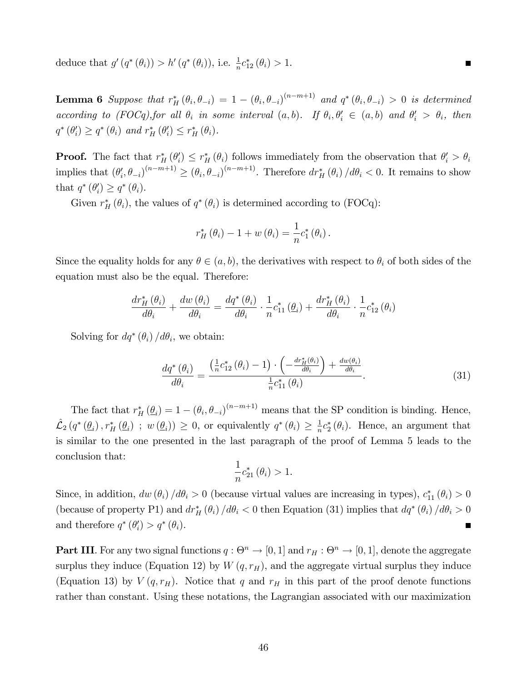deduce that  $g'(q^*(\theta_i)) > h'(q^*(\theta_i))$ , i.e.  $\frac{1}{n}c_{12}^*(\theta_i) > 1$ .

**Lemma 6** Suppose that  $r_H^*(\theta_i, \theta_{-i}) = 1 - (\theta_i, \theta_{-i})^{(n-m+1)}$  and  $q^*(\theta_i, \theta_{-i}) > 0$  is determined according to (FOCq), for all  $\theta_i$  in some interval  $(a, b)$ . If  $\theta_i, \theta'_i \in (a, b)$  and  $\theta'_i > \theta_i$ , then  $q^*(\theta'_i) \ge q^*(\theta_i)$  and  $r_H^*(\theta'_i) \le r_H^*(\theta_i)$ .

**Proof.** The fact that  $r_H^* (\theta_i') \le r_H^* (\theta_i)$  follows immediately from the observation that  $\theta_i' > \theta_i$ implies that  $(\theta_i', \theta_{-i})^{(n-m+1)} \geq (\theta_i, \theta_{-i})^{(n-m+1)}$ . Therefore  $dr_H^* (\theta_i) / d\theta_i < 0$ . It remains to show that  $q^*(\theta'_i) \geq q^*(\theta_i)$ .

Given  $r_H^*(\theta_i)$ , the values of  $q^*(\theta_i)$  is determined according to (FOCq):

$$
r_H^*\left(\theta_i\right) - 1 + w\left(\theta_i\right) = \frac{1}{n}c_1^*\left(\theta_i\right).
$$

Since the equality holds for any  $\theta \in (a, b)$ , the derivatives with respect to  $\theta_i$  of both sides of the equation must also be the equal. Therefore:

$$
\frac{d r_H^* \left(\theta_i\right)}{d \theta_i} + \frac{d w\left(\theta_i\right)}{d \theta_i} = \frac{d q^* \left(\theta_i\right)}{d \theta_i} \cdot \frac{1}{n} c_{11}^* \left(\underline{\theta}_i\right) + \frac{d r_H^* \left(\theta_i\right)}{d \theta_i} \cdot \frac{1}{n} c_{12}^* \left(\theta_i\right)
$$

Solving for  $dq^*(\theta_i) / d\theta_i$ , we obtain:

$$
\frac{dq^*(\theta_i)}{d\theta_i} = \frac{\left(\frac{1}{n}c_{12}^*(\theta_i) - 1\right) \cdot \left(-\frac{dr_H^*(\theta_i)}{d\theta_i}\right) + \frac{dw(\theta_i)}{d\theta_i}}{\frac{1}{n}c_{11}^*(\theta_i)}.
$$
(31)

 $\blacksquare$ 

The fact that  $r_H^* (\underline{\theta}_i) = 1 - (\theta_i, \theta_{-i})^{(n-m+1)}$  means that the SP condition is binding. Hence,  $\mathcal{L}_2(q^*(\underline{\theta}_i), r_H^*(\underline{\theta}_i) ; w(\underline{\theta}_i)) \geq 0$ , or equivalently  $q^*(\theta_i) \geq \frac{1}{n}$  $\frac{1}{n}c_2^*(\theta_i)$ . Hence, an argument that is similar to the one presented in the last paragraph of the proof of Lemma 5 leads to the conclusion that:

$$
\frac{1}{n}c_{21}^*\left(\theta_i\right) > 1.
$$

Since, in addition,  $dw(\theta_i)/d\theta_i > 0$  (because virtual values are increasing in types),  $c_{11}^*(\theta_i) > 0$ (because of property P1) and  $dr_H^* (\theta_i) / d\theta_i < 0$  then Equation (31) implies that  $dq^* (\theta_i) / d\theta_i > 0$ and therefore  $q^*(\theta_i') > q^*(\theta_i)$ .  $\blacksquare$ 

**Part III**. For any two signal functions  $q: \Theta^n \to [0, 1]$  and  $r_H: \Theta^n \to [0, 1]$ , denote the aggregate surplus they induce (Equation 12) by  $W(q, r_H)$ , and the aggregate virtual surplus they induce (Equation 13) by  $V(q, r_H)$ . Notice that q and  $r_H$  in this part of the proof denote functions rather than constant. Using these notations, the Lagrangian associated with our maximization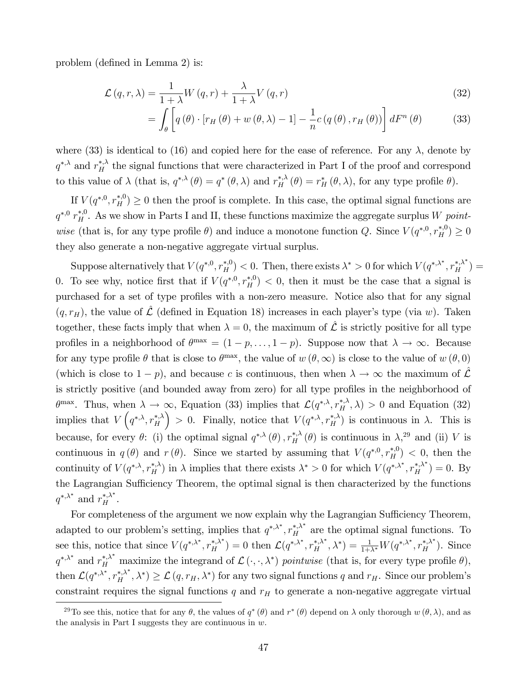problem (defined in Lemma 2) is:

$$
\mathcal{L}(q,r,\lambda) = \frac{1}{1+\lambda} W(q,r) + \frac{\lambda}{1+\lambda} V(q,r)
$$
\n(32)

$$
= \int_{\theta} \left[ q(\theta) \cdot \left[ r_H(\theta) + w(\theta, \lambda) - 1 \right] - \frac{1}{n} c(q(\theta), r_H(\theta)) \right] dF^n(\theta) \tag{33}
$$

where (33) is identical to (16) and copied here for the ease of reference. For any  $\lambda$ , denote by  $q^{*,\lambda}$  and  $r_H^{*,\lambda}$  the signal functions that were characterized in Part I of the proof and correspond to this value of  $\lambda$  (that is,  $q^{*,\lambda}(\theta) = q^*(\theta,\lambda)$  and  $r^{*,\lambda}_H(\theta) = r^*_H(\theta,\lambda)$ , for any type profile  $\theta$ ).

If  $V(q^{*,0}, r_H^{*,0}) \ge 0$  then the proof is complete. In this case, the optimal signal functions are  $q^{*,0}$   $r_H^{*,0}$ . As we show in Parts I and II, these functions maximize the aggregate surplus W pointwise (that is, for any type profile  $\theta$ ) and induce a monotone function Q. Since  $V(q^{*,0}, r_H^{*,0}) \ge 0$ they also generate a non-negative aggregate virtual surplus.

Suppose alternatively that  $V(q^{*,0}, r_H^{*,0}) < 0$ . Then, there exists  $\lambda^* > 0$  for which  $V(q^{*,\lambda^*}, r_H^{*,\lambda^*}) =$ 0. To see why, notice first that if  $V(q^{*,0}, r_H^{*,0}) < 0$ , then it must be the case that a signal is purchased for a set of type profiles with a non-zero measure. Notice also that for any signal  $(q, r_H)$ , the value of  $\hat{\mathcal{L}}$  (defined in Equation 18) increases in each player's type (via w). Taken together, these facts imply that when  $\lambda = 0$ , the maximum of  $\hat{\mathcal{L}}$  is strictly positive for all type profiles in a neighborhood of  $\theta^{\max} = (1 - p, \dots, 1 - p)$ . Suppose now that  $\lambda \to \infty$ . Because for any type profile  $\theta$  that is close to  $\theta^{\max}$ , the value of  $w(\theta,\infty)$  is close to the value of  $w(\theta,0)$ (which is close to  $1 - p$ ), and because c is continuous, then when  $\lambda \to \infty$  the maximum of  $\mathcal L$ is strictly positive (and bounded away from zero) for all type profiles in the neighborhood of  $\theta^{\max}$ . Thus, when  $\lambda \to \infty$ , Equation (33) implies that  $\mathcal{L}(q^{*,\lambda}, r_H^{*,\lambda}, \lambda) > 0$  and Equation (32) implies that  $V(q^{*,\lambda}, r_H^{*,\lambda})$ ) > 0. Finally, notice that  $V(q^{*,\lambda}, r_H^{*,\lambda})$  is continuous in  $\lambda$ . This is because, for every  $\theta$ : (i) the optimal signal  $q^{*,\lambda}(\theta)$ ,  $r_H^{*,\lambda}(\theta)$  is continuous in  $\lambda$ ,<sup>29</sup> and (ii) V is continuous in  $q(\theta)$  and  $r(\theta)$ . Since we started by assuming that  $V(q^{*,0}, r_H^{*,0}) < 0$ , then the continuity of  $V(q^{*,\lambda}, r_H^{*,\lambda})$  in  $\lambda$  implies that there exists  $\lambda^* > 0$  for which  $V(q^{*,\lambda^*}, r_H^{*,\lambda^*}) = 0$ . By the Lagrangian Sufficiency Theorem, the optimal signal is then characterized by the functions  $q^{*,\lambda^*}$  and  $r_H^{*,\lambda^*}$ .

For completeness of the argument we now explain why the Lagrangian Sufficiency Theorem, adapted to our problem's setting, implies that  $q^{*,\lambda^*}, r_H^{*,\lambda^*}$  are the optimal signal functions. To see this, notice that since  $V(q^{*,\lambda^*}, r_H^{*,\lambda^*}) = 0$  then  $\mathcal{L}(q^{*,\lambda^*}, r_H^{*,\lambda^*}, \lambda^*) = \frac{1}{1+\lambda^*} W(q^{*,\lambda^*}, r_H^{*,\lambda^*})$ . Since  $q^{*,\lambda^*}$  and  $r_H^{*,\lambda^*}$  maximize the integrand of  $\mathcal{L}(\cdot, \cdot, \lambda^*)$  pointwise (that is, for every type profile  $\theta$ ), then  $\mathcal{L}(q^{*,\lambda^*}, r_H^{*,\lambda^*}, \lambda^*) \geq \mathcal{L}(q, r_H, \lambda^*)$  for any two signal functions q and  $r_H$ . Since our problem's constraint requires the signal functions  $q$  and  $r_H$  to generate a non-negative aggregate virtual

<sup>&</sup>lt;sup>29</sup>To see this, notice that for any  $\theta$ , the values of  $q^*(\theta)$  and  $r^*(\theta)$  depend on  $\lambda$  only thorough  $w(\theta, \lambda)$ , and as the analysis in Part I suggests they are continuous in  $w$ .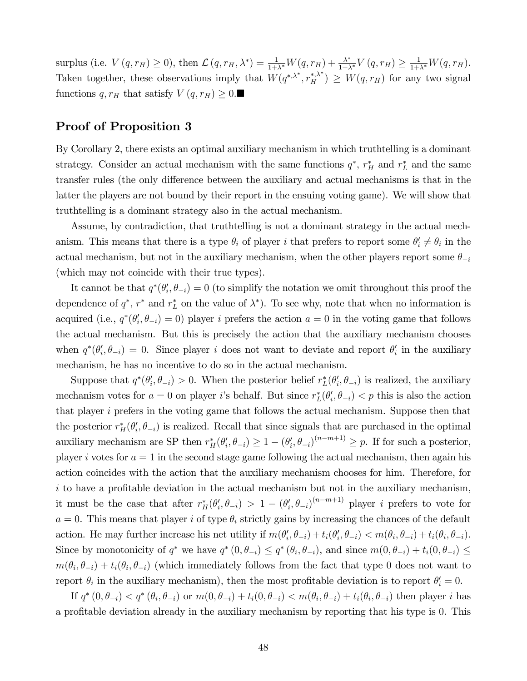surplus (i.e.  $V(q, r_H) \ge 0$ ), then  $\mathcal{L}(q, r_H, \lambda^*) = \frac{1}{1+\lambda^*} W(q, r_H) + \frac{\lambda^*}{1+\lambda^*} V(q, r_H) \ge \frac{1}{1+\lambda^*} W(q, r_H)$ . Taken together, these observations imply that  $W(q^{*,\lambda^*}, r_H^{*,\lambda^*}) \geq W(q, r_H)$  for any two signal functions  $q, r_H$  that satisfy  $V(q, r_H) \geq 0$ .

### Proof of Proposition 3

By Corollary 2, there exists an optimal auxiliary mechanism in which truthtelling is a dominant strategy. Consider an actual mechanism with the same functions  $q^*$ ,  $r_H^*$  and  $r_L^*$  and the same transfer rules (the only difference between the auxiliary and actual mechanisms is that in the latter the players are not bound by their report in the ensuing voting game). We will show that truthtelling is a dominant strategy also in the actual mechanism.

Assume, by contradiction, that truthtelling is not a dominant strategy in the actual mechanism. This means that there is a type  $\theta_i$  of player i that prefers to report some  $\theta'_i \neq \theta_i$  in the actual mechanism, but not in the auxiliary mechanism, when the other players report some  $\theta_{-i}$ (which may not coincide with their true types).

It cannot be that  $q^*(\theta'_i, \theta_{-i}) = 0$  (to simplify the notation we omit throughout this proof the dependence of  $q^*$ ,  $r^*$  and  $r_L^*$  on the value of  $\lambda^*$ ). To see why, note that when no information is acquired (i.e.,  $q^*(\theta'_i, \theta_{-i}) = 0$ ) player i prefers the action  $a = 0$  in the voting game that follows the actual mechanism. But this is precisely the action that the auxiliary mechanism chooses when  $q^*(\theta'_i, \theta_{-i}) = 0$ . Since player i does not want to deviate and report  $\theta'_i$  in the auxiliary mechanism, he has no incentive to do so in the actual mechanism.

Suppose that  $q^*(\theta'_i, \theta_{-i}) > 0$ . When the posterior belief  $r_L^*(\theta'_i, \theta_{-i})$  is realized, the auxiliary mechanism votes for  $a = 0$  on player *i*'s behalf. But since  $r_L^*(\theta_i', \theta_{-i}) < p$  this is also the action that player i prefers in the voting game that follows the actual mechanism. Suppose then that the posterior  $r_H^*(\theta_i', \theta_{-i})$  is realized. Recall that since signals that are purchased in the optimal auxiliary mechanism are SP then  $r_H^*(\theta'_i, \theta_{-i}) \geq 1 - (\theta'_i, \theta_{-i})^{(n-m+1)} \geq p$ . If for such a posterior, player i votes for  $a = 1$  in the second stage game following the actual mechanism, then again his action coincides with the action that the auxiliary mechanism chooses for him. Therefore, for  $i$  to have a profitable deviation in the actual mechanism but not in the auxiliary mechanism, it must be the case that after  $r_H^*(\theta_i', \theta_{-i}) > 1 - (\theta_i', \theta_{-i})^{(n-m+1)}$  player *i* prefers to vote for  $a = 0$ . This means that player i of type  $\theta_i$  strictly gains by increasing the chances of the default action. He may further increase his net utility if  $m(\theta_i', \theta_{-i}) + t_i(\theta_i', \theta_{-i}) < m(\theta_i, \theta_{-i}) + t_i(\theta_i, \theta_{-i}).$ Since by monotonicity of  $q^*$  we have  $q^*(0, \theta_{-i}) \leq q^*(\theta_i, \theta_{-i})$ , and since  $m(0, \theta_{-i}) + t_i(0, \theta_{-i}) \leq$  $m(\theta_i, \theta_{-i}) + t_i(\theta_i, \theta_{-i})$  (which immediately follows from the fact that type 0 does not want to report  $\theta_i$  in the auxiliary mechanism), then the most profitable deviation is to report  $\theta'_i = 0$ .

If  $q^*(0, \theta_{-i}) < q^*(\theta_i, \theta_{-i})$  or  $m(0, \theta_{-i}) + t_i(0, \theta_{-i}) < m(\theta_i, \theta_{-i}) + t_i(\theta_i, \theta_{-i})$  then player *i* has a profitable deviation already in the auxiliary mechanism by reporting that his type is 0. This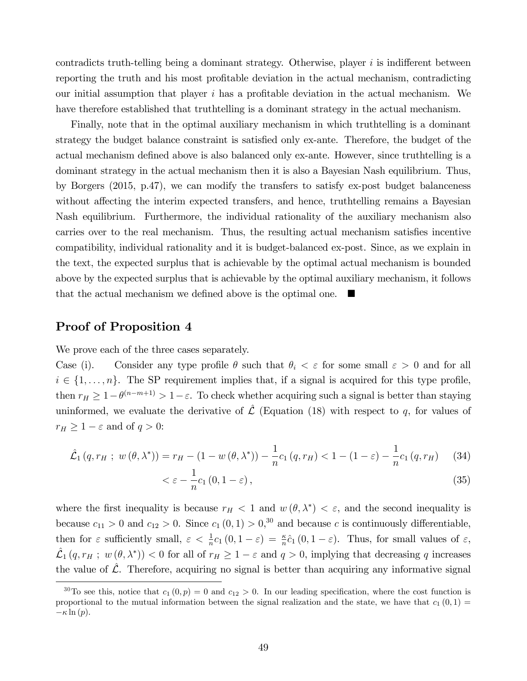contradicts truth-telling being a dominant strategy. Otherwise, player  $i$  is indifferent between reporting the truth and his most profitable deviation in the actual mechanism, contradicting our initial assumption that player  $i$  has a profitable deviation in the actual mechanism. We have therefore established that truthtelling is a dominant strategy in the actual mechanism.

Finally, note that in the optimal auxiliary mechanism in which truthtelling is a dominant strategy the budget balance constraint is satisfied only ex-ante. Therefore, the budget of the actual mechanism defined above is also balanced only ex-ante. However, since truthtelling is a dominant strategy in the actual mechanism then it is also a Bayesian Nash equilibrium. Thus, by Borgers (2015, p.47), we can modify the transfers to satisfy ex-post budget balanceness without affecting the interim expected transfers, and hence, truthtelling remains a Bayesian Nash equilibrium. Furthermore, the individual rationality of the auxiliary mechanism also carries over to the real mechanism. Thus, the resulting actual mechanism satisfies incentive compatibility, individual rationality and it is budget-balanced ex-post. Since, as we explain in the text, the expected surplus that is achievable by the optimal actual mechanism is bounded above by the expected surplus that is achievable by the optimal auxiliary mechanism, it follows that the actual mechanism we defined above is the optimal one.  $\blacksquare$ 

#### Proof of Proposition 4

We prove each of the three cases separately.

Case (i). Consider any type profile  $\theta$  such that  $\theta_i < \varepsilon$  for some small  $\varepsilon > 0$  and for all  $i \in \{1, \ldots, n\}$ . The SP requirement implies that, if a signal is acquired for this type profile, then  $r_H \geq 1 - \theta^{(n-m+1)} > 1 - \varepsilon$ . To check whether acquiring such a signal is better than staying uninformed, we evaluate the derivative of  $\hat{\mathcal{L}}$  (Equation (18) with respect to q, for values of  $r_H \geq 1 - \varepsilon$  and of  $q > 0$ :

$$
\hat{\mathcal{L}}_1(q, r_H; w(\theta, \lambda^*)) = r_H - (1 - w(\theta, \lambda^*)) - \frac{1}{n} c_1(q, r_H) < 1 - (1 - \varepsilon) - \frac{1}{n} c_1(q, r_H) \tag{34}
$$

$$
\langle \varepsilon - \frac{1}{n} c_1 (0, 1 - \varepsilon) \,, \tag{35}
$$

where the first inequality is because  $r_H < 1$  and  $w(\theta, \lambda^*) < \varepsilon$ , and the second inequality is because  $c_{11} > 0$  and  $c_{12} > 0$ . Since  $c_1(0,1) > 0$ ,<sup>30</sup> and because c is continuously differentiable, then for  $\varepsilon$  sufficiently small,  $\varepsilon < \frac{1}{n}c_1(0, 1-\varepsilon) = \frac{\kappa}{n}\hat{c}_1(0, 1-\varepsilon)$ . Thus, for small values of  $\varepsilon$ ,  $\hat{\mathcal{L}}_1(q, r_H; w(\theta, \lambda^*))$  < 0 for all of  $r_H \ge 1 - \varepsilon$  and  $q > 0$ , implying that decreasing q increases the value of  $\hat{\mathcal{L}}$ . Therefore, acquiring no signal is better than acquiring any informative signal

<sup>&</sup>lt;sup>30</sup>To see this, notice that  $c_1 (0, p) = 0$  and  $c_{12} > 0$ . In our leading specification, where the cost function is proportional to the mutual information between the signal realization and the state, we have that  $c_1 (0,1) =$  $-\kappa \ln(p)$ .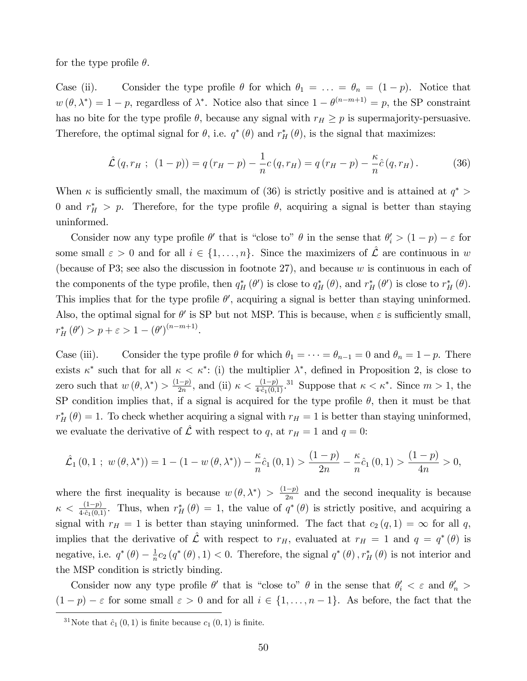for the type profile  $\theta$ .

Case (ii). Consider the type profile  $\theta$  for which  $\theta_1 = \ldots = \theta_n = (1 - p)$ . Notice that  $w(\theta, \lambda^*) = 1 - p$ , regardless of  $\lambda^*$ . Notice also that since  $1 - \theta^{(n-m+1)} = p$ , the SP constraint has no bite for the type profile  $\theta$ , because any signal with  $r_H \geq p$  is supermajority-persuasive. Therefore, the optimal signal for  $\theta$ , i.e.  $q^*(\theta)$  and  $r^*_{H}(\theta)$ , is the signal that maximizes:

$$
\hat{\mathcal{L}}(q, r_H ; (1-p)) = q(r_H - p) - \frac{1}{n}c(q, r_H) = q(r_H - p) - \frac{\kappa}{n}\hat{c}(q, r_H). \tag{36}
$$

When  $\kappa$  is sufficiently small, the maximum of (36) is strictly positive and is attained at  $q^*$ 0 and  $r_H^* > p$ . Therefore, for the type profile  $\theta$ , acquiring a signal is better than staying uninformed.

Consider now any type profile  $\theta'$  that is "close to"  $\theta$  in the sense that  $\theta'_i > (1 - p) - \varepsilon$  for some small  $\varepsilon > 0$  and for all  $i \in \{1, \ldots, n\}$ . Since the maximizers of  $\hat{\mathcal{L}}$  are continuous in w (because of P3; see also the discussion in footnote 27), and because  $w$  is continuous in each of the components of the type profile, then  $q_H^* (\theta')$  is close to  $q_H^* (\theta)$ , and  $r_H^* (\theta')$  is close to  $r_H^* (\theta)$ . This implies that for the type profile  $\theta'$ , acquiring a signal is better than staying uninformed. Also, the optimal signal for  $\theta'$  is SP but not MSP. This is because, when  $\varepsilon$  is sufficiently small,  $r_H^* (\theta') > p + \varepsilon > 1 - (\theta')^{(n-m+1)}.$ 

Case (iii). Consider the type profile  $\theta$  for which  $\theta_1 = \cdots = \theta_{n-1} = 0$  and  $\theta_n = 1 - p$ . There exists  $\kappa^*$  such that for all  $\kappa < \kappa^*$ : (i) the multiplier  $\lambda^*$ , defined in Proposition 2, is close to zero such that  $w(\theta, \lambda^*) > \frac{(1-p)}{2n}$ , and (ii)  $\kappa < \frac{(1-p)}{4 \cdot \hat{c}_1(0,1)}$ . Suppose that  $\kappa < \kappa^*$ . Since  $m > 1$ , the SP condition implies that, if a signal is acquired for the type profile  $\theta$ , then it must be that  $r_H^* (\theta) = 1$ . To check whether acquiring a signal with  $r_H = 1$  is better than staying uninformed, we evaluate the derivative of  $\hat{\mathcal{L}}$  with respect to q, at  $r_H = 1$  and  $q = 0$ :

$$
\hat{\mathcal{L}}_1(0,1; w(\theta,\lambda^*))=1-(1-w(\theta,\lambda^*))-\frac{\kappa}{n}\hat{c}_1(0,1)>\frac{(1-p)}{2n}-\frac{\kappa}{n}\hat{c}_1(0,1)>\frac{(1-p)}{4n}>0,
$$

where the first inequality is because  $w(\theta, \lambda^*) > \frac{(1-p)}{2n}$  and the second inequality is because  $\kappa < \frac{(1-p)}{4 \cdot \hat{c}_1(0,1)}$ . Thus, when  $r_H^*(\theta) = 1$ , the value of  $q^*(\theta)$  is strictly positive, and acquiring a signal with  $r_H = 1$  is better than staying uninformed. The fact that  $c_2(q, 1) = \infty$  for all q, implies that the derivative of  $\hat{\mathcal{L}}$  with respect to  $r_H$ , evaluated at  $r_H = 1$  and  $q = q^*(\theta)$  is negative, i.e.  $q^*(\theta) - \frac{1}{n}$  $\frac{1}{n}c_2(q^*(\theta),1) < 0$ . Therefore, the signal  $q^*(\theta), r^*_H(\theta)$  is not interior and the MSP condition is strictly binding.

Consider now any type profile  $\theta'$  that is "close to"  $\theta$  in the sense that  $\theta'_i < \varepsilon$  and  $\theta'_n >$  $(1-p) - \varepsilon$  for some small  $\varepsilon > 0$  and for all  $i \in \{1, \ldots, n-1\}$ . As before, the fact that the

<sup>&</sup>lt;sup>31</sup>Note that  $\hat{c}_1 (0, 1)$  is finite because  $c_1 (0, 1)$  is finite.